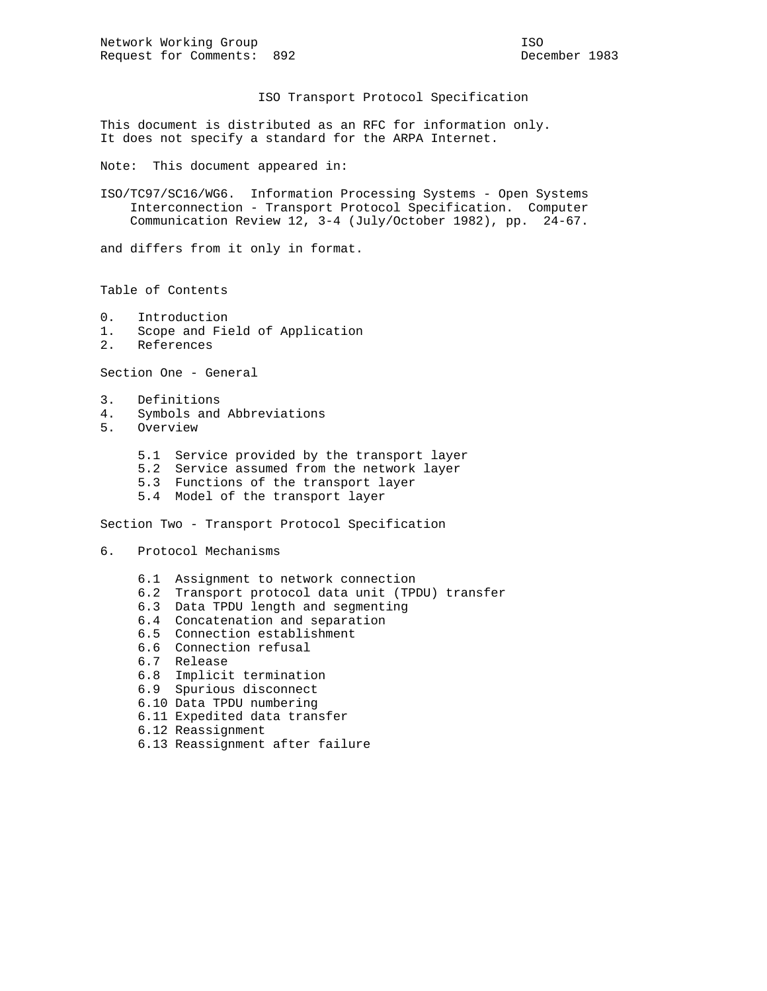ISO Transport Protocol Specification

This document is distributed as an RFC for information only. It does not specify a standard for the ARPA Internet.

Note: This document appeared in:

ISO/TC97/SC16/WG6. Information Processing Systems - Open Systems Interconnection - Transport Protocol Specification. Computer Communication Review 12, 3-4 (July/October 1982), pp. 24-67.

and differs from it only in format.

Table of Contents

- 0. Introduction
- 1. Scope and Field of Application
- 2. References

Section One - General

- 3. Definitions
- 4. Symbols and Abbreviations
- 5. Overview
	- 5.1 Service provided by the transport layer
	- 5.2 Service assumed from the network layer
	- 5.3 Functions of the transport layer
	- 5.4 Model of the transport layer

Section Two - Transport Protocol Specification

6. Protocol Mechanisms

- 6.1 Assignment to network connection
- 6.2 Transport protocol data unit (TPDU) transfer
- 6.3 Data TPDU length and segmenting
- 6.4 Concatenation and separation
- 6.5 Connection establishment
- 6.6 Connection refusal
- 6.7 Release
- 6.8 Implicit termination
- 6.9 Spurious disconnect
- 6.10 Data TPDU numbering
- 6.11 Expedited data transfer
- 6.12 Reassignment
- 6.13 Reassignment after failure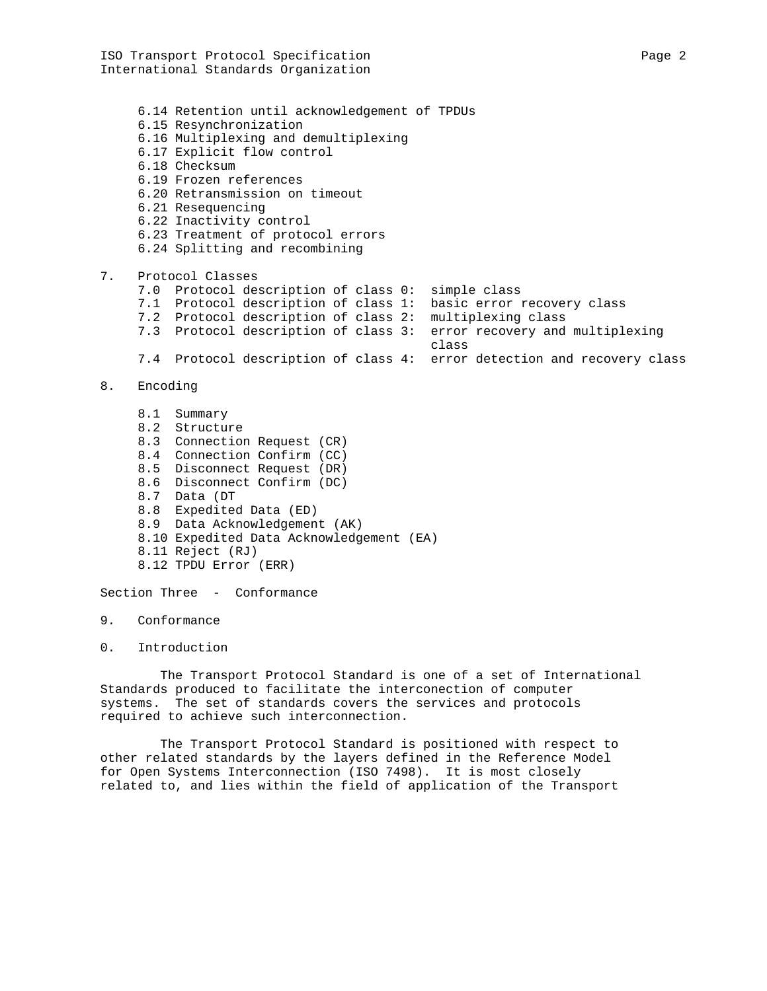ISO Transport Protocol Specification Page 2 International Standards Organization

 6.14 Retention until acknowledgement of TPDUs 6.15 Resynchronization 6.16 Multiplexing and demultiplexing 6.17 Explicit flow control 6.18 Checksum 6.19 Frozen references 6.20 Retransmission on timeout 6.21 Resequencing 6.22 Inactivity control 6.23 Treatment of protocol errors 6.24 Splitting and recombining 7. Protocol Classes 7.0 Protocol description of class 0: simple class 7.1 Protocol description of class 1: basic error recovery class 7.2 Protocol description of class 2: multiplexing class 7.3 Protocol description of class 3: error recovery and multiplexing class 7.4 Protocol description of class 4: error detection and recovery class 8. Encoding 8.1 Summary 8.2 Structure 8.3 Connection Request (CR) 8.4 Connection Confirm (CC) 8.5 Disconnect Request (DR) 8.6 Disconnect Confirm (DC) 8.7 Data (DT 8.8 Expedited Data (ED) 8.9 Data Acknowledgement (AK) 8.10 Expedited Data Acknowledgement (EA) 8.11 Reject (RJ) 8.12 TPDU Error (ERR)

Section Three - Conformance

- 9. Conformance
- 0. Introduction

 The Transport Protocol Standard is one of a set of International Standards produced to facilitate the interconection of computer systems. The set of standards covers the services and protocols required to achieve such interconnection.

 The Transport Protocol Standard is positioned with respect to other related standards by the layers defined in the Reference Model for Open Systems Interconnection (ISO 7498). It is most closely related to, and lies within the field of application of the Transport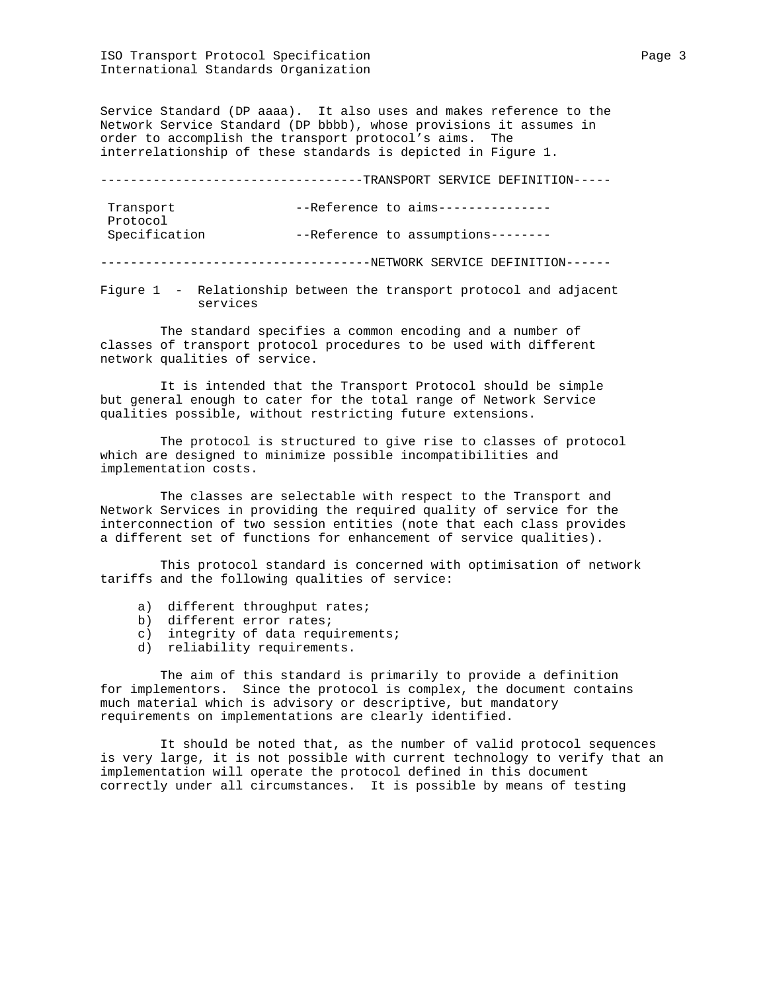Service Standard (DP aaaa). It also uses and makes reference to the Network Service Standard (DP bbbb), whose provisions it assumes in order to accomplish the transport protocol's aims. The interrelationship of these standards is depicted in Figure 1.

| ------------------------- | --TRANSPORT SERVICE DEFINITION----- |
|---------------------------|-------------------------------------|
| Transport<br>Protocol     | $--Reference to aims--------------$ |
| Specification             | --Reference to assumptions--------  |
|                           | NETWORK SERVICE DEFINITION------    |

Figure 1 - Relationship between the transport protocol and adjacent services

 The standard specifies a common encoding and a number of classes of transport protocol procedures to be used with different network qualities of service.

 It is intended that the Transport Protocol should be simple but general enough to cater for the total range of Network Service qualities possible, without restricting future extensions.

 The protocol is structured to give rise to classes of protocol which are designed to minimize possible incompatibilities and implementation costs.

 The classes are selectable with respect to the Transport and Network Services in providing the required quality of service for the interconnection of two session entities (note that each class provides a different set of functions for enhancement of service qualities).

 This protocol standard is concerned with optimisation of network tariffs and the following qualities of service:

- a) different throughput rates;
- b) different error rates;
- c) integrity of data requirements;
- d) reliability requirements.

 The aim of this standard is primarily to provide a definition for implementors. Since the protocol is complex, the document contains much material which is advisory or descriptive, but mandatory requirements on implementations are clearly identified.

 It should be noted that, as the number of valid protocol sequences is very large, it is not possible with current technology to verify that an implementation will operate the protocol defined in this document correctly under all circumstances. It is possible by means of testing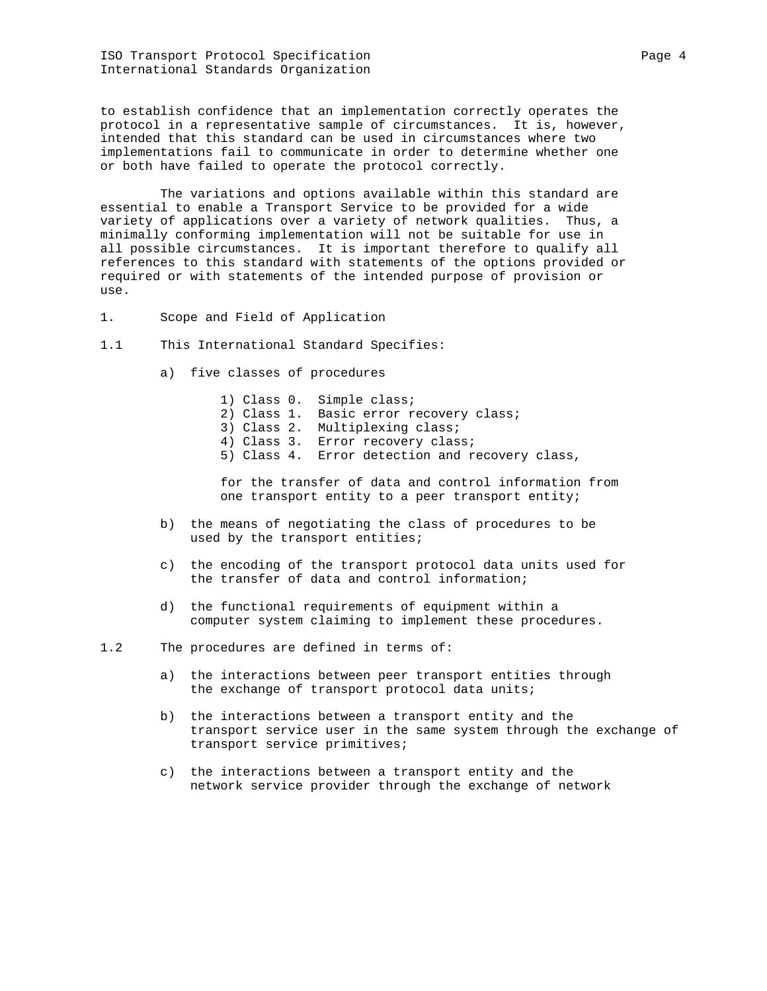ISO Transport Protocol Specification Page 4 International Standards Organization

to establish confidence that an implementation correctly operates the protocol in a representative sample of circumstances. It is, however, intended that this standard can be used in circumstances where two implementations fail to communicate in order to determine whether one or both have failed to operate the protocol correctly.

 The variations and options available within this standard are essential to enable a Transport Service to be provided for a wide variety of applications over a variety of network qualities. Thus, a minimally conforming implementation will not be suitable for use in all possible circumstances. It is important therefore to qualify all references to this standard with statements of the options provided or required or with statements of the intended purpose of provision or use.

- 1. Scope and Field of Application
- 1.1 This International Standard Specifies:
	- a) five classes of procedures
		- 1) Class 0. Simple class;
		- 2) Class 1. Basic error recovery class;
		- 3) Class 2. Multiplexing class;
- 4) Class 3. Error recovery class;
- 5) Class 4. Error detection and recovery class,

 for the transfer of data and control information from one transport entity to a peer transport entity;

- b) the means of negotiating the class of procedures to be used by the transport entities;
- c) the encoding of the transport protocol data units used for the transfer of data and control information;
- d) the functional requirements of equipment within a computer system claiming to implement these procedures.

1.2 The procedures are defined in terms of:

- a) the interactions between peer transport entities through the exchange of transport protocol data units;
- b) the interactions between a transport entity and the transport service user in the same system through the exchange of transport service primitives;
- c) the interactions between a transport entity and the network service provider through the exchange of network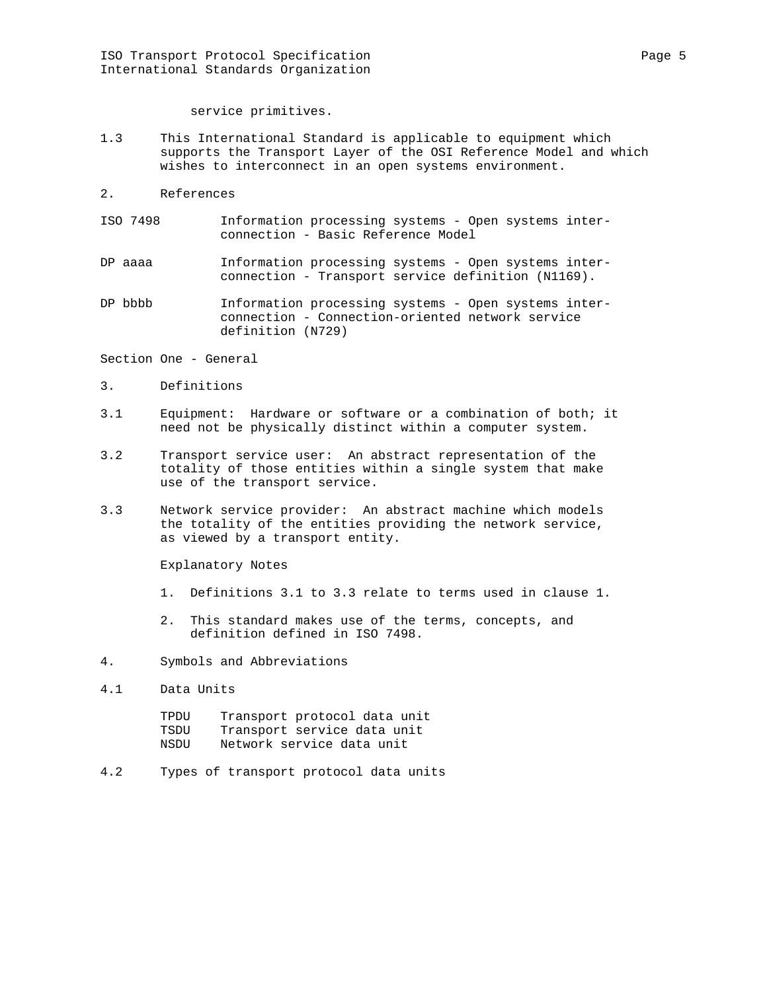service primitives.

- 1.3 This International Standard is applicable to equipment which supports the Transport Layer of the OSI Reference Model and which wishes to interconnect in an open systems environment.
- 2. References
- ISO 7498 Information processing systems Open systems inter connection - Basic Reference Model
- DP aaaa Information processing systems Open systems interconnection - Transport service definition (N1169).
- DP bbbb Information processing systems Open systems inter connection - Connection-oriented network service definition (N729)

Section One - General

- 3. Definitions
- 3.1 Equipment: Hardware or software or a combination of both; it need not be physically distinct within a computer system.
- 3.2 Transport service user: An abstract representation of the totality of those entities within a single system that make use of the transport service.
- 3.3 Network service provider: An abstract machine which models the totality of the entities providing the network service, as viewed by a transport entity.

Explanatory Notes

- 1. Definitions 3.1 to 3.3 relate to terms used in clause 1.
- 2. This standard makes use of the terms, concepts, and definition defined in ISO 7498.
- 4. Symbols and Abbreviations
- 4.1 Data Units

| TPDU | Transport protocol data unit |
|------|------------------------------|
| TSDU | Transport service data unit  |
| NSDU | Network service data unit    |

4.2 Types of transport protocol data units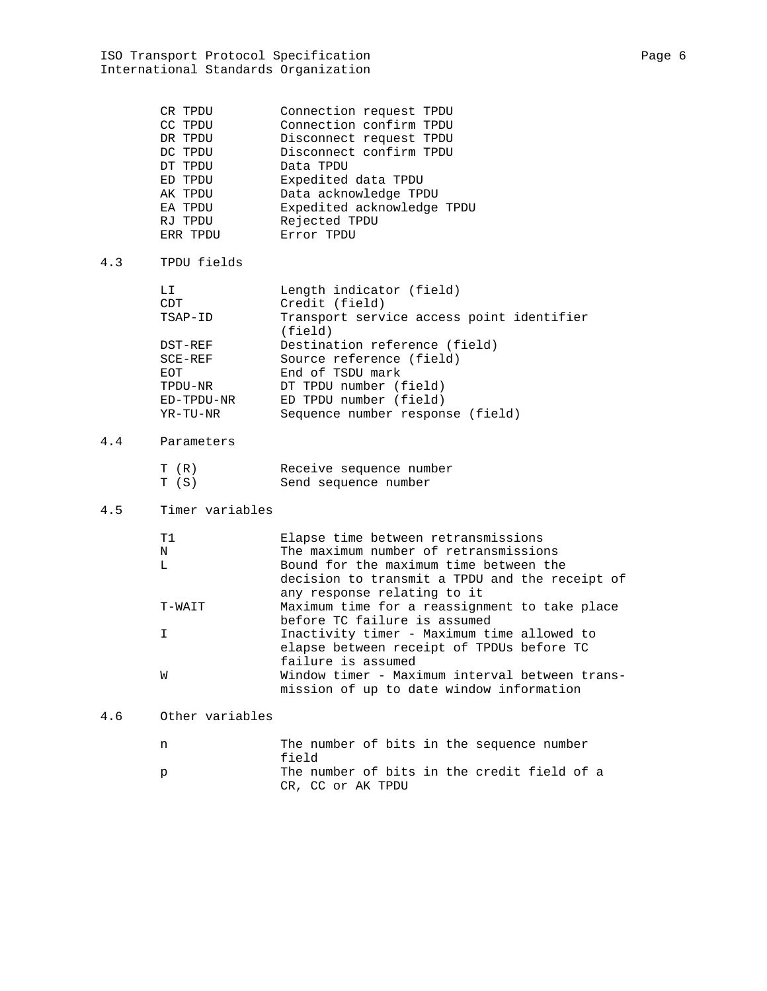|     | CR TPDU<br>CC TPDU<br>DR TPDU<br>DC TPDU<br>DT TPDU<br>ED TPDU<br>AK TPDU<br>EA TPDU<br>RJ TPDU<br>ERR TPDU | Connection request TPDU<br>Connection confirm TPDU<br>Disconnect request TPDU<br>Disconnect confirm TPDU<br>Data TPDU<br>Expedited data TPDU<br>Data acknowledge TPDU<br>Expedited acknowledge TPDU<br>Rejected TPDU<br>Error TPDU                                          |
|-----|-------------------------------------------------------------------------------------------------------------|-----------------------------------------------------------------------------------------------------------------------------------------------------------------------------------------------------------------------------------------------------------------------------|
| 4.3 | TPDU fields                                                                                                 |                                                                                                                                                                                                                                                                             |
|     | LI<br>CDT<br>TSAP-ID<br>DST-REF<br>$SCE-REF$<br>EOT<br>TPDU-NR<br>ED-TPDU-NR<br>YR-TU-NR                    | Length indicator (field)<br>Credit (field)<br>Transport service access point identifier<br>(field)<br>Destination reference (field)<br>Source reference (field)<br>End of TSDU mark<br>DT TPDU number (field)<br>ED TPDU number (field)<br>Sequence number response (field) |
| 4.4 | Parameters                                                                                                  |                                                                                                                                                                                                                                                                             |
|     | T (R)<br>T(S)                                                                                               | Receive sequence number<br>Send sequence number                                                                                                                                                                                                                             |
| 4.5 | Timer variables                                                                                             |                                                                                                                                                                                                                                                                             |
|     | Τ1<br>N<br>L<br>T-WAIT                                                                                      | Elapse time between retransmissions<br>The maximum number of retransmissions<br>Bound for the maximum time between the<br>decision to transmit a TPDU and the receipt of<br>any response relating to it<br>Maximum time for a reassignment to take place                    |
|     | I.                                                                                                          | before TC failure is assumed<br>Inactivity timer - Maximum time allowed to<br>elapse between receipt of TPDUs before TC<br>failure is assumed                                                                                                                               |
|     | W                                                                                                           | Window timer - Maximum interval between trans-<br>mission of up to date window information                                                                                                                                                                                  |
| 4.6 | Other variables                                                                                             |                                                                                                                                                                                                                                                                             |
|     | n                                                                                                           | The number of bits in the sequence number<br>field                                                                                                                                                                                                                          |
|     | р                                                                                                           | The number of bits in the credit field of a<br>CR, CC or AK TPDU                                                                                                                                                                                                            |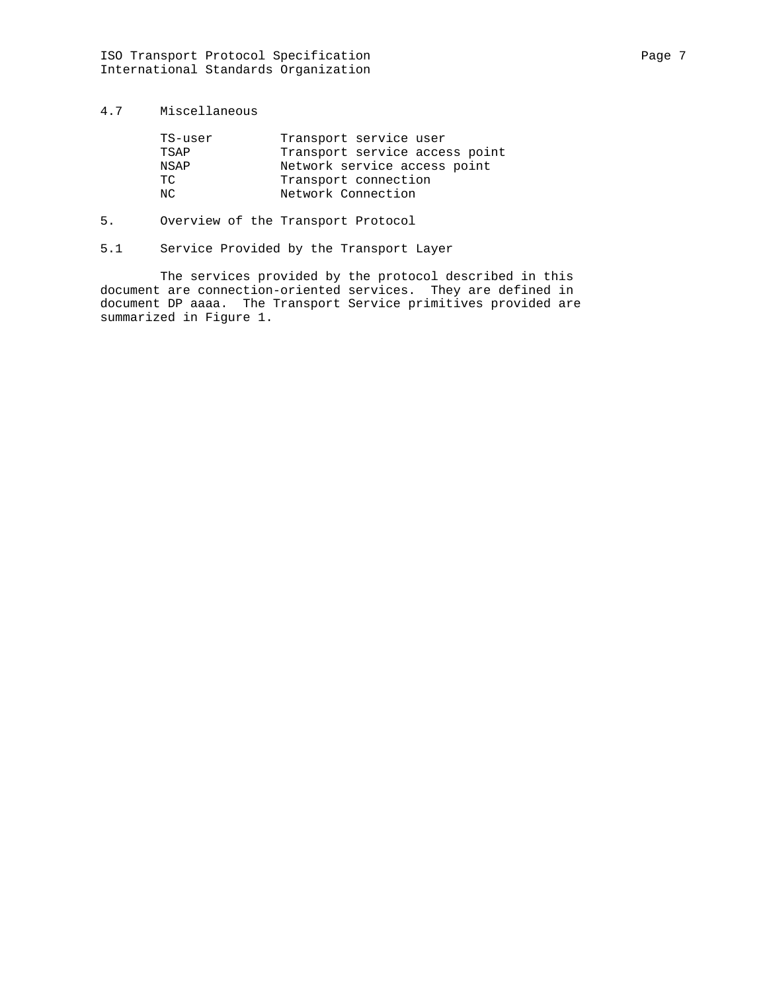# 4.7 Miscellaneous

| Transport service user         |
|--------------------------------|
| Transport service access point |
| Network service access point   |
| Transport connection           |
| Network Connection             |
|                                |

# 5. Overview of the Transport Protocol

5.1 Service Provided by the Transport Layer

 The services provided by the protocol described in this document are connection-oriented services. They are defined in document DP aaaa. The Transport Service primitives provided are summarized in Figure 1.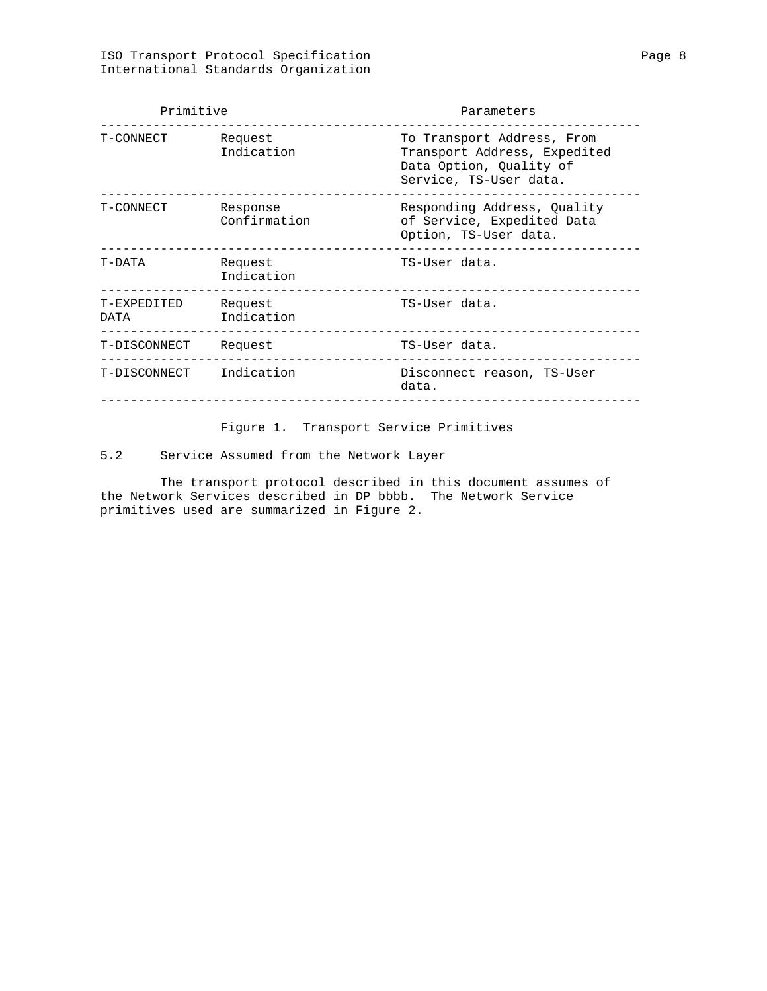| Primitive<br>Parameters |                          |                                                                                                                 |
|-------------------------|--------------------------|-----------------------------------------------------------------------------------------------------------------|
| T-CONNECT               | Request<br>Indication    | To Transport Address, From<br>Transport Address, Expedited<br>Data Option, Quality of<br>Service, TS-User data. |
| T-CONNECT               | Response<br>Confirmation | Responding Address, Quality<br>of Service, Expedited Data<br>Option, TS-User data.                              |
| T-DATA                  | Request<br>Indication    | TS-User data.                                                                                                   |
| T-EXPEDITED<br>DATA     | Request<br>Indication    | TS-User data.                                                                                                   |
| T-DISCONNECT            | Request                  | TS-User data.                                                                                                   |
| T-DISCONNECT Indication |                          | Disconnect reason, TS-User<br>data.                                                                             |
|                         |                          |                                                                                                                 |

Figure 1. Transport Service Primitives

5.2 Service Assumed from the Network Layer

 The transport protocol described in this document assumes of the Network Services described in DP bbbb. The Network Service primitives used are summarized in Figure 2.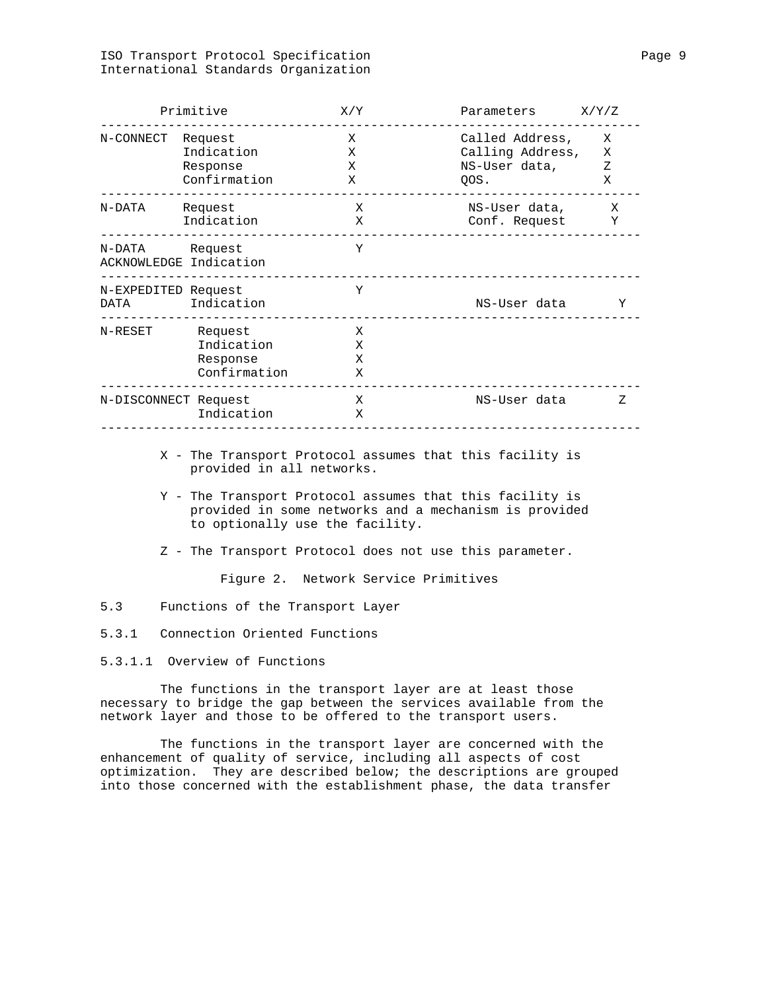# ISO Transport Protocol Specification Page 9 International Standards Organization

|                     | Primitive                                         | X/Y                            | Parameters                                                   | X/Y/Z            |
|---------------------|---------------------------------------------------|--------------------------------|--------------------------------------------------------------|------------------|
| N-CONNECT           | Request<br>Indication<br>Response<br>Confirmation | X<br>X<br>X<br>Х               | Called Address,<br>Calling Address,<br>NS-User data,<br>QOS. | X<br>X<br>Ζ<br>X |
| N-DATA              | Request<br>Indication                             | $\boldsymbol{\mathrm{X}}$<br>X | NS-User data,<br>Conf. Request                               | X<br>Y           |
| N-DATA Request      | ACKNOWLEDGE Indication                            | Y                              |                                                              |                  |
| N-EXPEDITED Request | DATA Indication                                   | Y                              | NS-User data                                                 | Y                |
| N-RESET             | Request<br>Indication<br>Response<br>Confirmation | X<br>X<br>X<br>X               |                                                              |                  |
|                     | N-DISCONNECT Request<br>Indication                | X<br>X                         | NS-User data                                                 | Ζ                |
|                     | provided in all networks.                         |                                | X - The Transport Protocol assumes that this facility is     |                  |

- Y The Transport Protocol assumes that this facility is provided in some networks and a mechanism is provided to optionally use the facility.
- Z The Transport Protocol does not use this parameter.

Figure 2. Network Service Primitives

5.3 Functions of the Transport Layer

5.3.1 Connection Oriented Functions

5.3.1.1 Overview of Functions

 The functions in the transport layer are at least those necessary to bridge the gap between the services available from the network layer and those to be offered to the transport users.

 The functions in the transport layer are concerned with the enhancement of quality of service, including all aspects of cost optimization. They are described below; the descriptions are grouped into those concerned with the establishment phase, the data transfer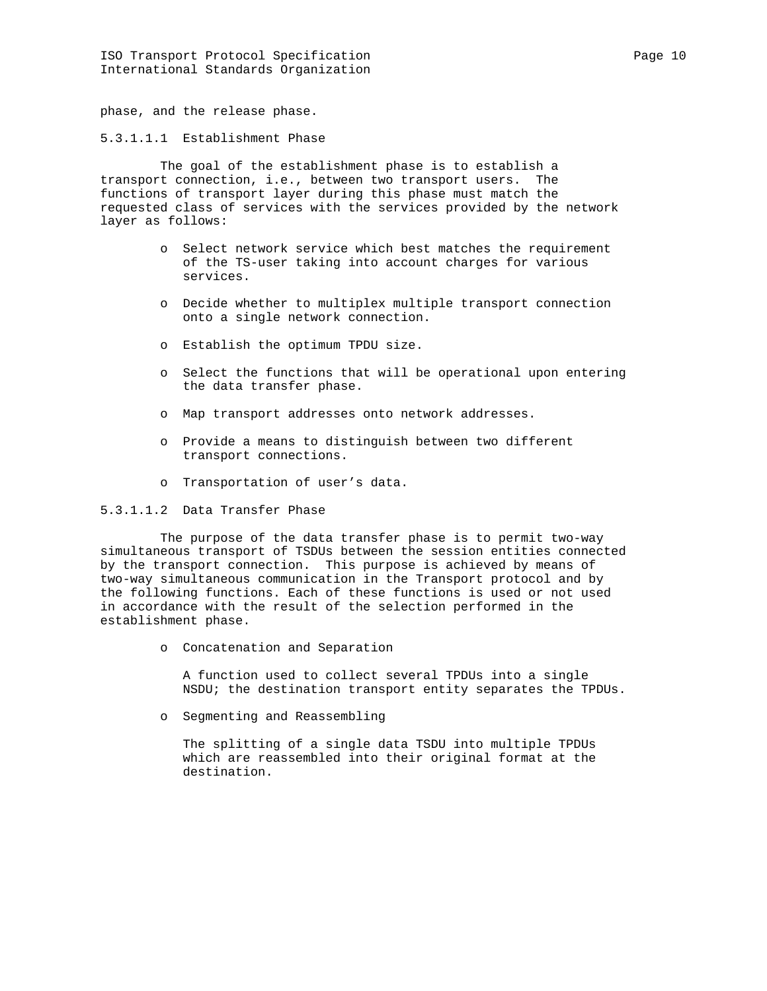ISO Transport Protocol Specification extends the Page 10 Page 10 International Standards Organization

phase, and the release phase.

5.3.1.1.1 Establishment Phase

 The goal of the establishment phase is to establish a transport connection, i.e., between two transport users. The functions of transport layer during this phase must match the requested class of services with the services provided by the network layer as follows:

- o Select network service which best matches the requirement of the TS-user taking into account charges for various services.
- o Decide whether to multiplex multiple transport connection onto a single network connection.
- o Establish the optimum TPDU size.
- o Select the functions that will be operational upon entering the data transfer phase.
- o Map transport addresses onto network addresses.
- o Provide a means to distinguish between two different transport connections.
- o Transportation of user's data.

5.3.1.1.2 Data Transfer Phase

 The purpose of the data transfer phase is to permit two-way simultaneous transport of TSDUs between the session entities connected by the transport connection. This purpose is achieved by means of two-way simultaneous communication in the Transport protocol and by the following functions. Each of these functions is used or not used in accordance with the result of the selection performed in the establishment phase.

o Concatenation and Separation

 A function used to collect several TPDUs into a single NSDU; the destination transport entity separates the TPDUs.

o Segmenting and Reassembling

 The splitting of a single data TSDU into multiple TPDUs which are reassembled into their original format at the destination.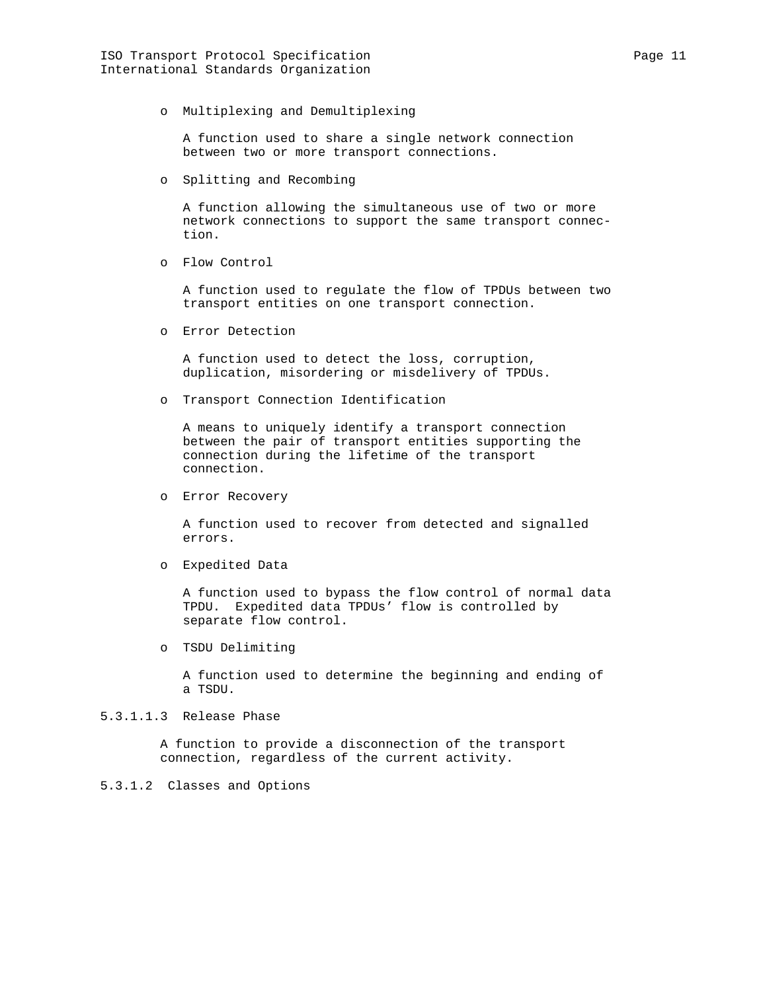A function used to share a single network connection between two or more transport connections.

o Splitting and Recombing

 A function allowing the simultaneous use of two or more network connections to support the same transport connec tion.

o Flow Control

 A function used to regulate the flow of TPDUs between two transport entities on one transport connection.

o Error Detection

 A function used to detect the loss, corruption, duplication, misordering or misdelivery of TPDUs.

o Transport Connection Identification

 A means to uniquely identify a transport connection between the pair of transport entities supporting the connection during the lifetime of the transport connection.

o Error Recovery

 A function used to recover from detected and signalled errors.

o Expedited Data

 A function used to bypass the flow control of normal data TPDU. Expedited data TPDUs' flow is controlled by separate flow control.

o TSDU Delimiting

 A function used to determine the beginning and ending of a TSDU.

# 5.3.1.1.3 Release Phase

 A function to provide a disconnection of the transport connection, regardless of the current activity.

# 5.3.1.2 Classes and Options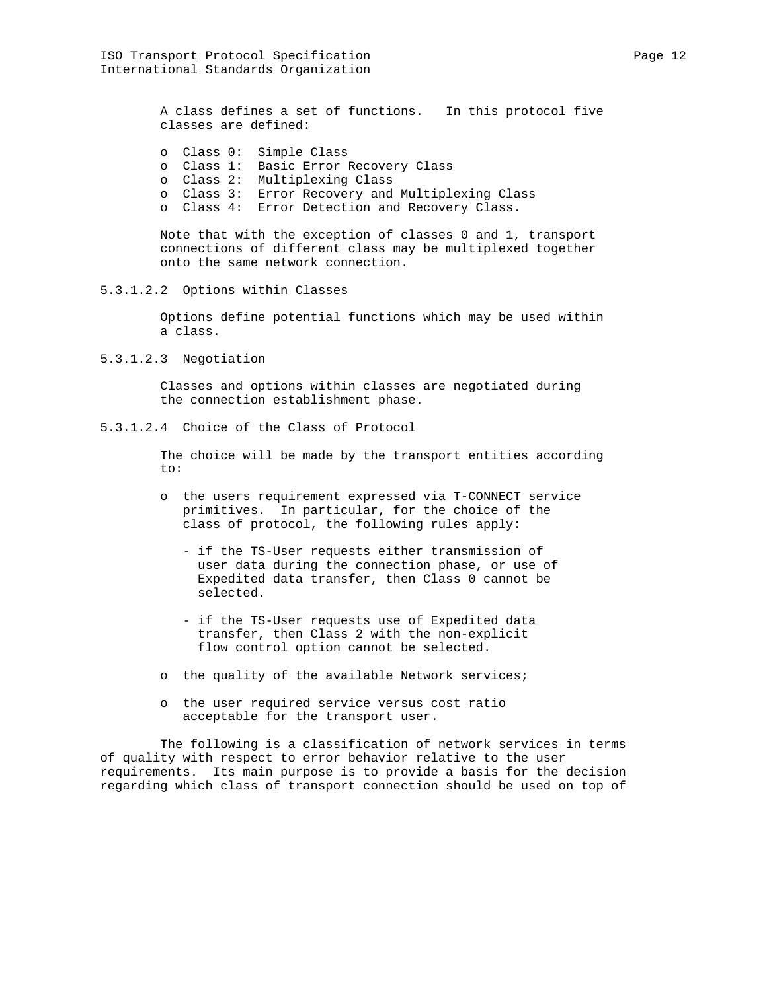A class defines a set of functions. In this protocol five classes are defined:

- o Class 0: Simple Class
- o Class 1: Basic Error Recovery Class
	- o Class 2: Multiplexing Class
	- o Class 3: Error Recovery and Multiplexing Class
	- o Class 4: Error Detection and Recovery Class.

 Note that with the exception of classes 0 and 1, transport connections of different class may be multiplexed together onto the same network connection.

5.3.1.2.2 Options within Classes

 Options define potential functions which may be used within a class.

5.3.1.2.3 Negotiation

 Classes and options within classes are negotiated during the connection establishment phase.

5.3.1.2.4 Choice of the Class of Protocol

 The choice will be made by the transport entities according to:

- o the users requirement expressed via T-CONNECT service primitives. In particular, for the choice of the class of protocol, the following rules apply:
	- if the TS-User requests either transmission of user data during the connection phase, or use of Expedited data transfer, then Class 0 cannot be selected.
	- if the TS-User requests use of Expedited data transfer, then Class 2 with the non-explicit flow control option cannot be selected.
- o the quality of the available Network services;
- o the user required service versus cost ratio acceptable for the transport user.

 The following is a classification of network services in terms of quality with respect to error behavior relative to the user requirements. Its main purpose is to provide a basis for the decision regarding which class of transport connection should be used on top of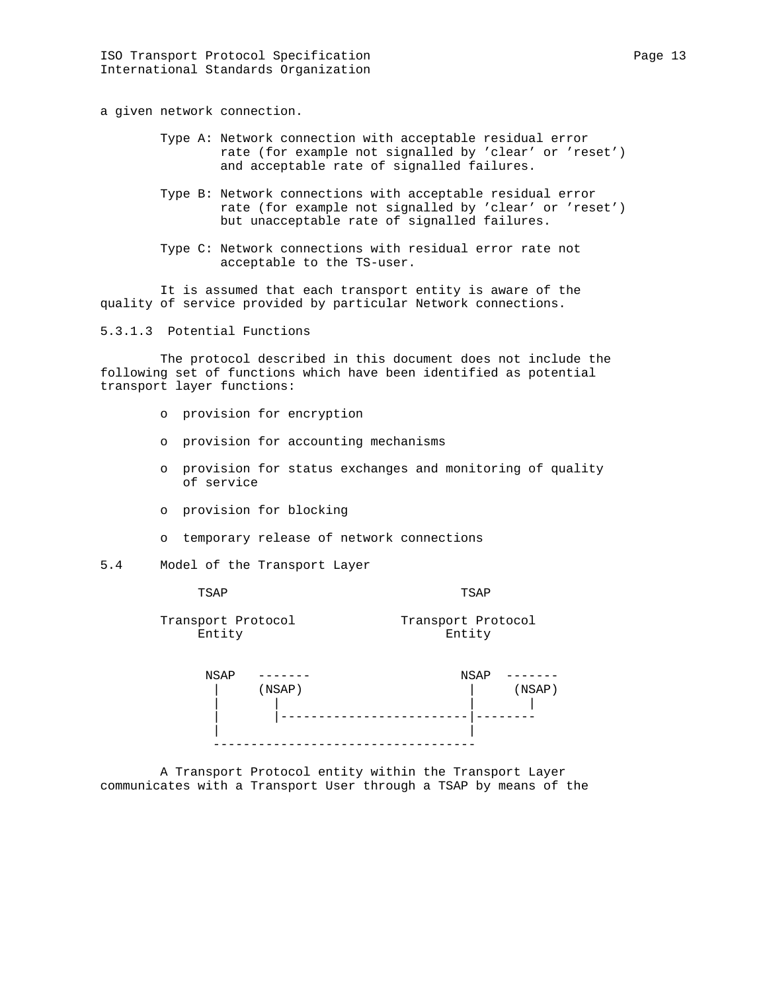a given network connection.

- Type A: Network connection with acceptable residual error rate (for example not signalled by 'clear' or 'reset') and acceptable rate of signalled failures.
- Type B: Network connections with acceptable residual error rate (for example not signalled by 'clear' or 'reset') but unacceptable rate of signalled failures.
- Type C: Network connections with residual error rate not acceptable to the TS-user.

 It is assumed that each transport entity is aware of the quality of service provided by particular Network connections.

5.3.1.3 Potential Functions

 The protocol described in this document does not include the following set of functions which have been identified as potential transport layer functions:

- o provision for encryption
- o provision for accounting mechanisms
- o provision for status exchanges and monitoring of quality of service
- o provision for blocking
- o temporary release of network connections
- 5.4 Model of the Transport Layer

TSAP TSAP

Transport Protocol Transport Protocol Entity Entity

| <b>NSAP</b> |        | NSAP         |
|-------------|--------|--------------|
|             | (NSAP) | $($ NSAP $)$ |
|             |        |              |
|             |        |              |
|             |        |              |
|             |        |              |

 A Transport Protocol entity within the Transport Layer communicates with a Transport User through a TSAP by means of the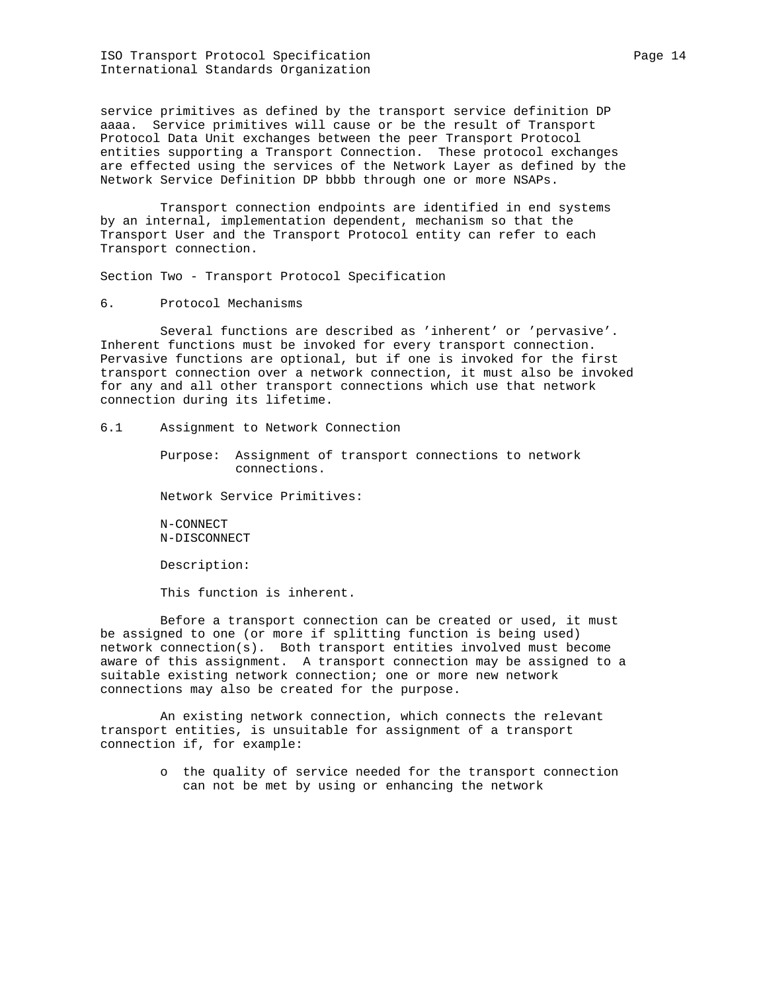ISO Transport Protocol Specification extends the Page 14 International Standards Organization

service primitives as defined by the transport service definition DP aaaa. Service primitives will cause or be the result of Transport Protocol Data Unit exchanges between the peer Transport Protocol entities supporting a Transport Connection. These protocol exchanges are effected using the services of the Network Layer as defined by the Network Service Definition DP bbbb through one or more NSAPs.

 Transport connection endpoints are identified in end systems by an internal, implementation dependent, mechanism so that the Transport User and the Transport Protocol entity can refer to each Transport connection.

Section Two - Transport Protocol Specification

6. Protocol Mechanisms

 Several functions are described as 'inherent' or 'pervasive'. Inherent functions must be invoked for every transport connection. Pervasive functions are optional, but if one is invoked for the first transport connection over a network connection, it must also be invoked for any and all other transport connections which use that network connection during its lifetime.

# 6.1 Assignment to Network Connection

 Purpose: Assignment of transport connections to network connections.

Network Service Primitives:

 N-CONNECT N-DISCONNECT

Description:

This function is inherent.

 Before a transport connection can be created or used, it must be assigned to one (or more if splitting function is being used) network connection(s). Both transport entities involved must become aware of this assignment. A transport connection may be assigned to a suitable existing network connection; one or more new network connections may also be created for the purpose.

 An existing network connection, which connects the relevant transport entities, is unsuitable for assignment of a transport connection if, for example:

> o the quality of service needed for the transport connection can not be met by using or enhancing the network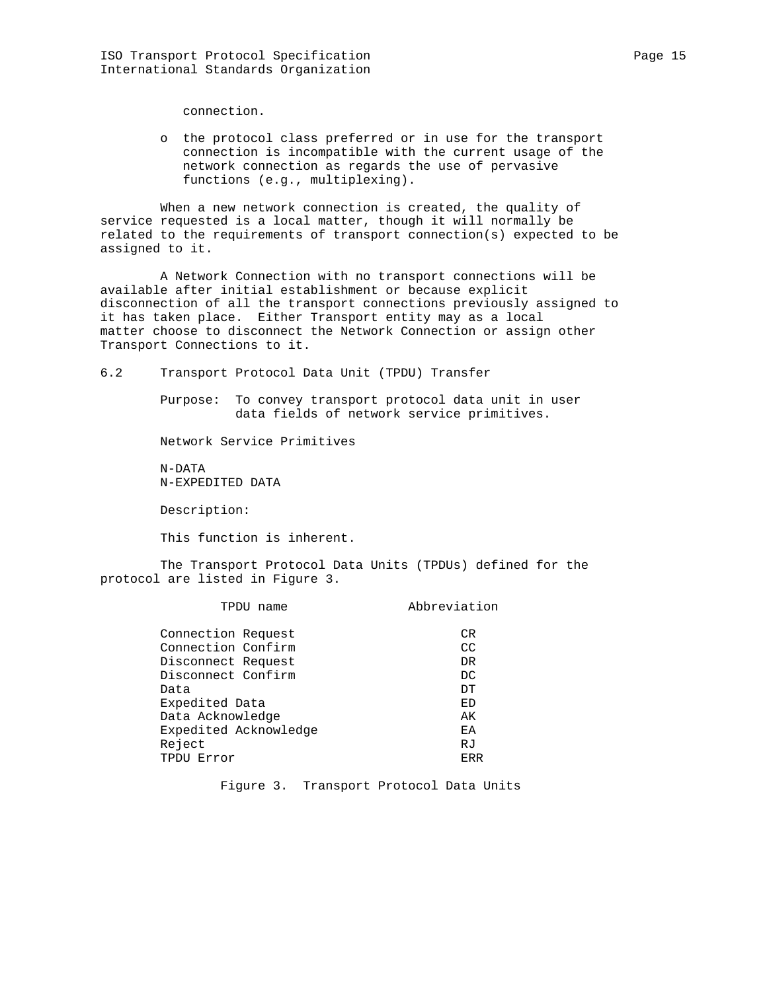connection.

 o the protocol class preferred or in use for the transport connection is incompatible with the current usage of the network connection as regards the use of pervasive functions (e.g., multiplexing).

 When a new network connection is created, the quality of service requested is a local matter, though it will normally be related to the requirements of transport connection(s) expected to be assigned to it.

 A Network Connection with no transport connections will be available after initial establishment or because explicit disconnection of all the transport connections previously assigned to it has taken place. Either Transport entity may as a local matter choose to disconnect the Network Connection or assign other Transport Connections to it.

6.2 Transport Protocol Data Unit (TPDU) Transfer

 Purpose: To convey transport protocol data unit in user data fields of network service primitives.

Network Service Primitives

 N-DATA N-EXPEDITED DATA

Description:

This function is inherent.

 The Transport Protocol Data Units (TPDUs) defined for the protocol are listed in Figure 3.

| TPDU name             | Abbreviation |
|-----------------------|--------------|
|                       |              |
| Connection Request    | CR.          |
| Connection Confirm    | CC           |
| Disconnect Request    | DR.          |
| Disconnect Confirm    | DC           |
| Data                  | DT           |
| Expedited Data        | ED           |
| Data Acknowledge      | AК           |
| Expedited Acknowledge | EA           |
| Reject                | RJ           |
| TPDU Error            | ERR          |

Figure 3. Transport Protocol Data Units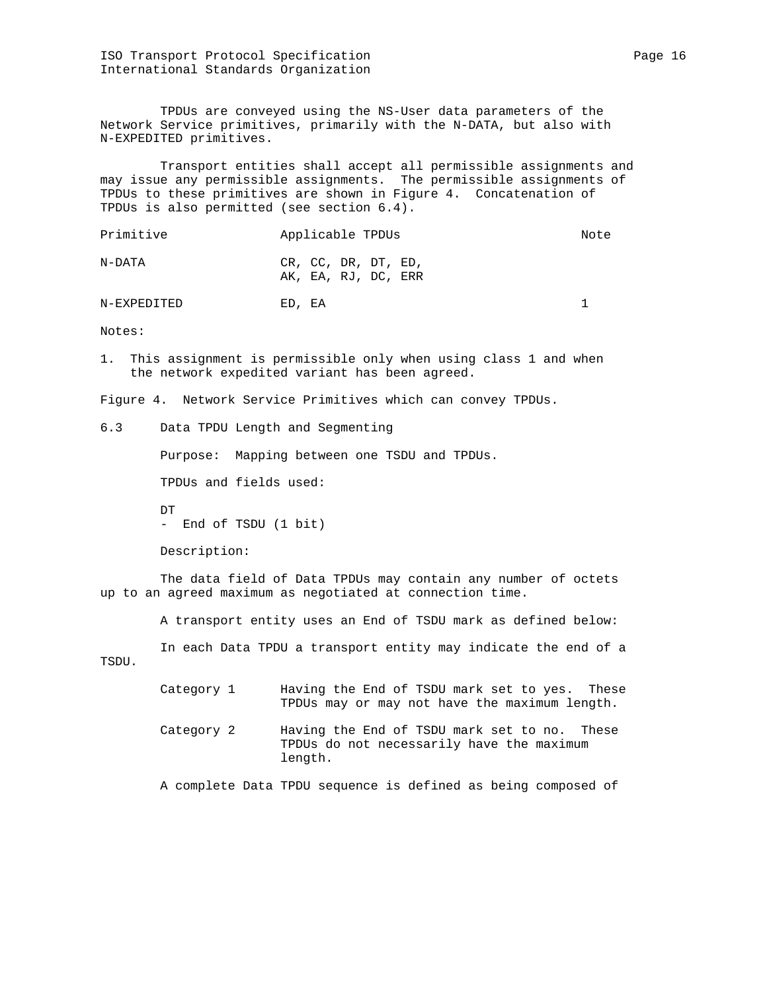ISO Transport Protocol Specification extends the page 16 Page 16 International Standards Organization

 TPDUs are conveyed using the NS-User data parameters of the Network Service primitives, primarily with the N-DATA, but also with N-EXPEDITED primitives.

 Transport entities shall accept all permissible assignments and may issue any permissible assignments. The permissible assignments of TPDUs to these primitives are shown in Figure 4. Concatenation of TPDUs is also permitted (see section 6.4).

| Primitive | Applicable TPDUs                           | Note |
|-----------|--------------------------------------------|------|
| N-DATA    | CR, CC, DR, DT, ED,<br>AK, EA, RJ, DC, ERR |      |

N-EXPEDITED ED, EA 1

Notes:

1. This assignment is permissible only when using class 1 and when the network expedited variant has been agreed.

Figure 4. Network Service Primitives which can convey TPDUs.

6.3 Data TPDU Length and Segmenting

Purpose: Mapping between one TSDU and TPDUs.

TPDUs and fields used:

DT. - End of TSDU (1 bit)

Description:

 The data field of Data TPDUs may contain any number of octets up to an agreed maximum as negotiated at connection time.

A transport entity uses an End of TSDU mark as defined below:

 In each Data TPDU a transport entity may indicate the end of a TSDU.

- Category 1 Having the End of TSDU mark set to yes. These TPDUs may or may not have the maximum length.
- Category 2 Having the End of TSDU mark set to no. These TPDUs do not necessarily have the maximum length.

A complete Data TPDU sequence is defined as being composed of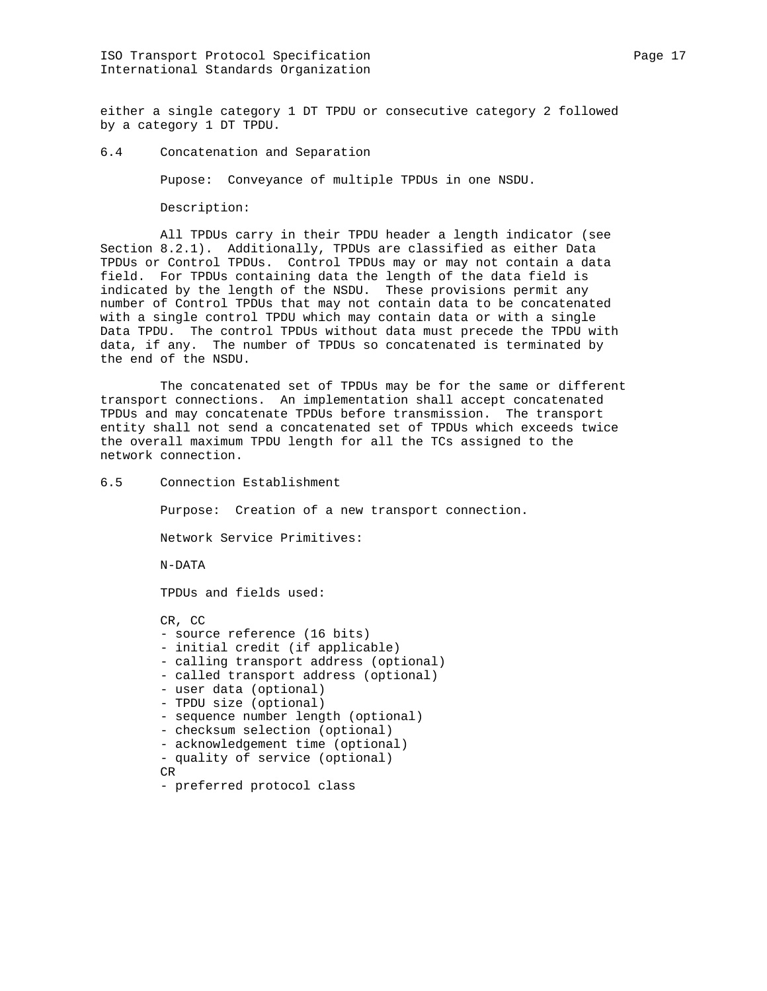either a single category 1 DT TPDU or consecutive category 2 followed by a category 1 DT TPDU.

6.4 Concatenation and Separation

Pupose: Conveyance of multiple TPDUs in one NSDU.

Description:

 All TPDUs carry in their TPDU header a length indicator (see Section 8.2.1). Additionally, TPDUs are classified as either Data TPDUs or Control TPDUs. Control TPDUs may or may not contain a data field. For TPDUs containing data the length of the data field is indicated by the length of the NSDU. These provisions permit any number of Control TPDUs that may not contain data to be concatenated with a single control TPDU which may contain data or with a single Data TPDU. The control TPDUs without data must precede the TPDU with data, if any. The number of TPDUs so concatenated is terminated by the end of the NSDU.

 The concatenated set of TPDUs may be for the same or different transport connections. An implementation shall accept concatenated TPDUs and may concatenate TPDUs before transmission. The transport entity shall not send a concatenated set of TPDUs which exceeds twice the overall maximum TPDU length for all the TCs assigned to the network connection.

6.5 Connection Establishment

Purpose: Creation of a new transport connection.

Network Service Primitives:

N-DATA

TPDUs and fields used:

 CR, CC - source reference (16 bits) - initial credit (if applicable) - calling transport address (optional) - called transport address (optional) - user data (optional) - TPDU size (optional) - sequence number length (optional) - checksum selection (optional) - acknowledgement time (optional) - quality of service (optional) CR - preferred protocol class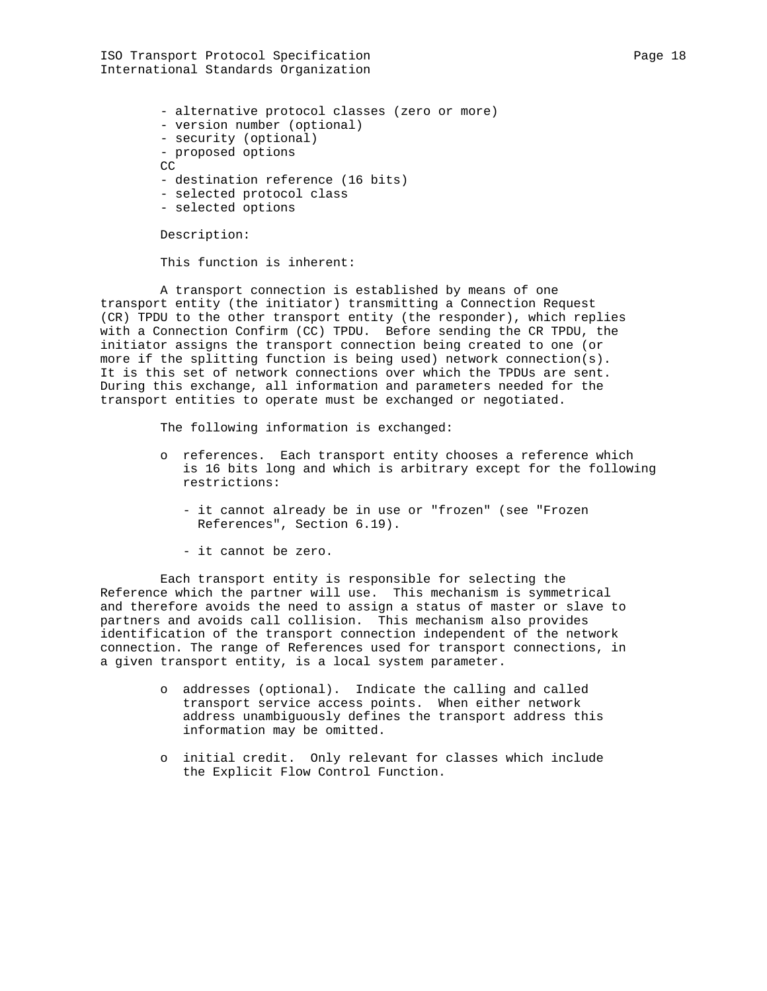ISO Transport Protocol Specification extends the page 18 Page 18 International Standards Organization

 - alternative protocol classes (zero or more) - version number (optional) - security (optional) - proposed options CC - destination reference (16 bits) - selected protocol class

- selected options

Description:

This function is inherent:

 A transport connection is established by means of one transport entity (the initiator) transmitting a Connection Request (CR) TPDU to the other transport entity (the responder), which replies with a Connection Confirm (CC) TPDU. Before sending the CR TPDU, the initiator assigns the transport connection being created to one (or more if the splitting function is being used) network connection(s). It is this set of network connections over which the TPDUs are sent. During this exchange, all information and parameters needed for the transport entities to operate must be exchanged or negotiated.

The following information is exchanged:

- o references. Each transport entity chooses a reference which is 16 bits long and which is arbitrary except for the following restrictions:
	- it cannot already be in use or "frozen" (see "Frozen References", Section 6.19).
	- it cannot be zero.

 Each transport entity is responsible for selecting the Reference which the partner will use. This mechanism is symmetrical and therefore avoids the need to assign a status of master or slave to partners and avoids call collision. This mechanism also provides identification of the transport connection independent of the network connection. The range of References used for transport connections, in a given transport entity, is a local system parameter.

- o addresses (optional). Indicate the calling and called transport service access points. When either network address unambiguously defines the transport address this information may be omitted.
- o initial credit. Only relevant for classes which include the Explicit Flow Control Function.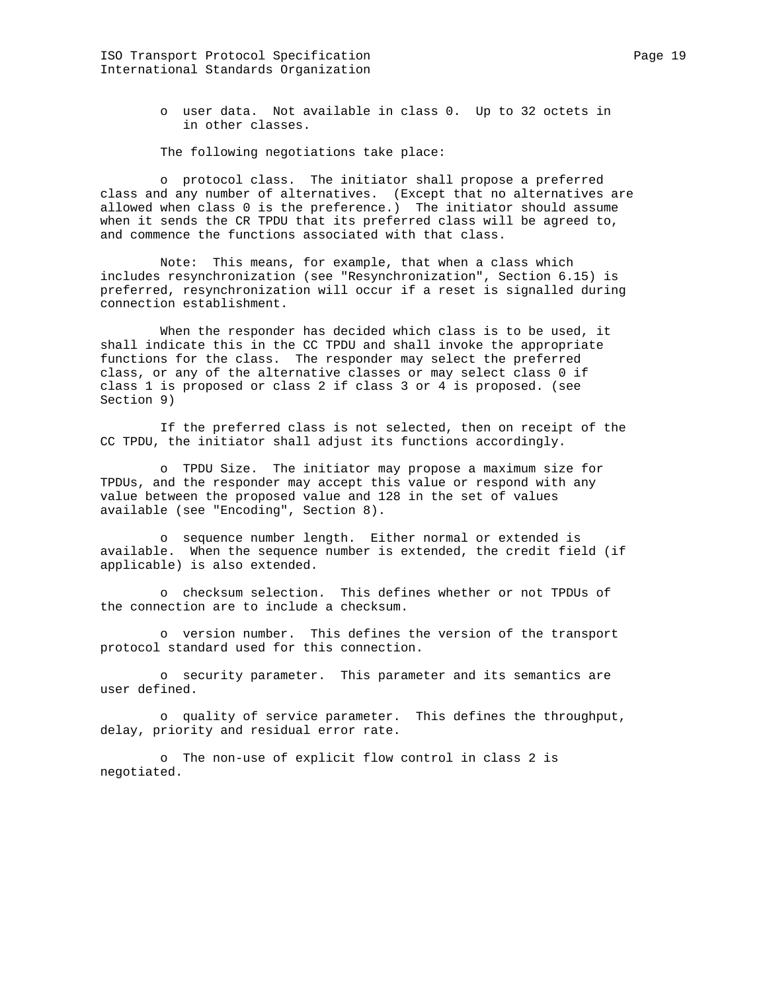o user data. Not available in class 0. Up to 32 octets in in other classes.

The following negotiations take place:

 o protocol class. The initiator shall propose a preferred class and any number of alternatives. (Except that no alternatives are allowed when class 0 is the preference.) The initiator should assume when it sends the CR TPDU that its preferred class will be agreed to, and commence the functions associated with that class.

 Note: This means, for example, that when a class which includes resynchronization (see "Resynchronization", Section 6.15) is preferred, resynchronization will occur if a reset is signalled during connection establishment.

 When the responder has decided which class is to be used, it shall indicate this in the CC TPDU and shall invoke the appropriate functions for the class. The responder may select the preferred class, or any of the alternative classes or may select class 0 if class 1 is proposed or class 2 if class 3 or 4 is proposed. (see Section 9)

 If the preferred class is not selected, then on receipt of the CC TPDU, the initiator shall adjust its functions accordingly.

 o TPDU Size. The initiator may propose a maximum size for TPDUs, and the responder may accept this value or respond with any value between the proposed value and 128 in the set of values available (see "Encoding", Section 8).

 o sequence number length. Either normal or extended is available. When the sequence number is extended, the credit field (if applicable) is also extended.

 o checksum selection. This defines whether or not TPDUs of the connection are to include a checksum.

 o version number. This defines the version of the transport protocol standard used for this connection.

 o security parameter. This parameter and its semantics are user defined.

 o quality of service parameter. This defines the throughput, delay, priority and residual error rate.

 o The non-use of explicit flow control in class 2 is negotiated.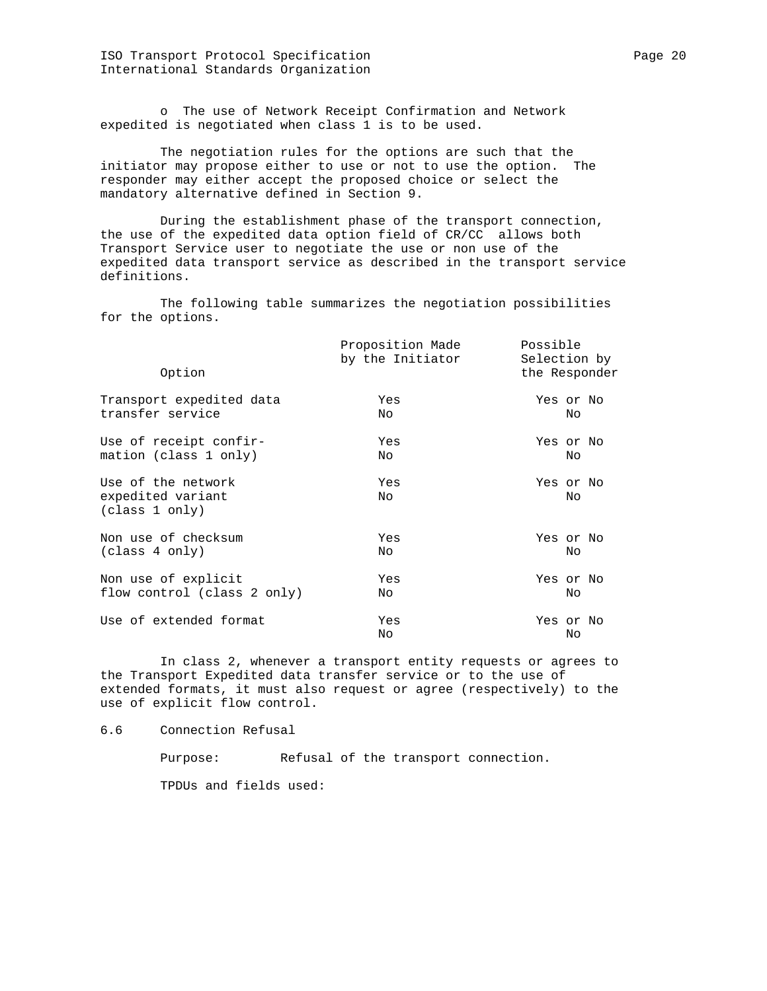ISO Transport Protocol Specification extends the page 20 Page 20 International Standards Organization

 o The use of Network Receipt Confirmation and Network expedited is negotiated when class 1 is to be used.

 The negotiation rules for the options are such that the initiator may propose either to use or not to use the option. The responder may either accept the proposed choice or select the mandatory alternative defined in Section 9.

 During the establishment phase of the transport connection, the use of the expedited data option field of CR/CC allows both Transport Service user to negotiate the use or non use of the expedited data transport service as described in the transport service definitions.

 The following table summarizes the negotiation possibilities for the options.

| Option                                                    | Proposition Made<br>by the Initiator | Possible<br>Selection by<br>the Responder |  |
|-----------------------------------------------------------|--------------------------------------|-------------------------------------------|--|
| Transport expedited data                                  | Yes                                  | Yes or No                                 |  |
| transfer service                                          | No.                                  | No                                        |  |
| Use of receipt confir-                                    | Yes                                  | Yes or No                                 |  |
| mation (class 1 only)                                     | No.                                  | No                                        |  |
| Use of the network<br>expedited variant<br>(class 1 only) | Yes<br>No.                           | Yes or No<br>No                           |  |
| Non use of checksum                                       | Yes                                  | Yes or No                                 |  |
| (class 4 only)                                            | No.                                  | Nο                                        |  |
| Non use of explicit                                       | Yes                                  | Yes or No                                 |  |
| flow control (class 2 only)                               | No.                                  | No                                        |  |
| Use of extended format                                    | Yes<br>No                            | Yes or No<br>No                           |  |

 In class 2, whenever a transport entity requests or agrees to the Transport Expedited data transfer service or to the use of extended formats, it must also request or agree (respectively) to the use of explicit flow control.

6.6 Connection Refusal

Purpose: Refusal of the transport connection.

TPDUs and fields used: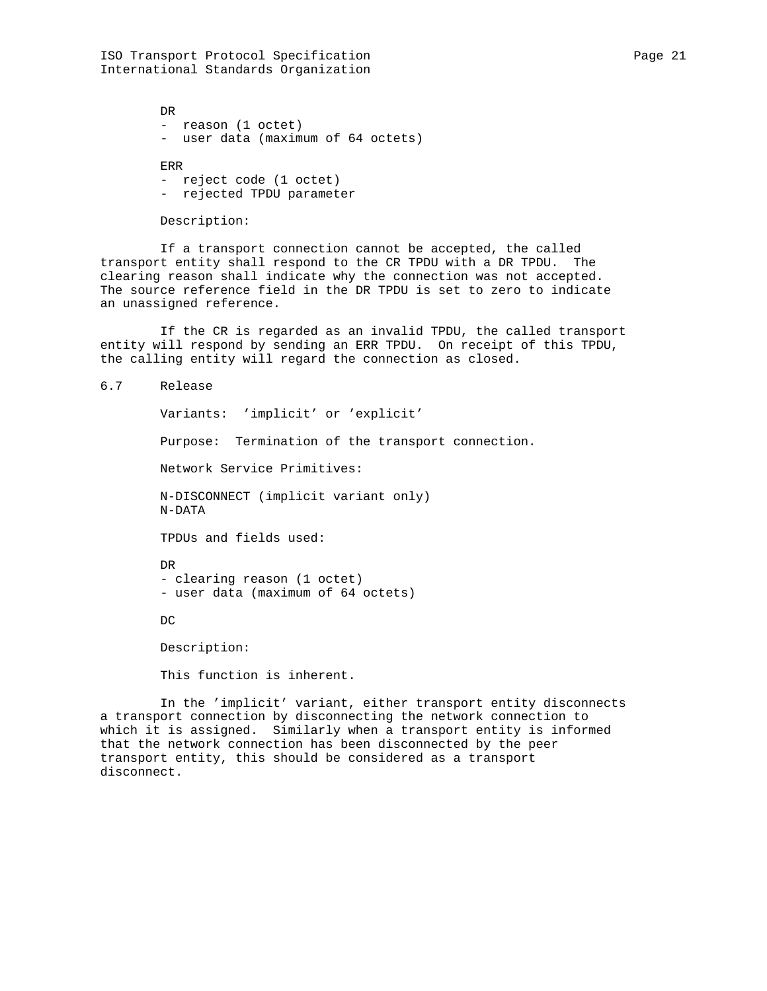ISO Transport Protocol Specification extends the Page 21 of Page 21 International Standards Organization

 DR - reason (1 octet) - user data (maximum of 64 octets) ERR - reject code (1 octet) - rejected TPDU parameter

Description:

 If a transport connection cannot be accepted, the called transport entity shall respond to the CR TPDU with a DR TPDU. The clearing reason shall indicate why the connection was not accepted. The source reference field in the DR TPDU is set to zero to indicate an unassigned reference.

 If the CR is regarded as an invalid TPDU, the called transport entity will respond by sending an ERR TPDU. On receipt of this TPDU, the calling entity will regard the connection as closed.

```
6.7 Release
```
 Variants: 'implicit' or 'explicit' Purpose: Termination of the transport connection. Network Service Primitives: N-DISCONNECT (implicit variant only) N-DATA TPDUs and fields used: DR - clearing reason (1 octet) - user data (maximum of 64 octets) DC Description: This function is inherent.

 In the 'implicit' variant, either transport entity disconnects a transport connection by disconnecting the network connection to which it is assigned. Similarly when a transport entity is informed that the network connection has been disconnected by the peer transport entity, this should be considered as a transport disconnect.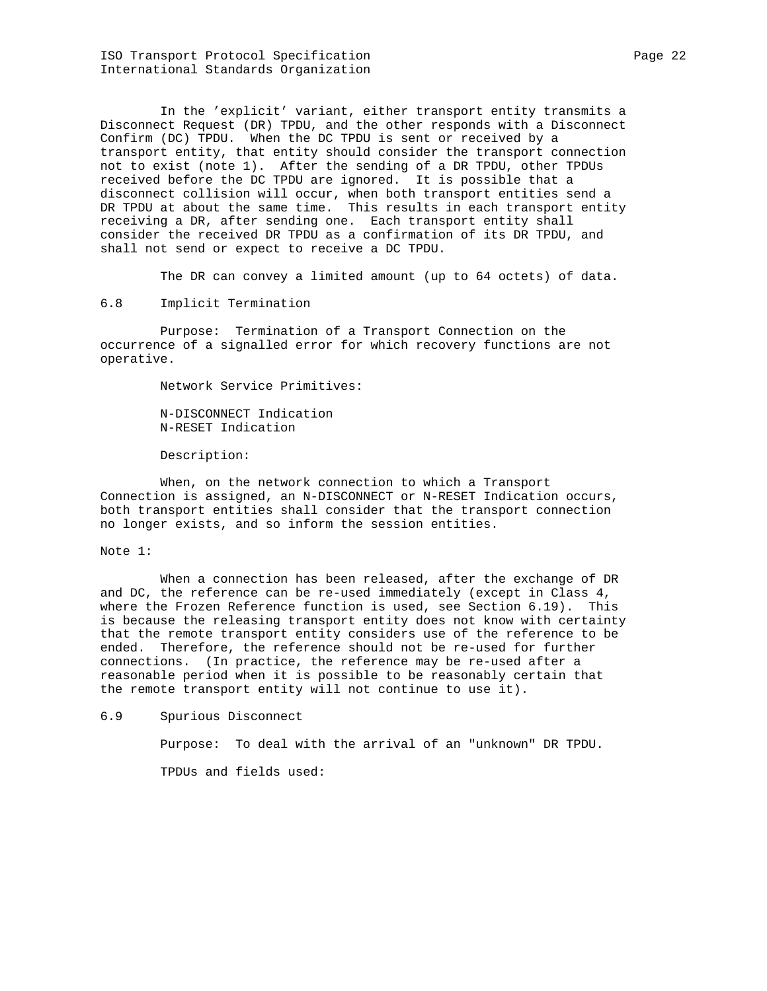ISO Transport Protocol Specification extends the Page 22 Page 22 International Standards Organization

 In the 'explicit' variant, either transport entity transmits a Disconnect Request (DR) TPDU, and the other responds with a Disconnect Confirm (DC) TPDU. When the DC TPDU is sent or received by a transport entity, that entity should consider the transport connection not to exist (note 1). After the sending of a DR TPDU, other TPDUs received before the DC TPDU are ignored. It is possible that a disconnect collision will occur, when both transport entities send a DR TPDU at about the same time. This results in each transport entity receiving a DR, after sending one. Each transport entity shall consider the received DR TPDU as a confirmation of its DR TPDU, and shall not send or expect to receive a DC TPDU.

The DR can convey a limited amount (up to 64 octets) of data.

# 6.8 Implicit Termination

 Purpose: Termination of a Transport Connection on the occurrence of a signalled error for which recovery functions are not operative.

Network Service Primitives:

 N-DISCONNECT Indication N-RESET Indication

Description:

 When, on the network connection to which a Transport Connection is assigned, an N-DISCONNECT or N-RESET Indication occurs, both transport entities shall consider that the transport connection no longer exists, and so inform the session entities.

### Note 1:

 When a connection has been released, after the exchange of DR and DC, the reference can be re-used immediately (except in Class 4, where the Frozen Reference function is used, see Section 6.19). This is because the releasing transport entity does not know with certainty that the remote transport entity considers use of the reference to be ended. Therefore, the reference should not be re-used for further connections. (In practice, the reference may be re-used after a reasonable period when it is possible to be reasonably certain that the remote transport entity will not continue to use it).

6.9 Spurious Disconnect

Purpose: To deal with the arrival of an "unknown" DR TPDU.

TPDUs and fields used: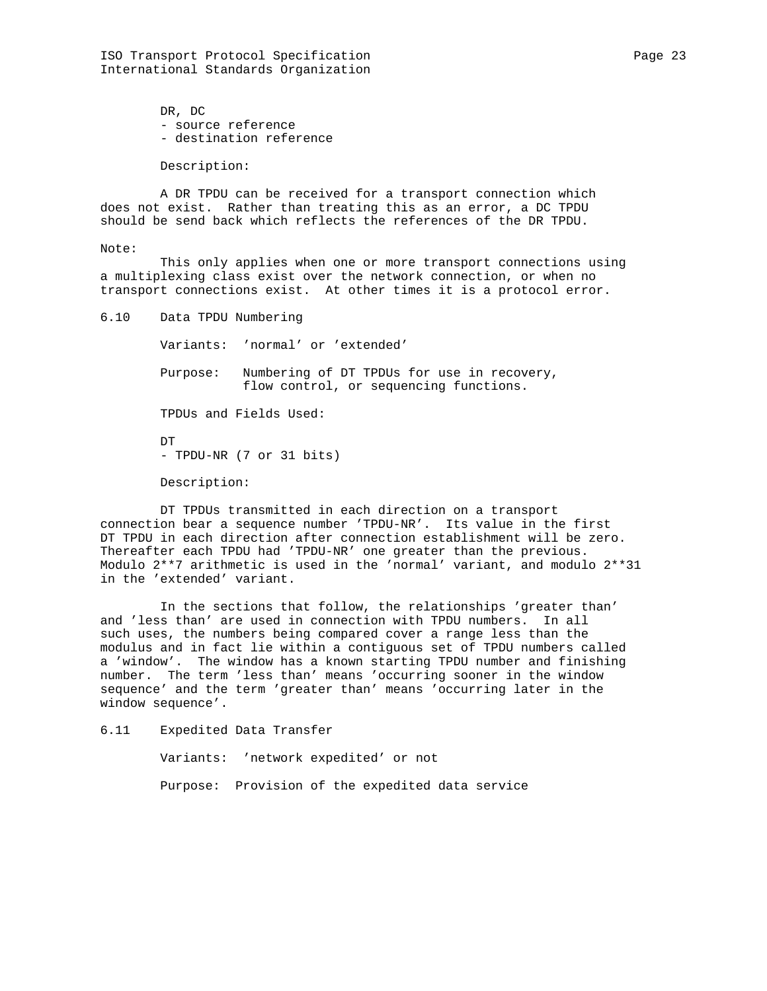ISO Transport Protocol Specification extends the Page 23 Page 23 International Standards Organization

 DR, DC - source reference - destination reference

Description:

 A DR TPDU can be received for a transport connection which does not exist. Rather than treating this as an error, a DC TPDU should be send back which reflects the references of the DR TPDU.

# Note:

 This only applies when one or more transport connections using a multiplexing class exist over the network connection, or when no transport connections exist. At other times it is a protocol error.

6.10 Data TPDU Numbering

Variants: 'normal' or 'extended'

 Purpose: Numbering of DT TPDUs for use in recovery, flow control, or sequencing functions.

TPDUs and Fields Used:

 DT - TPDU-NR (7 or 31 bits)

Description:

 DT TPDUs transmitted in each direction on a transport connection bear a sequence number 'TPDU-NR'. Its value in the first DT TPDU in each direction after connection establishment will be zero. Thereafter each TPDU had 'TPDU-NR' one greater than the previous. Modulo 2\*\*7 arithmetic is used in the 'normal' variant, and modulo 2\*\*31 in the 'extended' variant.

 In the sections that follow, the relationships 'greater than' and 'less than' are used in connection with TPDU numbers. In all such uses, the numbers being compared cover a range less than the modulus and in fact lie within a contiguous set of TPDU numbers called a 'window'. The window has a known starting TPDU number and finishing number. The term 'less than' means 'occurring sooner in the window sequence' and the term 'greater than' means 'occurring later in the window sequence'.

6.11 Expedited Data Transfer

Variants: 'network expedited' or not

Purpose: Provision of the expedited data service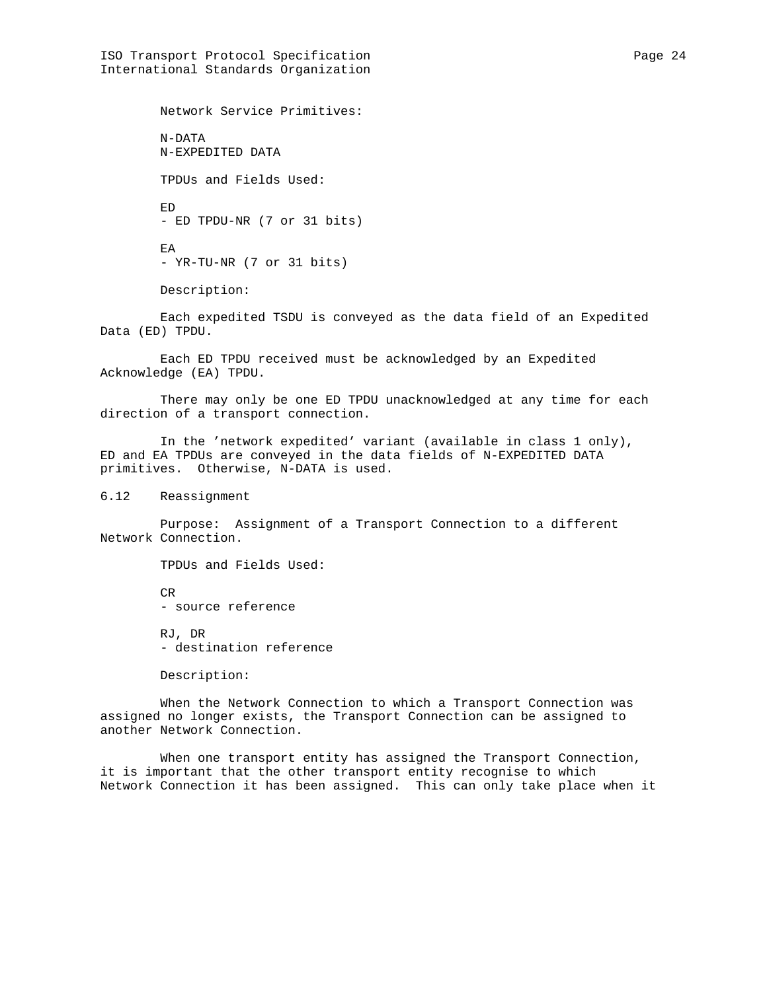ISO Transport Protocol Specification extends the page 24 International Standards Organization

 Network Service Primitives: N-DATA N-EXPEDITED DATA TPDUs and Fields Used: ED - ED TPDU-NR (7 or 31 bits) EA - YR-TU-NR (7 or 31 bits) Description:

 Each expedited TSDU is conveyed as the data field of an Expedited Data (ED) TPDU.

 Each ED TPDU received must be acknowledged by an Expedited Acknowledge (EA) TPDU.

 There may only be one ED TPDU unacknowledged at any time for each direction of a transport connection.

 In the 'network expedited' variant (available in class 1 only), ED and EA TPDUs are conveyed in the data fields of N-EXPEDITED DATA primitives. Otherwise, N-DATA is used.

6.12 Reassignment

 Purpose: Assignment of a Transport Connection to a different Network Connection.

TPDUs and Fields Used:

 CR - source reference

 RJ, DR - destination reference

Description:

 When the Network Connection to which a Transport Connection was assigned no longer exists, the Transport Connection can be assigned to another Network Connection.

 When one transport entity has assigned the Transport Connection, it is important that the other transport entity recognise to which Network Connection it has been assigned. This can only take place when it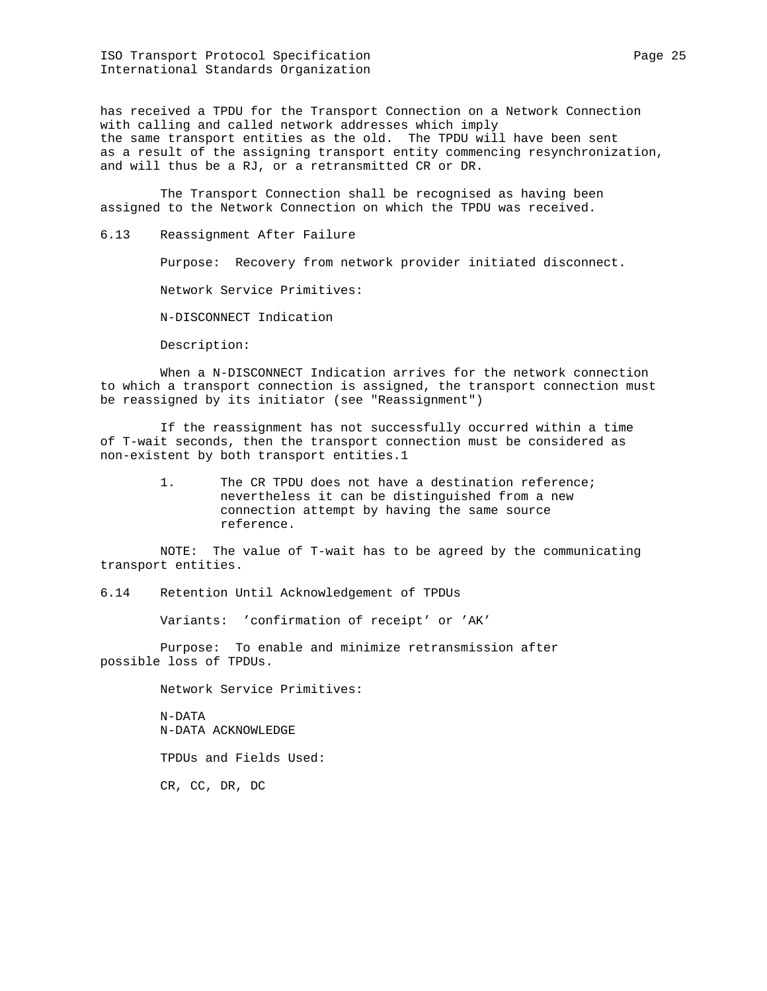ISO Transport Protocol Specification extends the Page 25 and Page 25 International Standards Organization

has received a TPDU for the Transport Connection on a Network Connection with calling and called network addresses which imply the same transport entities as the old. The TPDU will have been sent as a result of the assigning transport entity commencing resynchronization, and will thus be a RJ, or a retransmitted CR or DR.

 The Transport Connection shall be recognised as having been assigned to the Network Connection on which the TPDU was received.

6.13 Reassignment After Failure

Purpose: Recovery from network provider initiated disconnect.

Network Service Primitives:

N-DISCONNECT Indication

Description:

 When a N-DISCONNECT Indication arrives for the network connection to which a transport connection is assigned, the transport connection must be reassigned by its initiator (see "Reassignment")

 If the reassignment has not successfully occurred within a time of T-wait seconds, then the transport connection must be considered as non-existent by both transport entities.1

> 1. The CR TPDU does not have a destination reference; nevertheless it can be distinguished from a new connection attempt by having the same source reference.

 NOTE: The value of T-wait has to be agreed by the communicating transport entities.

6.14 Retention Until Acknowledgement of TPDUs

Variants: 'confirmation of receipt' or 'AK'

 Purpose: To enable and minimize retransmission after possible loss of TPDUs.

Network Service Primitives:

 N-DATA N-DATA ACKNOWLEDGE

TPDUs and Fields Used:

CR, CC, DR, DC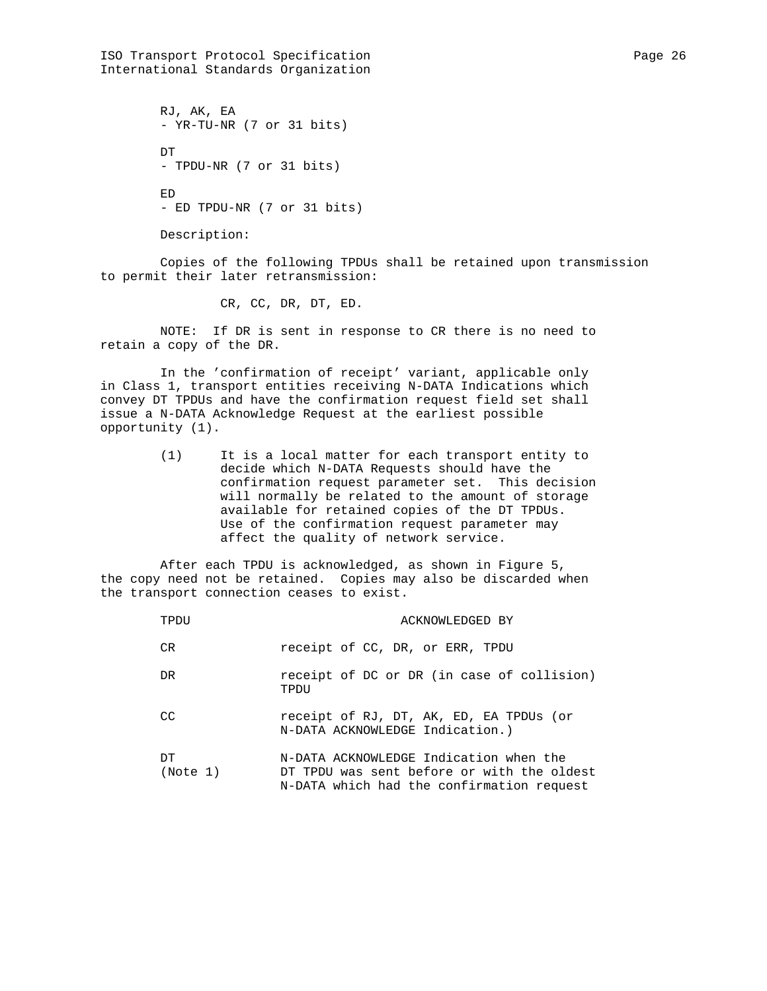ISO Transport Protocol Specification extends the Page 26 Page 26 International Standards Organization

 RJ, AK, EA - YR-TU-NR (7 or 31 bits) DT - TPDU-NR (7 or 31 bits) ED - ED TPDU-NR (7 or 31 bits)

Description:

 Copies of the following TPDUs shall be retained upon transmission to permit their later retransmission:

CR, CC, DR, DT, ED.

 NOTE: If DR is sent in response to CR there is no need to retain a copy of the DR.

 In the 'confirmation of receipt' variant, applicable only in Class 1, transport entities receiving N-DATA Indications which convey DT TPDUs and have the confirmation request field set shall issue a N-DATA Acknowledge Request at the earliest possible opportunity (1).

> (1) It is a local matter for each transport entity to decide which N-DATA Requests should have the confirmation request parameter set. This decision will normally be related to the amount of storage available for retained copies of the DT TPDUs. Use of the confirmation request parameter may affect the quality of network service.

 After each TPDU is acknowledged, as shown in Figure 5, the copy need not be retained. Copies may also be discarded when the transport connection ceases to exist.

| TPDU           | ACKNOWLEDGED BY                                                                                                                   |
|----------------|-----------------------------------------------------------------------------------------------------------------------------------|
| CR.            | receipt of CC, DR, or ERR, TPDU                                                                                                   |
| DR.            | receipt of DC or DR (in case of collision)<br>TPDU                                                                                |
| CC             | receipt of RJ, DT, AK, ED, EA TPDUs (or<br>N-DATA ACKNOWLEDGE Indication.)                                                        |
| DТ<br>(Note 1) | N-DATA ACKNOWLEDGE Indication when the<br>DT TPDU was sent before or with the oldest<br>N-DATA which had the confirmation request |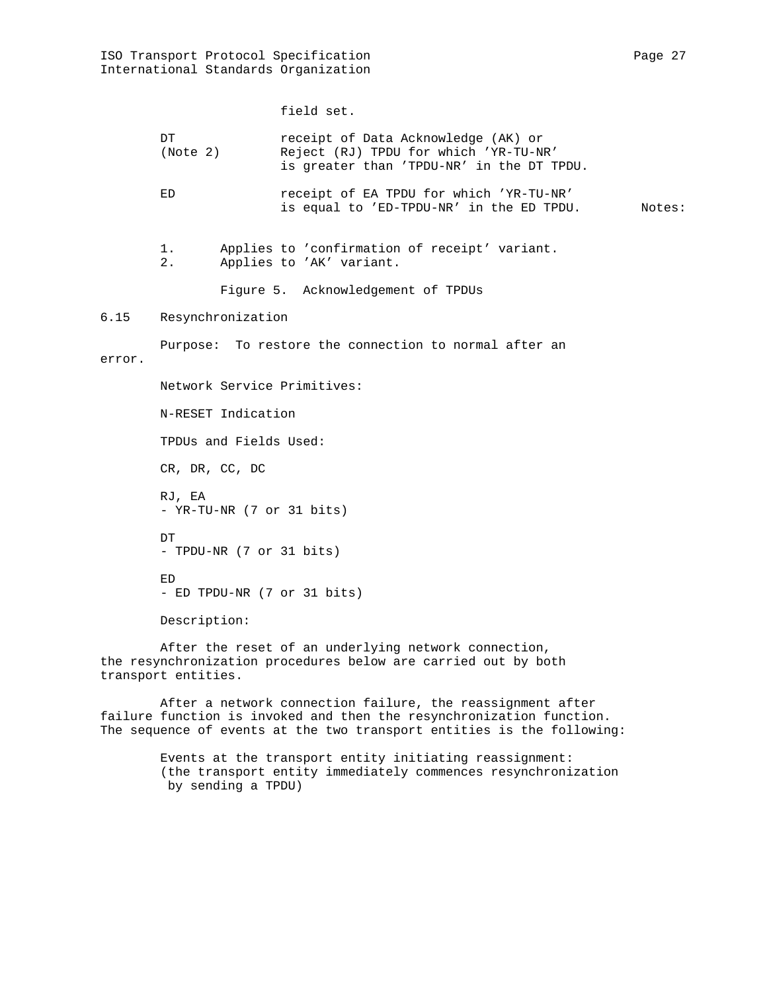field set.

|      | DT<br>(Note 2) | receipt of Data Acknowledge (AK) or<br>Reject (RJ) TPDU for which 'YR-TU-NR'<br>is greater than 'TPDU-NR' in the DT TPDU. |        |
|------|----------------|---------------------------------------------------------------------------------------------------------------------------|--------|
|      | ED             | receipt of EA TPDU for which 'YR-TU-NR'<br>is equal to 'ED-TPDU-NR' in the ED TPDU.                                       | Notes: |
|      | 1.<br>2.       | Applies to 'confirmation of receipt' variant.<br>Applies to 'AK' variant.                                                 |        |
|      |                | Figure 5. Acknowledgement of TPDUs                                                                                        |        |
| 6.15 |                | Resynchronization                                                                                                         |        |
|      |                | Purpose: To restore the connection to normal after an                                                                     |        |

error.

6.15

 Network Service Primitives: N-RESET Indication TPDUs and Fields Used: CR, DR, CC, DC RJ, EA - YR-TU-NR (7 or 31 bits) DT - TPDU-NR (7 or 31 bits) ED - ED TPDU-NR (7 or 31 bits) Description:

 After the reset of an underlying network connection, the resynchronization procedures below are carried out by both transport entities.

 After a network connection failure, the reassignment after failure function is invoked and then the resynchronization function. The sequence of events at the two transport entities is the following:

> Events at the transport entity initiating reassignment: (the transport entity immediately commences resynchronization by sending a TPDU)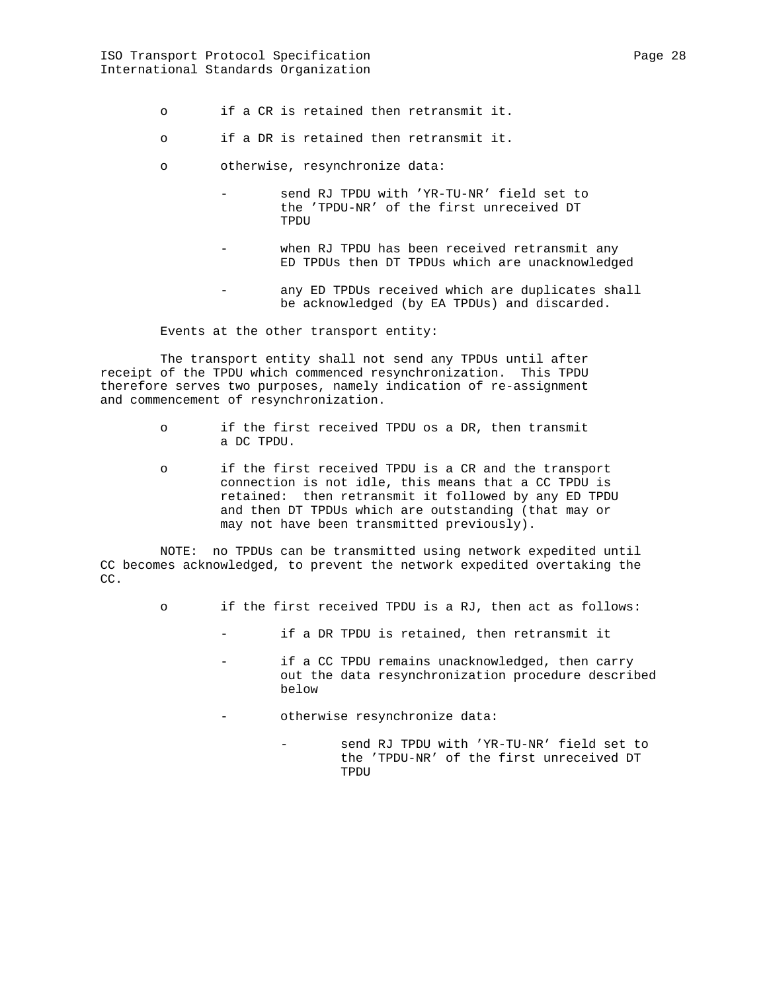- o if a CR is retained then retransmit it.
- o if a DR is retained then retransmit it.
- o otherwise, resynchronize data:
	- send RJ TPDU with 'YR-TU-NR' field set to the 'TPDU-NR' of the first unreceived DT TPDU
	- when RJ TPDU has been received retransmit any ED TPDUs then DT TPDUs which are unacknowledged
	- any ED TPDUs received which are duplicates shall be acknowledged (by EA TPDUs) and discarded.

Events at the other transport entity:

 The transport entity shall not send any TPDUs until after receipt of the TPDU which commenced resynchronization. This TPDU therefore serves two purposes, namely indication of re-assignment and commencement of resynchronization.

- o if the first received TPDU os a DR, then transmit a DC TPDU.
- o if the first received TPDU is a CR and the transport connection is not idle, this means that a CC TPDU is retained: then retransmit it followed by any ED TPDU and then DT TPDUs which are outstanding (that may or may not have been transmitted previously).

 NOTE: no TPDUs can be transmitted using network expedited until CC becomes acknowledged, to prevent the network expedited overtaking the CC.

- o if the first received TPDU is a RJ, then act as follows:
	- if a DR TPDU is retained, then retransmit it
		- if a CC TPDU remains unacknowledged, then carry out the data resynchronization procedure described below
		- otherwise resynchronize data:
			- send RJ TPDU with 'YR-TU-NR' field set to the 'TPDU-NR' of the first unreceived DT TPDU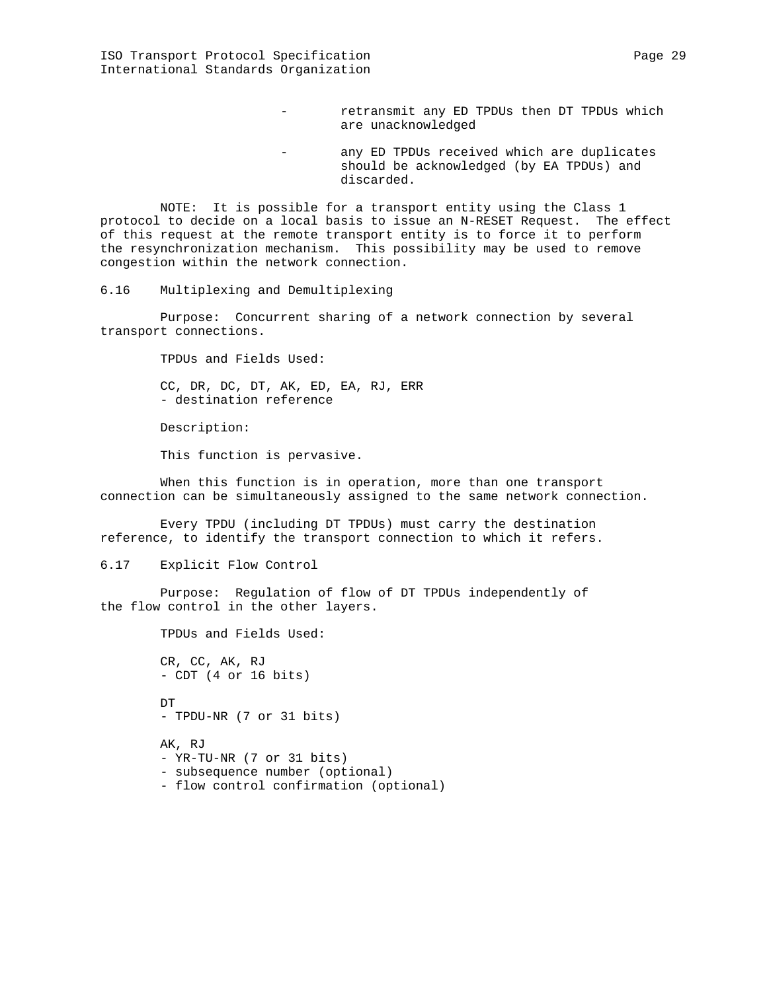- retransmit any ED TPDUs then DT TPDUs which are unacknowledged
- any ED TPDUs received which are duplicates should be acknowledged (by EA TPDUs) and discarded.

 NOTE: It is possible for a transport entity using the Class 1 protocol to decide on a local basis to issue an N-RESET Request. The effect of this request at the remote transport entity is to force it to perform the resynchronization mechanism. This possibility may be used to remove congestion within the network connection.

6.16 Multiplexing and Demultiplexing

 Purpose: Concurrent sharing of a network connection by several transport connections.

TPDUs and Fields Used:

 CC, DR, DC, DT, AK, ED, EA, RJ, ERR - destination reference

Description:

This function is pervasive.

 When this function is in operation, more than one transport connection can be simultaneously assigned to the same network connection.

 Every TPDU (including DT TPDUs) must carry the destination reference, to identify the transport connection to which it refers.

6.17 Explicit Flow Control

 Purpose: Regulation of flow of DT TPDUs independently of the flow control in the other layers.

> TPDUs and Fields Used: CR, CC, AK, RJ - CDT (4 or 16 bits) **DT**  - TPDU-NR (7 or 31 bits) AK, RJ - YR-TU-NR (7 or 31 bits) - subsequence number (optional) - flow control confirmation (optional)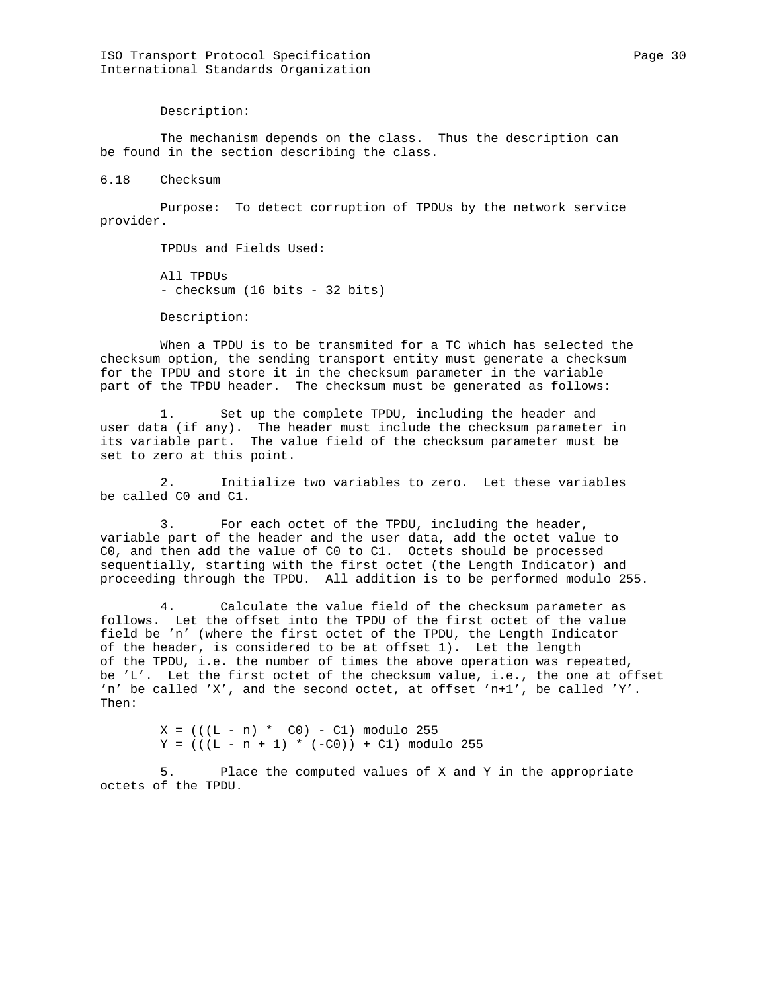Description:

 The mechanism depends on the class. Thus the description can be found in the section describing the class.

6.18 Checksum

 Purpose: To detect corruption of TPDUs by the network service provider.

TPDUs and Fields Used:

 All TPDUs - checksum (16 bits - 32 bits)

Description:

 When a TPDU is to be transmited for a TC which has selected the checksum option, the sending transport entity must generate a checksum for the TPDU and store it in the checksum parameter in the variable part of the TPDU header. The checksum must be generated as follows:

 1. Set up the complete TPDU, including the header and user data (if any). The header must include the checksum parameter in its variable part. The value field of the checksum parameter must be set to zero at this point.

 2. Initialize two variables to zero. Let these variables be called C0 and C1.

 3. For each octet of the TPDU, including the header, variable part of the header and the user data, add the octet value to C0, and then add the value of C0 to C1. Octets should be processed sequentially, starting with the first octet (the Length Indicator) and proceeding through the TPDU. All addition is to be performed modulo 255.

Calculate the value field of the checksum parameter as follows. Let the offset into the TPDU of the first octet of the value field be 'n' (where the first octet of the TPDU, the Length Indicator of the header, is considered to be at offset 1). Let the length of the TPDU, i.e. the number of times the above operation was repeated, be 'L'. Let the first octet of the checksum value, i.e., the one at offset 'n' be called 'X', and the second octet, at offset 'n+1', be called 'Y'. Then:

> $X = (((L - n) * CO) - C1) \text{ modulo } 255$  $Y = (( (L - n + 1) * (-C0)) + C1) \text{ modulo } 255$

 5. Place the computed values of X and Y in the appropriate octets of the TPDU.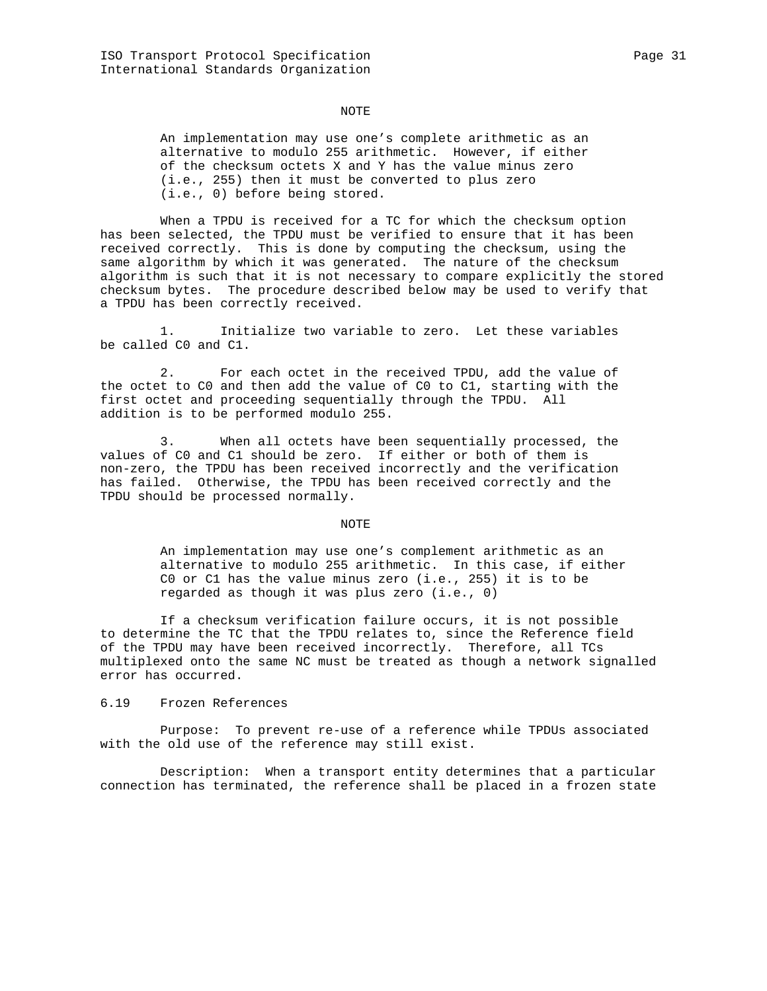#### NOTE

 An implementation may use one's complete arithmetic as an alternative to modulo 255 arithmetic. However, if either of the checksum octets X and Y has the value minus zero (i.e., 255) then it must be converted to plus zero (i.e., 0) before being stored.

 When a TPDU is received for a TC for which the checksum option has been selected, the TPDU must be verified to ensure that it has been received correctly. This is done by computing the checksum, using the same algorithm by which it was generated. The nature of the checksum algorithm is such that it is not necessary to compare explicitly the stored checksum bytes. The procedure described below may be used to verify that a TPDU has been correctly received.

 1. Initialize two variable to zero. Let these variables be called C0 and C1.

 2. For each octet in the received TPDU, add the value of the octet to C0 and then add the value of C0 to C1, starting with the first octet and proceeding sequentially through the TPDU. All addition is to be performed modulo 255.

 3. When all octets have been sequentially processed, the values of C0 and C1 should be zero. If either or both of them is non-zero, the TPDU has been received incorrectly and the verification has failed. Otherwise, the TPDU has been received correctly and the TPDU should be processed normally.

NOTE NOTE

 An implementation may use one's complement arithmetic as an alternative to modulo 255 arithmetic. In this case, if either C0 or C1 has the value minus zero (i.e., 255) it is to be regarded as though it was plus zero (i.e., 0)

 If a checksum verification failure occurs, it is not possible to determine the TC that the TPDU relates to, since the Reference field of the TPDU may have been received incorrectly. Therefore, all TCs multiplexed onto the same NC must be treated as though a network signalled error has occurred.

#### 6.19 Frozen References

 Purpose: To prevent re-use of a reference while TPDUs associated with the old use of the reference may still exist.

 Description: When a transport entity determines that a particular connection has terminated, the reference shall be placed in a frozen state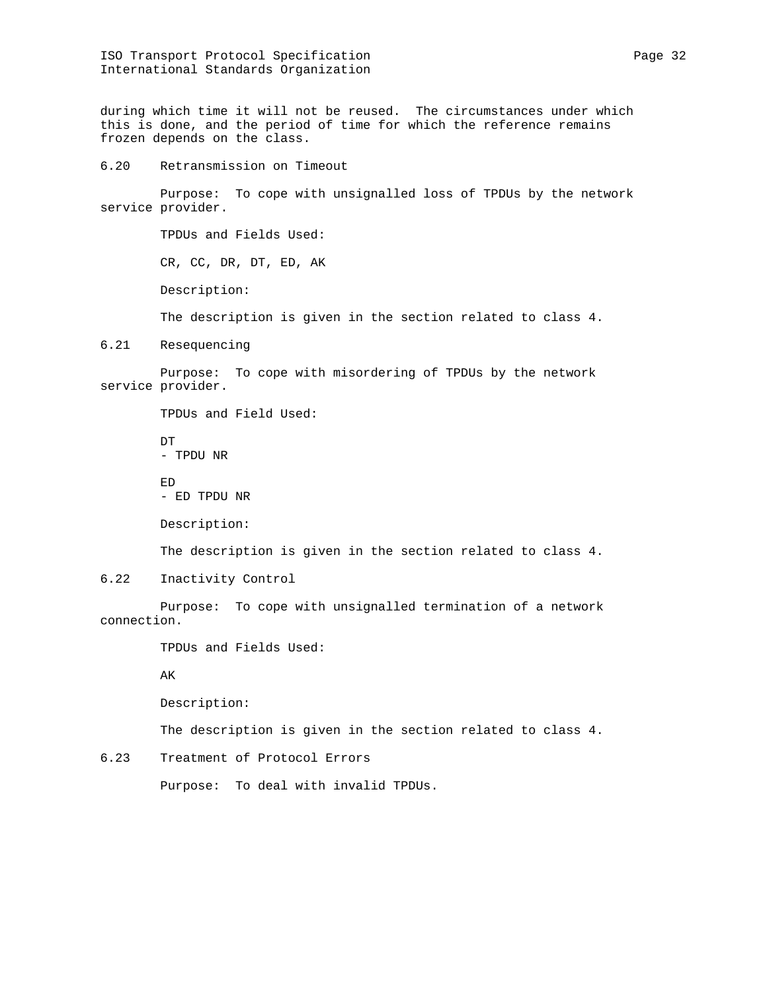ISO Transport Protocol Specification extends the page 32 International Standards Organization

during which time it will not be reused. The circumstances under which this is done, and the period of time for which the reference remains frozen depends on the class.

6.20 Retransmission on Timeout

 Purpose: To cope with unsignalled loss of TPDUs by the network service provider.

> TPDUs and Fields Used: CR, CC, DR, DT, ED, AK Description:

The description is given in the section related to class 4.

6.21 Resequencing

 Purpose: To cope with misordering of TPDUs by the network service provider.

TPDUs and Field Used:

 DT - TPDU NR ED

- ED TPDU NR

Description:

The description is given in the section related to class 4.

6.22 Inactivity Control

 Purpose: To cope with unsignalled termination of a network connection.

TPDUs and Fields Used:

AK

Description:

The description is given in the section related to class 4.

6.23 Treatment of Protocol Errors

Purpose: To deal with invalid TPDUs.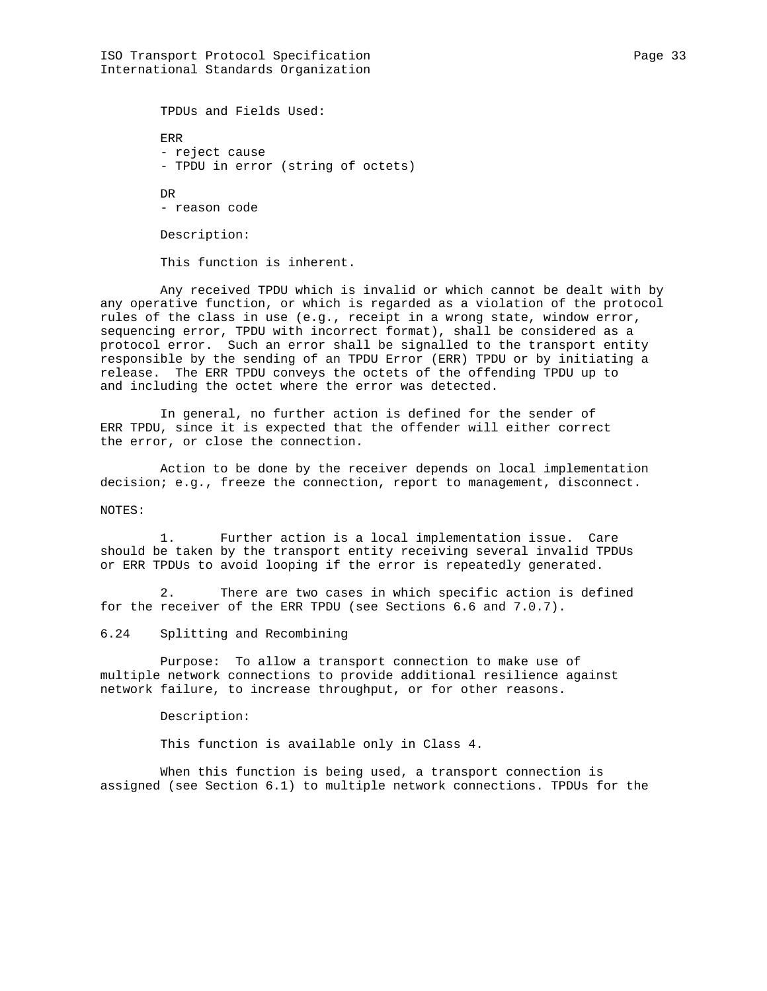ISO Transport Protocol Specification extends the page 33 Page 33 International Standards Organization

 TPDUs and Fields Used: ERR - reject cause - TPDU in error (string of octets) DR - reason code Description:

This function is inherent.

 Any received TPDU which is invalid or which cannot be dealt with by any operative function, or which is regarded as a violation of the protocol rules of the class in use (e.g., receipt in a wrong state, window error, sequencing error, TPDU with incorrect format), shall be considered as a protocol error. Such an error shall be signalled to the transport entity responsible by the sending of an TPDU Error (ERR) TPDU or by initiating a release. The ERR TPDU conveys the octets of the offending TPDU up to and including the octet where the error was detected.

 In general, no further action is defined for the sender of ERR TPDU, since it is expected that the offender will either correct the error, or close the connection.

 Action to be done by the receiver depends on local implementation decision; e.g., freeze the connection, report to management, disconnect.

# NOTES:

Further action is a local implementation issue. Care should be taken by the transport entity receiving several invalid TPDUs or ERR TPDUs to avoid looping if the error is repeatedly generated.

 2. There are two cases in which specific action is defined for the receiver of the ERR TPDU (see Sections 6.6 and 7.0.7).

## 6.24 Splitting and Recombining

 Purpose: To allow a transport connection to make use of multiple network connections to provide additional resilience against network failure, to increase throughput, or for other reasons.

# Description:

This function is available only in Class 4.

 When this function is being used, a transport connection is assigned (see Section 6.1) to multiple network connections. TPDUs for the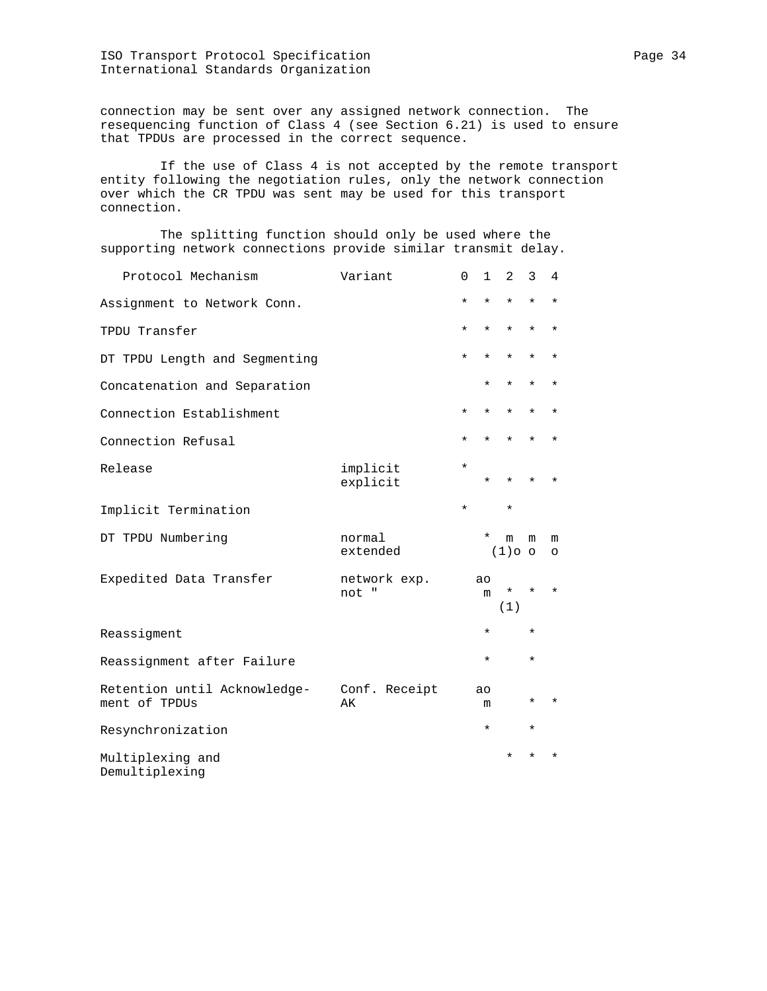ISO Transport Protocol Specification Page 34 International Standards Organization

connection may be sent over any assigned network connection. The resequencing function of Class 4 (see Section 6.21) is used to ensure that TPDUs are processed in the correct sequence.

 If the use of Class 4 is not accepted by the remote transport entity following the negotiation rules, only the network connection over which the CR TPDU was sent may be used for this transport connection.

 The splitting function should only be used where the supporting network connections provide similar transmit delay.

| Protocol Mechanism                            | Variant               | $\Omega$ | $\mathbf{1}$        | $\overline{2}$ | 3        | 4            |
|-----------------------------------------------|-----------------------|----------|---------------------|----------------|----------|--------------|
| Assignment to Network Conn.                   |                       | $\star$  | ¥                   | $\star$        | $\star$  | ¥            |
| TPDU Transfer                                 |                       | $^\star$ | $\star$             | $\star$        | $\star$  | ¥            |
| DT TPDU Length and Segmenting                 |                       | $^\star$ | $^\star$            | $^\star$       | $^\star$ | ¥            |
| Concatenation and Separation                  |                       |          | $^\star$            | $\star$        | $\star$  | ¥            |
| Connection Establishment                      |                       | $\star$  | $\star$             | $\star$        | $\star$  | $\star$      |
| Connection Refusal                            |                       | $\star$  | $\star$             | $\star$        | $\star$  | ¥            |
| Release                                       | implicit<br>explicit  | $\star$  | $\star$             | $\star$        | $\star$  | $\star$      |
| Implicit Termination                          |                       | $\star$  |                     | $\star$        |          |              |
| DT TPDU Numbering                             | normal<br>extended    |          | $^\star$            | m<br>$(1)$ o o | m        | m<br>$\circ$ |
| Expedited Data Transfer                       | network exp.<br>not " |          | a <sub>O</sub><br>m | *<br>(1)       | $^\star$ | $\star$      |
| Reassigment                                   |                       |          | $^\star$            |                | $\star$  |              |
| Reassignment after Failure                    |                       |          | $^\star$            |                | $\star$  |              |
| Retention until Acknowledge-<br>ment of TPDUs | Conf. Receipt<br>AК   |          | ao<br>m             |                | $^\star$ | $\star$      |
| Resynchronization                             |                       |          | $\star$             |                | $\star$  |              |
| Multiplexing and<br>Demultiplexing            |                       |          |                     | $\star$        | $\star$  | $\star$      |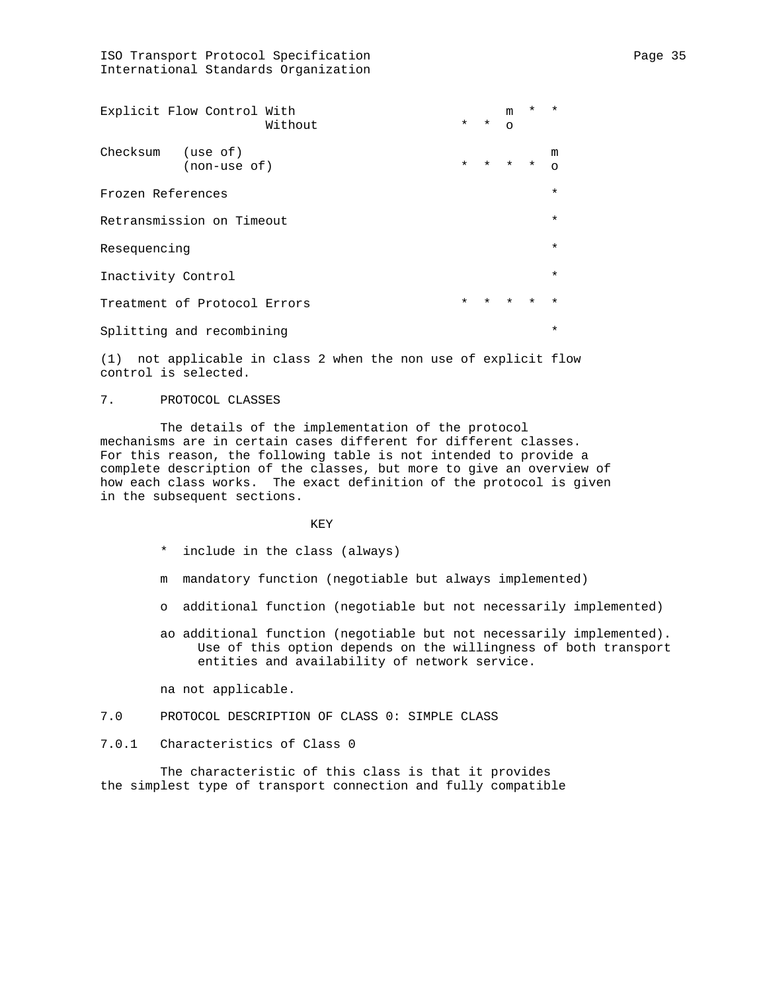ISO Transport Protocol Specification extends the page 35 and Page 35 International Standards Organization

| Explicit Flow Control With<br>Without |         | $*$ $*$ 0 | m                       |         | $\star$       |
|---------------------------------------|---------|-----------|-------------------------|---------|---------------|
| Checksum (use of)<br>(non-use of)     |         |           | $\star$ $\star$ $\star$ | $\star$ | m<br>$\Omega$ |
| Frozen References                     |         |           |                         |         | $\star$       |
| Retransmission on Timeout             |         |           |                         |         | $\star$       |
| Resequencing                          |         |           |                         |         | $\star$       |
| Inactivity Control                    |         |           |                         |         | $\star$       |
| Treatment of Protocol Errors          | $\star$ | $\star$   | $\star$                 | $\star$ | $\star$       |
| Splitting and recombining             |         |           |                         |         | $\star$       |

(1) not applicable in class 2 when the non use of explicit flow control is selected.

## 7. PROTOCOL CLASSES

 The details of the implementation of the protocol mechanisms are in certain cases different for different classes. For this reason, the following table is not intended to provide a complete description of the classes, but more to give an overview of how each class works. The exact definition of the protocol is given in the subsequent sections.

# **KEY**

- \* include in the class (always)
- m mandatory function (negotiable but always implemented)
- o additional function (negotiable but not necessarily implemented)
- ao additional function (negotiable but not necessarily implemented). Use of this option depends on the willingness of both transport entities and availability of network service.

na not applicable.

# 7.0 PROTOCOL DESCRIPTION OF CLASS 0: SIMPLE CLASS

# 7.0.1 Characteristics of Class 0

 The characteristic of this class is that it provides the simplest type of transport connection and fully compatible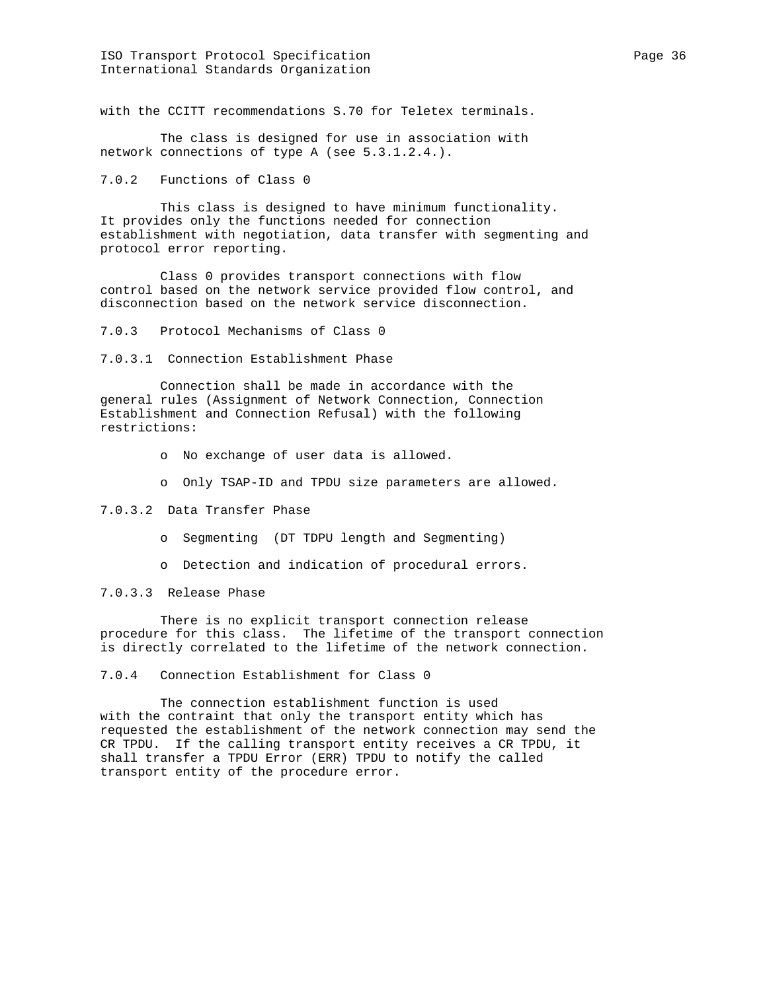ISO Transport Protocol Specification extends the page 36 Page 36 International Standards Organization

with the CCITT recommendations S.70 for Teletex terminals.

 The class is designed for use in association with network connections of type A (see 5.3.1.2.4.).

7.0.2 Functions of Class 0

 This class is designed to have minimum functionality. It provides only the functions needed for connection establishment with negotiation, data transfer with segmenting and protocol error reporting.

 Class 0 provides transport connections with flow control based on the network service provided flow control, and disconnection based on the network service disconnection.

7.0.3 Protocol Mechanisms of Class 0

7.0.3.1 Connection Establishment Phase

 Connection shall be made in accordance with the general rules (Assignment of Network Connection, Connection Establishment and Connection Refusal) with the following restrictions:

o No exchange of user data is allowed.

o Only TSAP-ID and TPDU size parameters are allowed.

7.0.3.2 Data Transfer Phase

o Segmenting (DT TDPU length and Segmenting)

o Detection and indication of procedural errors.

7.0.3.3 Release Phase

 There is no explicit transport connection release procedure for this class. The lifetime of the transport connection is directly correlated to the lifetime of the network connection.

7.0.4 Connection Establishment for Class 0

 The connection establishment function is used with the contraint that only the transport entity which has requested the establishment of the network connection may send the CR TPDU. If the calling transport entity receives a CR TPDU, it shall transfer a TPDU Error (ERR) TPDU to notify the called transport entity of the procedure error.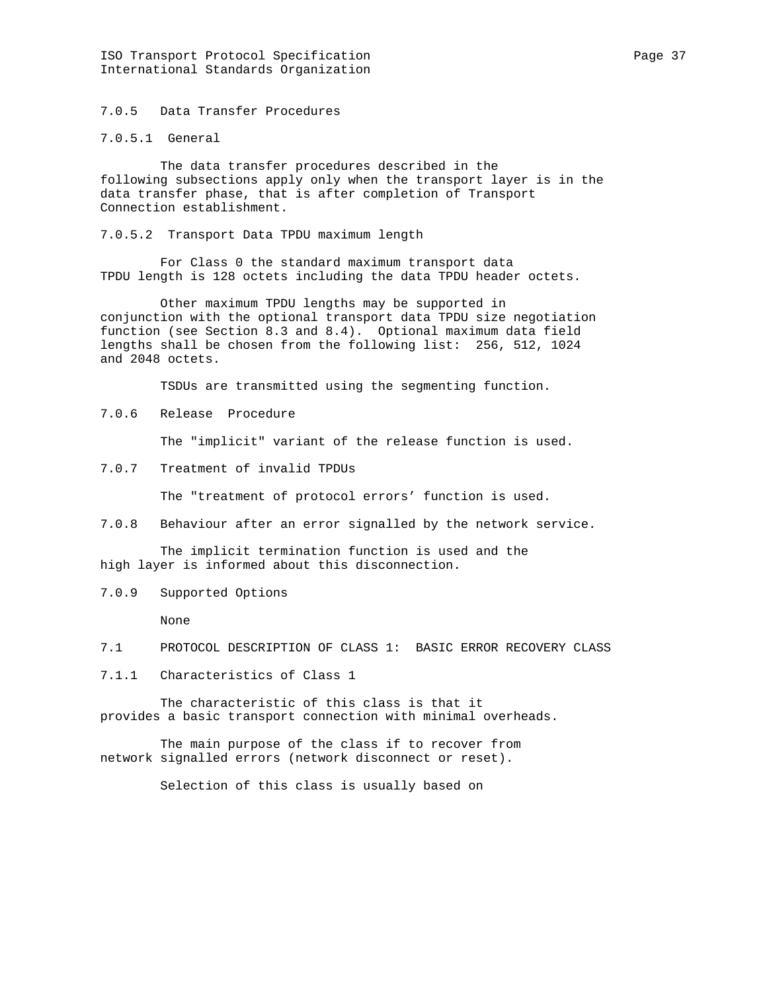ISO Transport Protocol Specification extends the page 37 International Standards Organization

7.0.5 Data Transfer Procedures

7.0.5.1 General

 The data transfer procedures described in the following subsections apply only when the transport layer is in the data transfer phase, that is after completion of Transport Connection establishment.

7.0.5.2 Transport Data TPDU maximum length

 For Class 0 the standard maximum transport data TPDU length is 128 octets including the data TPDU header octets.

 Other maximum TPDU lengths may be supported in conjunction with the optional transport data TPDU size negotiation function (see Section 8.3 and 8.4). Optional maximum data field lengths shall be chosen from the following list: 256, 512, 1024 and 2048 octets.

TSDUs are transmitted using the segmenting function.

7.0.6 Release Procedure

The "implicit" variant of the release function is used.

7.0.7 Treatment of invalid TPDUs

The "treatment of protocol errors' function is used.

7.0.8 Behaviour after an error signalled by the network service.

 The implicit termination function is used and the high layer is informed about this disconnection.

7.0.9 Supported Options

None

- 7.1 PROTOCOL DESCRIPTION OF CLASS 1: BASIC ERROR RECOVERY CLASS
- 7.1.1 Characteristics of Class 1

 The characteristic of this class is that it provides a basic transport connection with minimal overheads.

 The main purpose of the class if to recover from network signalled errors (network disconnect or reset).

Selection of this class is usually based on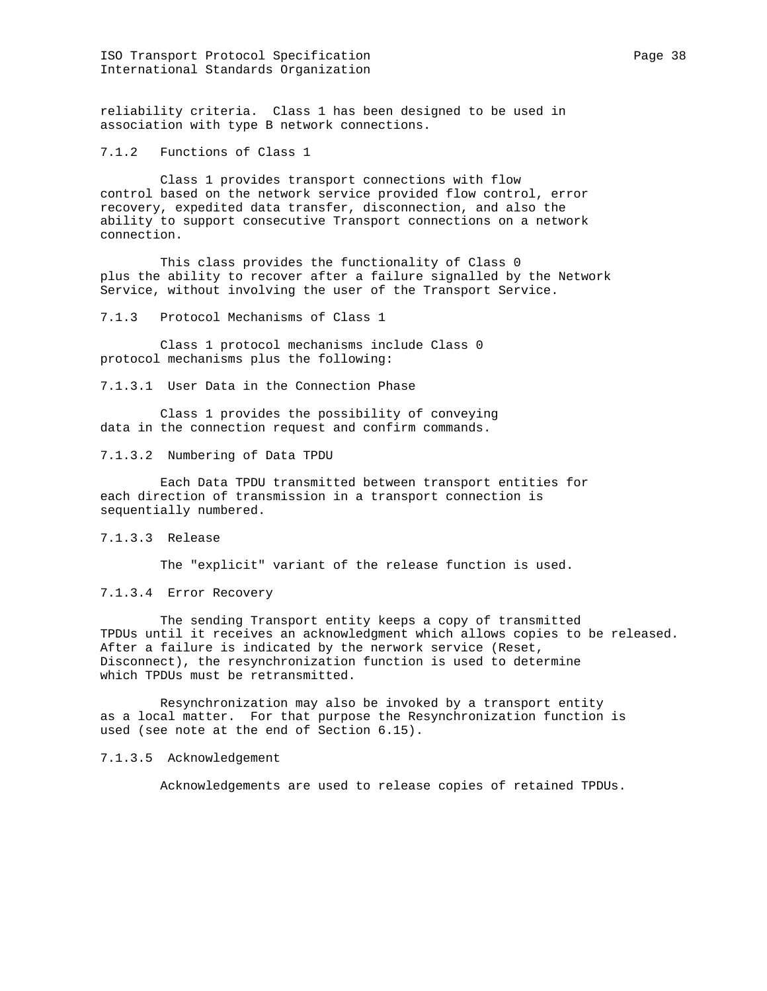ISO Transport Protocol Specification extends the page 38 Page 38 International Standards Organization

reliability criteria. Class 1 has been designed to be used in association with type B network connections.

7.1.2 Functions of Class 1

 Class 1 provides transport connections with flow control based on the network service provided flow control, error recovery, expedited data transfer, disconnection, and also the ability to support consecutive Transport connections on a network connection.

 This class provides the functionality of Class 0 plus the ability to recover after a failure signalled by the Network Service, without involving the user of the Transport Service.

7.1.3 Protocol Mechanisms of Class 1

 Class 1 protocol mechanisms include Class 0 protocol mechanisms plus the following:

7.1.3.1 User Data in the Connection Phase

 Class 1 provides the possibility of conveying data in the connection request and confirm commands.

7.1.3.2 Numbering of Data TPDU

 Each Data TPDU transmitted between transport entities for each direction of transmission in a transport connection is sequentially numbered.

7.1.3.3 Release

The "explicit" variant of the release function is used.

7.1.3.4 Error Recovery

 The sending Transport entity keeps a copy of transmitted TPDUs until it receives an acknowledgment which allows copies to be released. After a failure is indicated by the nerwork service (Reset, Disconnect), the resynchronization function is used to determine which TPDUs must be retransmitted.

 Resynchronization may also be invoked by a transport entity as a local matter. For that purpose the Resynchronization function is used (see note at the end of Section 6.15).

7.1.3.5 Acknowledgement

Acknowledgements are used to release copies of retained TPDUs.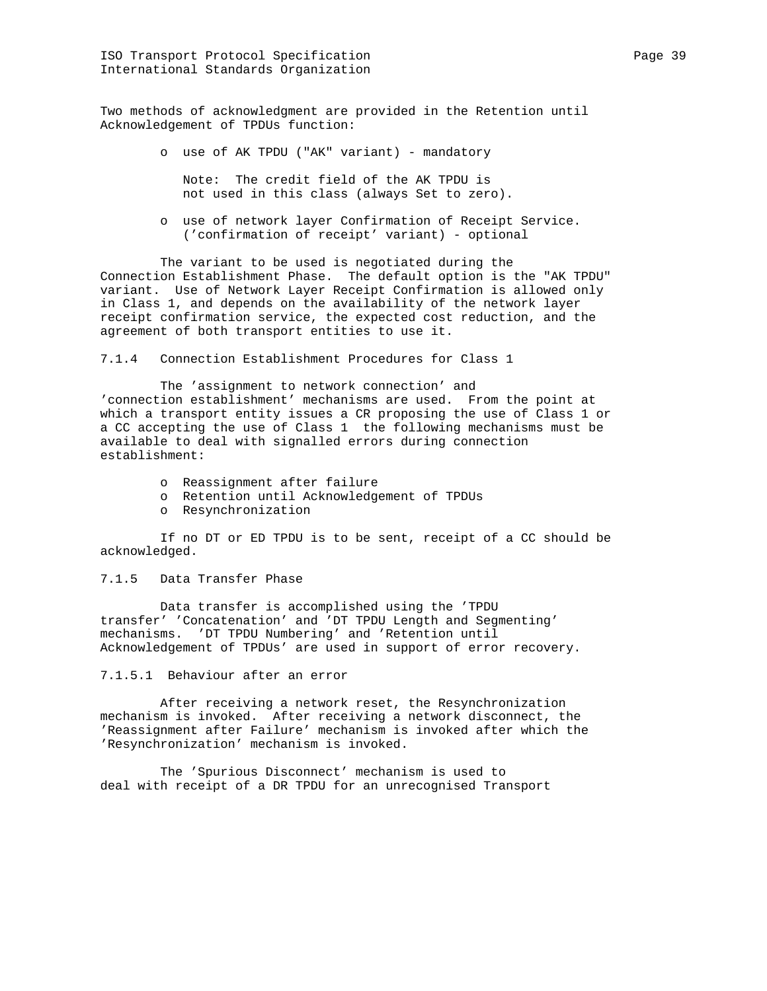Two methods of acknowledgment are provided in the Retention until Acknowledgement of TPDUs function:

o use of AK TPDU ("AK" variant) - mandatory

 Note: The credit field of the AK TPDU is not used in this class (always Set to zero).

 o use of network layer Confirmation of Receipt Service. ('confirmation of receipt' variant) - optional

 The variant to be used is negotiated during the Connection Establishment Phase. The default option is the "AK TPDU" variant. Use of Network Layer Receipt Confirmation is allowed only in Class 1, and depends on the availability of the network layer receipt confirmation service, the expected cost reduction, and the agreement of both transport entities to use it.

7.1.4 Connection Establishment Procedures for Class 1

 The 'assignment to network connection' and 'connection establishment' mechanisms are used. From the point at which a transport entity issues a CR proposing the use of Class 1 or a CC accepting the use of Class 1 the following mechanisms must be available to deal with signalled errors during connection establishment:

- o Reassignment after failure
- o Retention until Acknowledgement of TPDUs
- o Resynchronization

 If no DT or ED TPDU is to be sent, receipt of a CC should be acknowledged.

## 7.1.5 Data Transfer Phase

 Data transfer is accomplished using the 'TPDU transfer' 'Concatenation' and 'DT TPDU Length and Segmenting' mechanisms. 'DT TPDU Numbering' and 'Retention until Acknowledgement of TPDUs' are used in support of error recovery.

#### 7.1.5.1 Behaviour after an error

 After receiving a network reset, the Resynchronization mechanism is invoked. After receiving a network disconnect, the 'Reassignment after Failure' mechanism is invoked after which the 'Resynchronization' mechanism is invoked.

 The 'Spurious Disconnect' mechanism is used to deal with receipt of a DR TPDU for an unrecognised Transport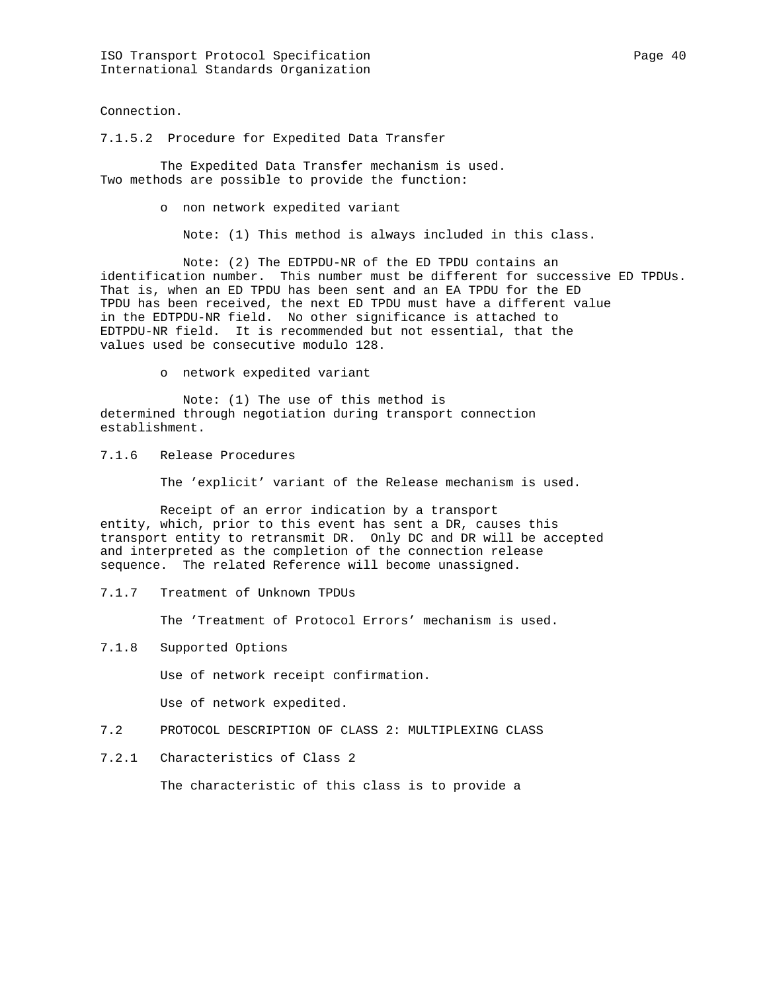Connection.

7.1.5.2 Procedure for Expedited Data Transfer

 The Expedited Data Transfer mechanism is used. Two methods are possible to provide the function:

o non network expedited variant

Note: (1) This method is always included in this class.

 Note: (2) The EDTPDU-NR of the ED TPDU contains an identification number. This number must be different for successive ED TPDUs. That is, when an ED TPDU has been sent and an EA TPDU for the ED TPDU has been received, the next ED TPDU must have a different value in the EDTPDU-NR field. No other significance is attached to EDTPDU-NR field. It is recommended but not essential, that the values used be consecutive modulo 128.

o network expedited variant

 Note: (1) The use of this method is determined through negotiation during transport connection establishment.

7.1.6 Release Procedures

The 'explicit' variant of the Release mechanism is used.

 Receipt of an error indication by a transport entity, which, prior to this event has sent a DR, causes this transport entity to retransmit DR. Only DC and DR will be accepted and interpreted as the completion of the connection release sequence. The related Reference will become unassigned.

7.1.7 Treatment of Unknown TPDUs

The 'Treatment of Protocol Errors' mechanism is used.

7.1.8 Supported Options

Use of network receipt confirmation.

Use of network expedited.

- 7.2 PROTOCOL DESCRIPTION OF CLASS 2: MULTIPLEXING CLASS
- 7.2.1 Characteristics of Class 2

The characteristic of this class is to provide a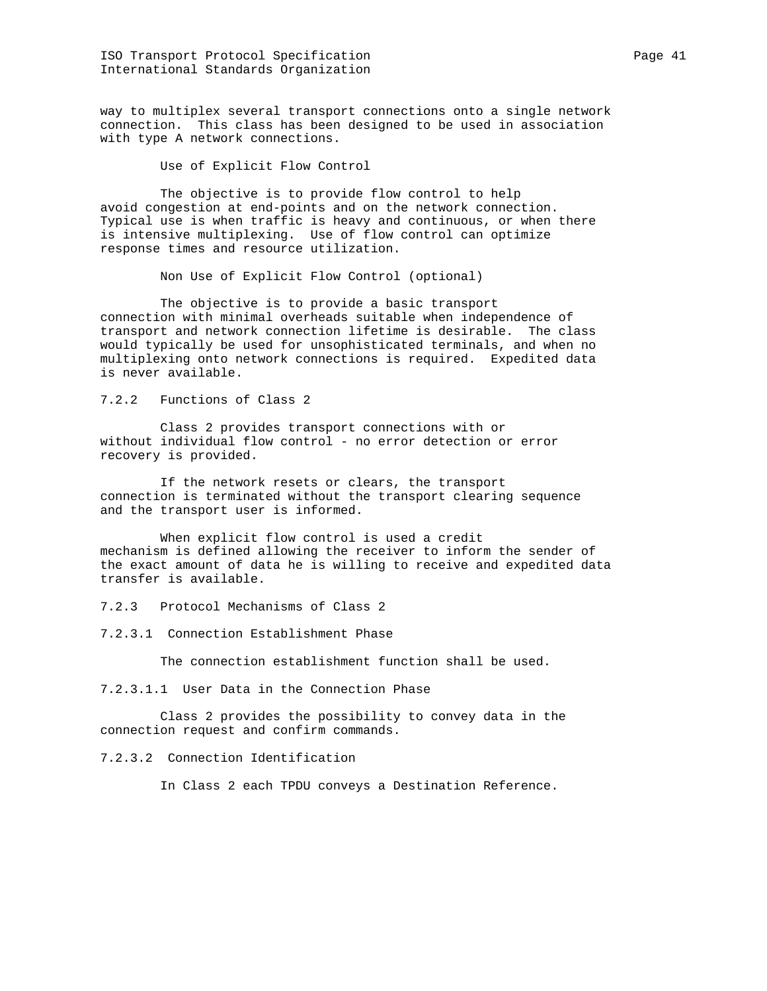ISO Transport Protocol Specification extends the page 41 and Page 41 International Standards Organization

way to multiplex several transport connections onto a single network connection. This class has been designed to be used in association with type A network connections.

Use of Explicit Flow Control

 The objective is to provide flow control to help avoid congestion at end-points and on the network connection. Typical use is when traffic is heavy and continuous, or when there is intensive multiplexing. Use of flow control can optimize response times and resource utilization.

Non Use of Explicit Flow Control (optional)

 The objective is to provide a basic transport connection with minimal overheads suitable when independence of transport and network connection lifetime is desirable. The class would typically be used for unsophisticated terminals, and when no multiplexing onto network connections is required. Expedited data is never available.

7.2.2 Functions of Class 2

 Class 2 provides transport connections with or without individual flow control - no error detection or error recovery is provided.

 If the network resets or clears, the transport connection is terminated without the transport clearing sequence and the transport user is informed.

 When explicit flow control is used a credit mechanism is defined allowing the receiver to inform the sender of the exact amount of data he is willing to receive and expedited data transfer is available.

7.2.3 Protocol Mechanisms of Class 2

7.2.3.1 Connection Establishment Phase

The connection establishment function shall be used.

7.2.3.1.1 User Data in the Connection Phase

 Class 2 provides the possibility to convey data in the connection request and confirm commands.

7.2.3.2 Connection Identification

In Class 2 each TPDU conveys a Destination Reference.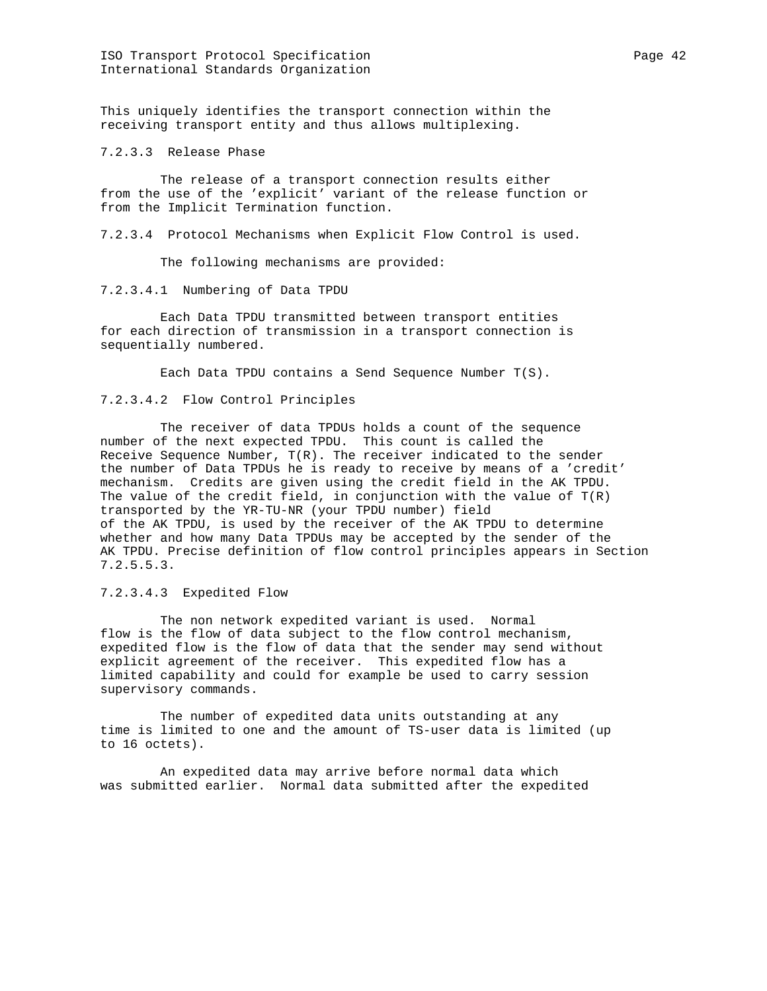ISO Transport Protocol Specification **Page 42** Page 42 International Standards Organization

This uniquely identifies the transport connection within the receiving transport entity and thus allows multiplexing.

7.2.3.3 Release Phase

 The release of a transport connection results either from the use of the 'explicit' variant of the release function or from the Implicit Termination function.

7.2.3.4 Protocol Mechanisms when Explicit Flow Control is used.

The following mechanisms are provided:

7.2.3.4.1 Numbering of Data TPDU

 Each Data TPDU transmitted between transport entities for each direction of transmission in a transport connection is sequentially numbered.

Each Data TPDU contains a Send Sequence Number T(S).

### 7.2.3.4.2 Flow Control Principles

 The receiver of data TPDUs holds a count of the sequence number of the next expected TPDU. This count is called the Receive Sequence Number, T(R). The receiver indicated to the sender the number of Data TPDUs he is ready to receive by means of a 'credit' mechanism. Credits are given using the credit field in the AK TPDU. The value of the credit field, in conjunction with the value of  $T(R)$ transported by the YR-TU-NR (your TPDU number) field of the AK TPDU, is used by the receiver of the AK TPDU to determine whether and how many Data TPDUs may be accepted by the sender of the AK TPDU. Precise definition of flow control principles appears in Section 7.2.5.5.3.

# 7.2.3.4.3 Expedited Flow

 The non network expedited variant is used. Normal flow is the flow of data subject to the flow control mechanism, expedited flow is the flow of data that the sender may send without explicit agreement of the receiver. This expedited flow has a limited capability and could for example be used to carry session supervisory commands.

 The number of expedited data units outstanding at any time is limited to one and the amount of TS-user data is limited (up to 16 octets).

 An expedited data may arrive before normal data which was submitted earlier. Normal data submitted after the expedited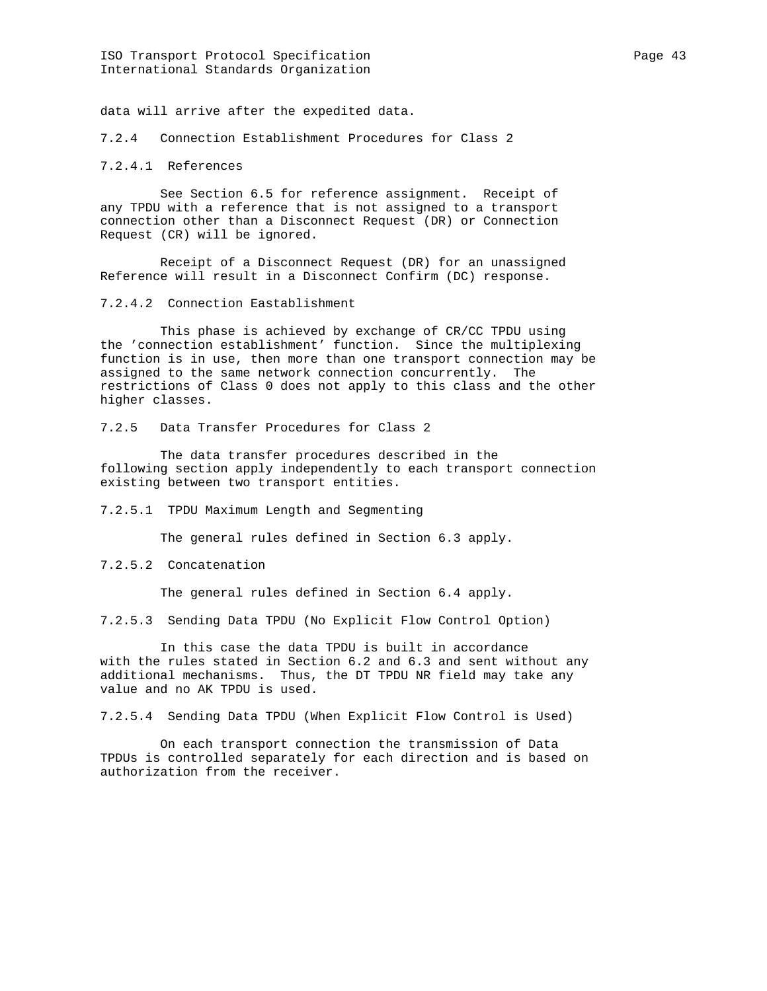ISO Transport Protocol Specification extends the page 43 International Standards Organization

data will arrive after the expedited data.

7.2.4 Connection Establishment Procedures for Class 2

7.2.4.1 References

 See Section 6.5 for reference assignment. Receipt of any TPDU with a reference that is not assigned to a transport connection other than a Disconnect Request (DR) or Connection Request (CR) will be ignored.

 Receipt of a Disconnect Request (DR) for an unassigned Reference will result in a Disconnect Confirm (DC) response.

7.2.4.2 Connection Eastablishment

 This phase is achieved by exchange of CR/CC TPDU using the 'connection establishment' function. Since the multiplexing function is in use, then more than one transport connection may be assigned to the same network connection concurrently. The restrictions of Class 0 does not apply to this class and the other higher classes.

7.2.5 Data Transfer Procedures for Class 2

 The data transfer procedures described in the following section apply independently to each transport connection existing between two transport entities.

7.2.5.1 TPDU Maximum Length and Segmenting

The general rules defined in Section 6.3 apply.

7.2.5.2 Concatenation

The general rules defined in Section 6.4 apply.

7.2.5.3 Sending Data TPDU (No Explicit Flow Control Option)

 In this case the data TPDU is built in accordance with the rules stated in Section 6.2 and 6.3 and sent without any additional mechanisms. Thus, the DT TPDU NR field may take any value and no AK TPDU is used.

7.2.5.4 Sending Data TPDU (When Explicit Flow Control is Used)

 On each transport connection the transmission of Data TPDUs is controlled separately for each direction and is based on authorization from the receiver.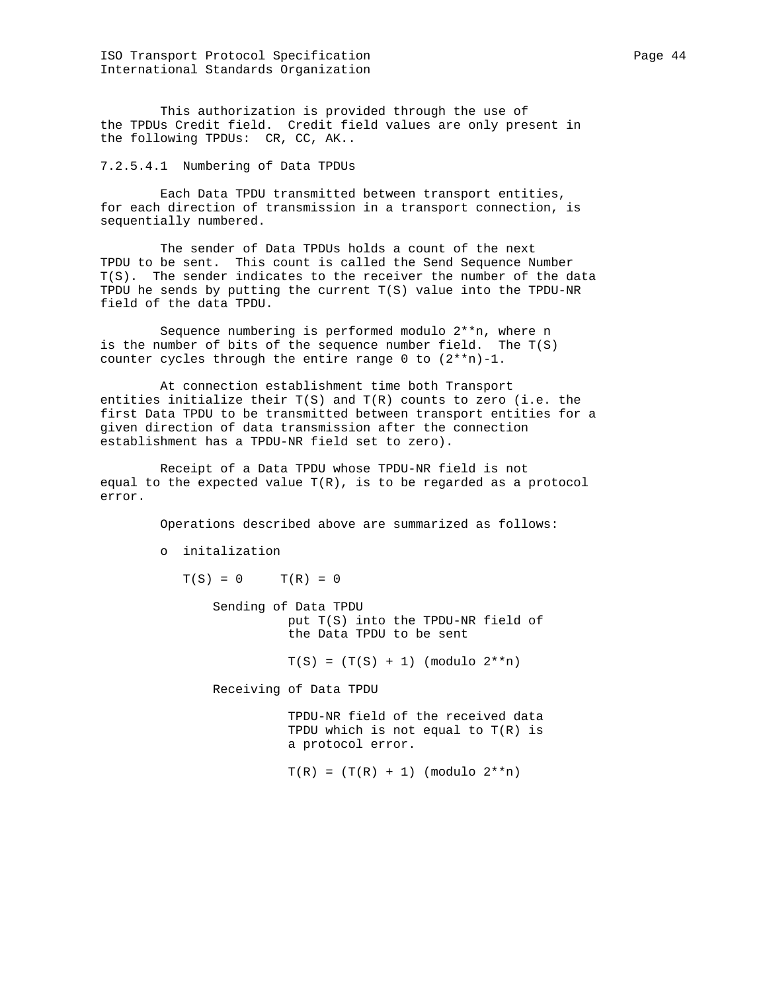ISO Transport Protocol Specification extends the page 44 International Standards Organization

 This authorization is provided through the use of the TPDUs Credit field. Credit field values are only present in the following TPDUs: CR, CC, AK..

7.2.5.4.1 Numbering of Data TPDUs

 Each Data TPDU transmitted between transport entities, for each direction of transmission in a transport connection, is sequentially numbered.

 The sender of Data TPDUs holds a count of the next TPDU to be sent. This count is called the Send Sequence Number T(S). The sender indicates to the receiver the number of the data TPDU he sends by putting the current T(S) value into the TPDU-NR field of the data TPDU.

 Sequence numbering is performed modulo 2\*\*n, where n is the number of bits of the sequence number field. The T(S) counter cycles through the entire range  $0$  to  $(2**n)-1$ .

 At connection establishment time both Transport entities initialize their  $T(S)$  and  $T(R)$  counts to zero (i.e. the first Data TPDU to be transmitted between transport entities for a given direction of data transmission after the connection establishment has a TPDU-NR field set to zero).

 Receipt of a Data TPDU whose TPDU-NR field is not equal to the expected value  $T(R)$ , is to be regarded as a protocol error.

Operations described above are summarized as follows:

o initalization

 $T(S) = 0$   $T(R) = 0$ 

 Sending of Data TPDU put T(S) into the TPDU-NR field of the Data TPDU to be sent

 $T(S) = (T(S) + 1)$  (modulo  $2^{**}n$ )

Receiving of Data TPDU

 TPDU-NR field of the received data TPDU which is not equal to T(R) is a protocol error.

 $T(R) = (T(R) + 1)$  (modulo  $2^{*n}$ )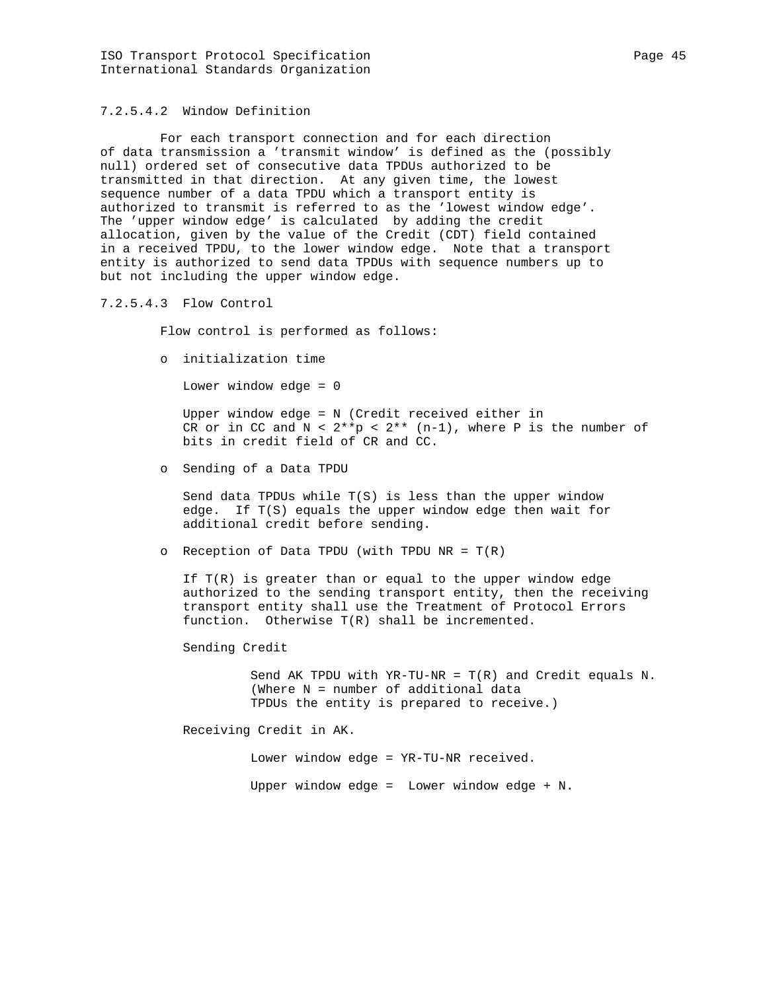# 7.2.5.4.2 Window Definition

 For each transport connection and for each direction of data transmission a 'transmit window' is defined as the (possibly null) ordered set of consecutive data TPDUs authorized to be transmitted in that direction. At any given time, the lowest sequence number of a data TPDU which a transport entity is authorized to transmit is referred to as the 'lowest window edge'. The 'upper window edge' is calculated by adding the credit allocation, given by the value of the Credit (CDT) field contained in a received TPDU, to the lower window edge. Note that a transport entity is authorized to send data TPDUs with sequence numbers up to but not including the upper window edge.

#### 7.2.5.4.3 Flow Control

Flow control is performed as follows:

o initialization time

Lower window edge = 0

 Upper window edge = N (Credit received either in CR or in CC and  $N < 2**p < 2**$  (n-1), where P is the number of bits in credit field of CR and CC.

o Sending of a Data TPDU

 Send data TPDUs while T(S) is less than the upper window edge. If T(S) equals the upper window edge then wait for additional credit before sending.

o Reception of Data TPDU (with TPDU NR =  $T(R)$ 

If  $T(R)$  is greater than or equal to the upper window edge authorized to the sending transport entity, then the receiving transport entity shall use the Treatment of Protocol Errors function. Otherwise T(R) shall be incremented.

Sending Credit

 Send AK TPDU with YR-TU-NR = T(R) and Credit equals N. (Where N = number of additional data TPDUs the entity is prepared to receive.)

Receiving Credit in AK.

Lower window edge = YR-TU-NR received.

Upper window edge = Lower window edge + N.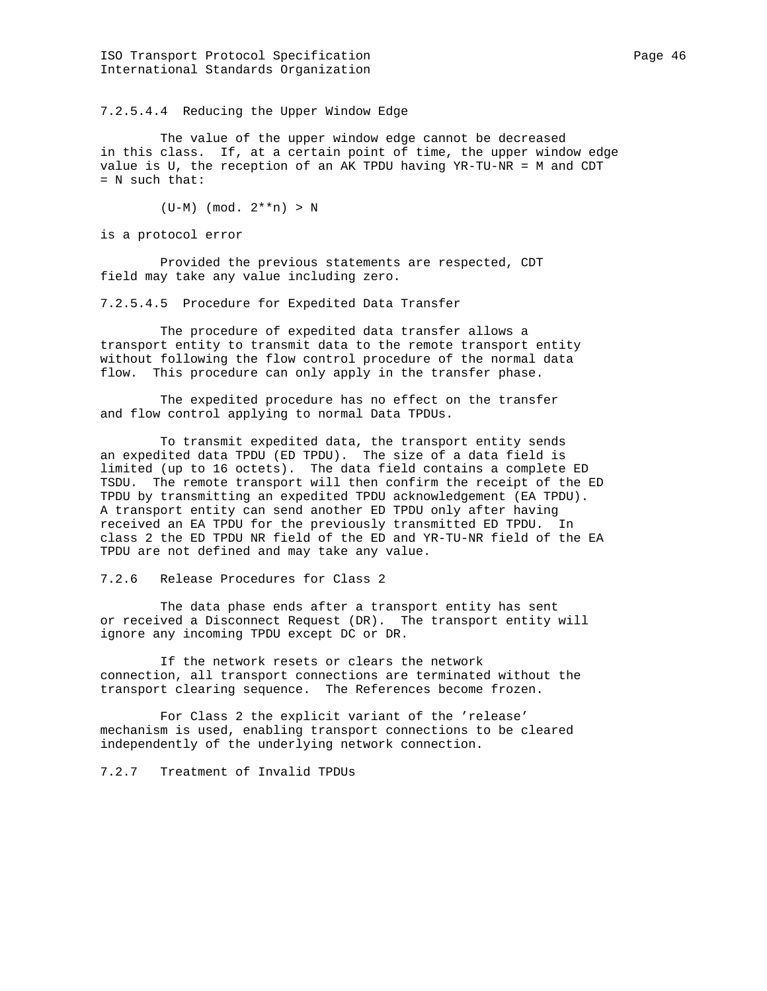7.2.5.4.4 Reducing the Upper Window Edge

 The value of the upper window edge cannot be decreased in this class. If, at a certain point of time, the upper window edge value is U, the reception of an AK TPDU having YR-TU-NR = M and CDT = N such that:

(U-M) (mod. 2\*\*n) > N

is a protocol error

 Provided the previous statements are respected, CDT field may take any value including zero.

7.2.5.4.5 Procedure for Expedited Data Transfer

 The procedure of expedited data transfer allows a transport entity to transmit data to the remote transport entity without following the flow control procedure of the normal data flow. This procedure can only apply in the transfer phase.

 The expedited procedure has no effect on the transfer and flow control applying to normal Data TPDUs.

 To transmit expedited data, the transport entity sends an expedited data TPDU (ED TPDU). The size of a data field is limited (up to 16 octets). The data field contains a complete ED TSDU. The remote transport will then confirm the receipt of the ED TPDU by transmitting an expedited TPDU acknowledgement (EA TPDU). A transport entity can send another ED TPDU only after having received an EA TPDU for the previously transmitted ED TPDU. In class 2 the ED TPDU NR field of the ED and YR-TU-NR field of the EA TPDU are not defined and may take any value.

7.2.6 Release Procedures for Class 2

 The data phase ends after a transport entity has sent or received a Disconnect Request (DR). The transport entity will ignore any incoming TPDU except DC or DR.

 If the network resets or clears the network connection, all transport connections are terminated without the transport clearing sequence. The References become frozen.

 For Class 2 the explicit variant of the 'release' mechanism is used, enabling transport connections to be cleared independently of the underlying network connection.

7.2.7 Treatment of Invalid TPDUs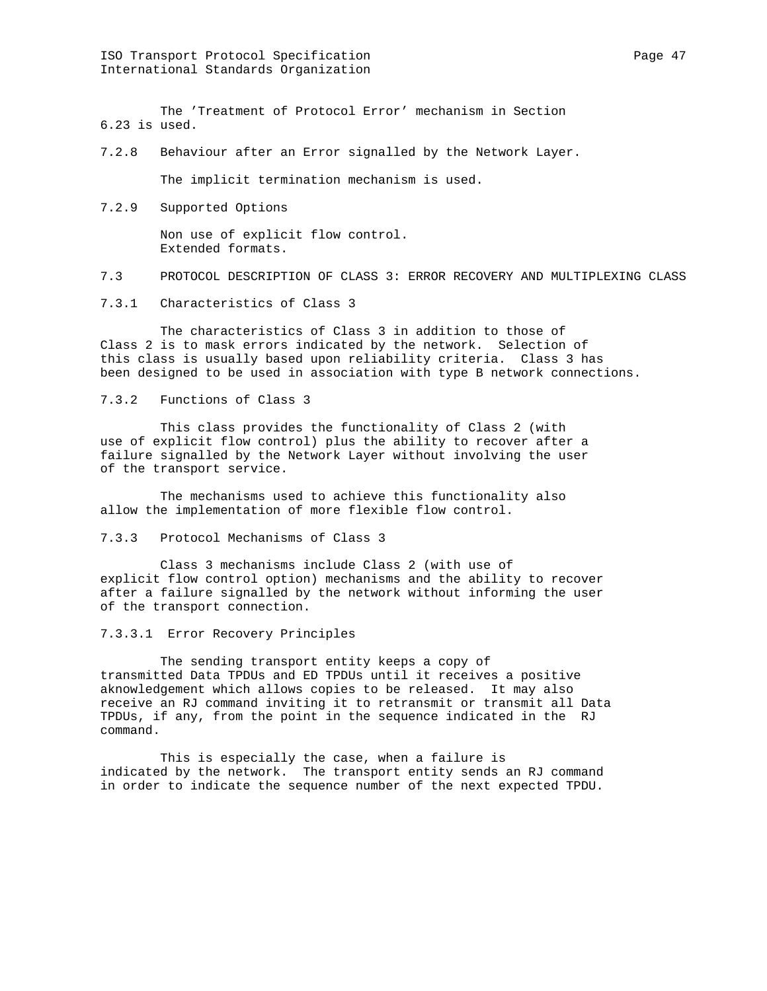ISO Transport Protocol Specification extends the page 47 model of the Page 47 International Standards Organization

 The 'Treatment of Protocol Error' mechanism in Section 6.23 is used.

7.2.8 Behaviour after an Error signalled by the Network Layer.

The implicit termination mechanism is used.

7.2.9 Supported Options

 Non use of explicit flow control. Extended formats.

- 7.3 PROTOCOL DESCRIPTION OF CLASS 3: ERROR RECOVERY AND MULTIPLEXING CLASS
- 7.3.1 Characteristics of Class 3

 The characteristics of Class 3 in addition to those of Class 2 is to mask errors indicated by the network. Selection of this class is usually based upon reliability criteria. Class 3 has been designed to be used in association with type B network connections.

7.3.2 Functions of Class 3

 This class provides the functionality of Class 2 (with use of explicit flow control) plus the ability to recover after a failure signalled by the Network Layer without involving the user of the transport service.

 The mechanisms used to achieve this functionality also allow the implementation of more flexible flow control.

7.3.3 Protocol Mechanisms of Class 3

 Class 3 mechanisms include Class 2 (with use of explicit flow control option) mechanisms and the ability to recover after a failure signalled by the network without informing the user of the transport connection.

7.3.3.1 Error Recovery Principles

 The sending transport entity keeps a copy of transmitted Data TPDUs and ED TPDUs until it receives a positive aknowledgement which allows copies to be released. It may also receive an RJ command inviting it to retransmit or transmit all Data TPDUs, if any, from the point in the sequence indicated in the RJ command.

 This is especially the case, when a failure is indicated by the network. The transport entity sends an RJ command in order to indicate the sequence number of the next expected TPDU.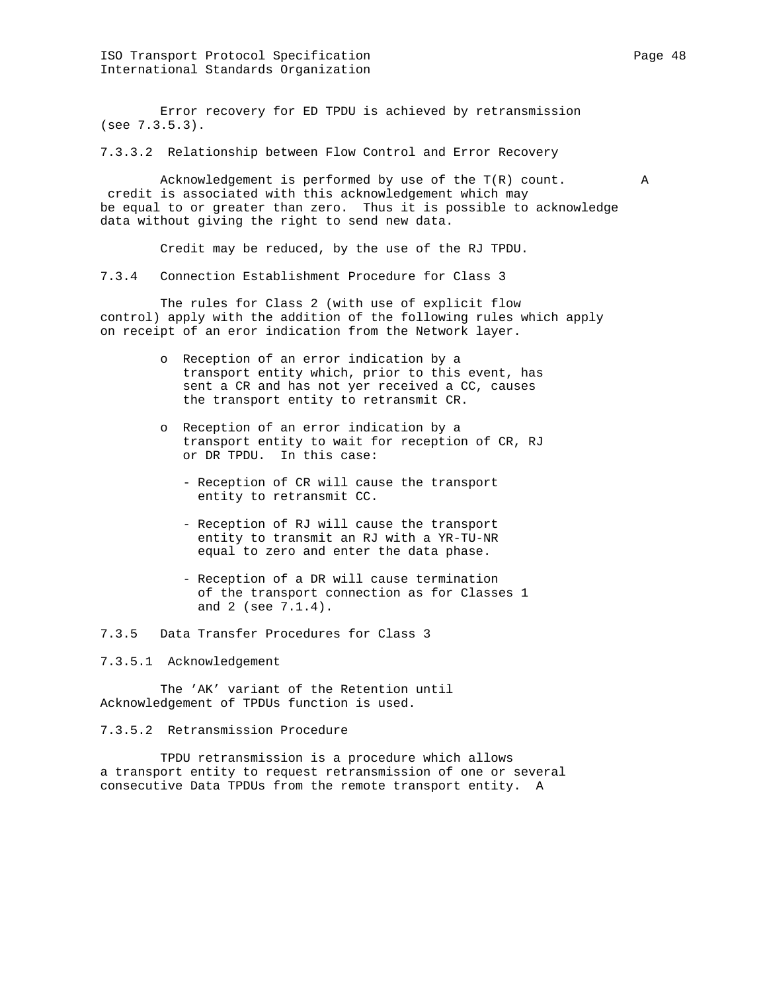Error recovery for ED TPDU is achieved by retransmission (see 7.3.5.3).

7.3.3.2 Relationship between Flow Control and Error Recovery

 Acknowledgement is performed by use of the T(R) count. A credit is associated with this acknowledgement which may be equal to or greater than zero. Thus it is possible to acknowledge data without giving the right to send new data.

Credit may be reduced, by the use of the RJ TPDU.

7.3.4 Connection Establishment Procedure for Class 3

 The rules for Class 2 (with use of explicit flow control) apply with the addition of the following rules which apply on receipt of an eror indication from the Network layer.

- o Reception of an error indication by a transport entity which, prior to this event, has sent a CR and has not yer received a CC, causes the transport entity to retransmit CR.
- o Reception of an error indication by a transport entity to wait for reception of CR, RJ or DR TPDU. In this case:
	- Reception of CR will cause the transport entity to retransmit CC.
	- Reception of RJ will cause the transport entity to transmit an RJ with a YR-TU-NR equal to zero and enter the data phase.
	- Reception of a DR will cause termination of the transport connection as for Classes 1 and 2 (see 7.1.4).

7.3.5 Data Transfer Procedures for Class 3

7.3.5.1 Acknowledgement

 The 'AK' variant of the Retention until Acknowledgement of TPDUs function is used.

7.3.5.2 Retransmission Procedure

 TPDU retransmission is a procedure which allows a transport entity to request retransmission of one or several consecutive Data TPDUs from the remote transport entity. A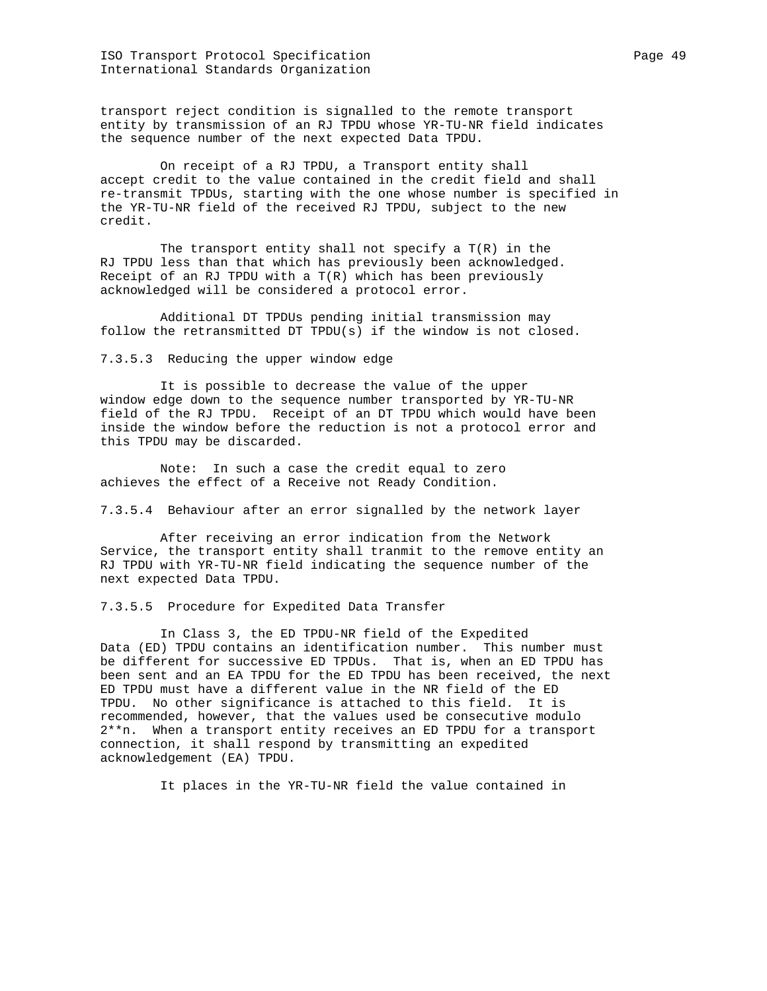ISO Transport Protocol Specification extends the Page 49 International Standards Organization

transport reject condition is signalled to the remote transport entity by transmission of an RJ TPDU whose YR-TU-NR field indicates the sequence number of the next expected Data TPDU.

 On receipt of a RJ TPDU, a Transport entity shall accept credit to the value contained in the credit field and shall re-transmit TPDUs, starting with the one whose number is specified in the YR-TU-NR field of the received RJ TPDU, subject to the new credit.

The transport entity shall not specify a  $T(R)$  in the RJ TPDU less than that which has previously been acknowledged. Receipt of an RJ TPDU with a  $T(R)$  which has been previously acknowledged will be considered a protocol error.

 Additional DT TPDUs pending initial transmission may follow the retransmitted DT TPDU(s) if the window is not closed.

7.3.5.3 Reducing the upper window edge

 It is possible to decrease the value of the upper window edge down to the sequence number transported by YR-TU-NR field of the RJ TPDU. Receipt of an DT TPDU which would have been inside the window before the reduction is not a protocol error and this TPDU may be discarded.

 Note: In such a case the credit equal to zero achieves the effect of a Receive not Ready Condition.

7.3.5.4 Behaviour after an error signalled by the network layer

 After receiving an error indication from the Network Service, the transport entity shall tranmit to the remove entity an RJ TPDU with YR-TU-NR field indicating the sequence number of the next expected Data TPDU.

7.3.5.5 Procedure for Expedited Data Transfer

 In Class 3, the ED TPDU-NR field of the Expedited Data (ED) TPDU contains an identification number. This number must be different for successive ED TPDUs. That is, when an ED TPDU has been sent and an EA TPDU for the ED TPDU has been received, the next ED TPDU must have a different value in the NR field of the ED TPDU. No other significance is attached to this field. It is recommended, however, that the values used be consecutive modulo 2\*\*n. When a transport entity receives an ED TPDU for a transport connection, it shall respond by transmitting an expedited acknowledgement (EA) TPDU.

It places in the YR-TU-NR field the value contained in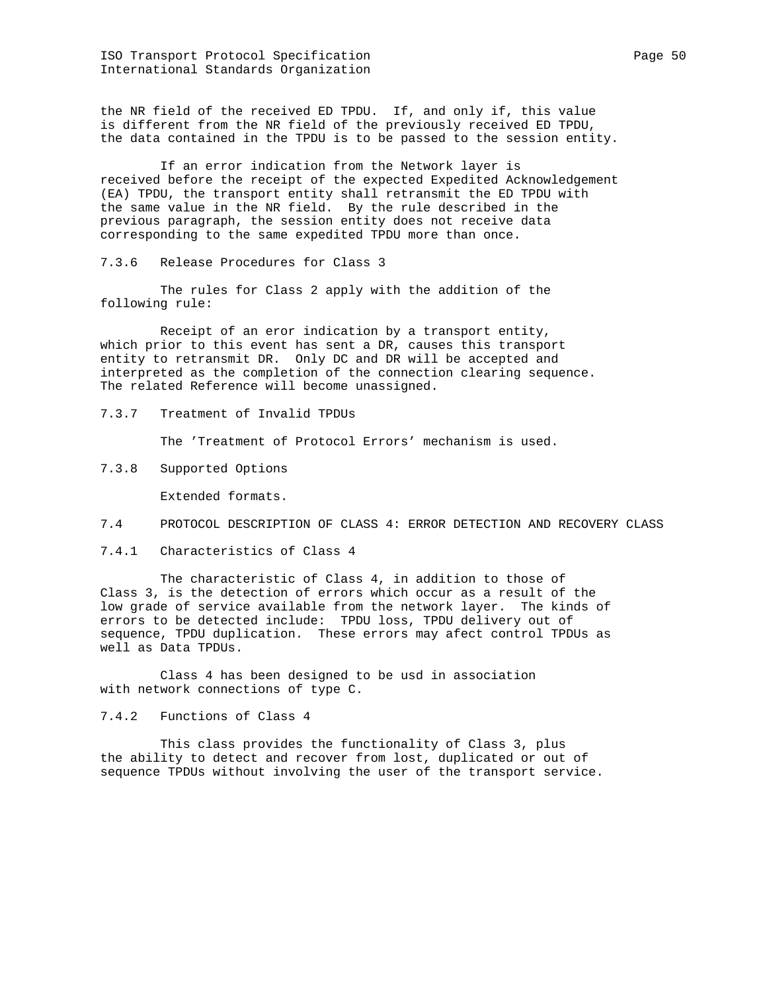ISO Transport Protocol Specification extends the page 50 page 50 International Standards Organization

the NR field of the received ED TPDU. If, and only if, this value is different from the NR field of the previously received ED TPDU, the data contained in the TPDU is to be passed to the session entity.

 If an error indication from the Network layer is received before the receipt of the expected Expedited Acknowledgement (EA) TPDU, the transport entity shall retransmit the ED TPDU with the same value in the NR field. By the rule described in the previous paragraph, the session entity does not receive data corresponding to the same expedited TPDU more than once.

7.3.6 Release Procedures for Class 3

 The rules for Class 2 apply with the addition of the following rule:

 Receipt of an eror indication by a transport entity, which prior to this event has sent a DR, causes this transport entity to retransmit DR. Only DC and DR will be accepted and interpreted as the completion of the connection clearing sequence. The related Reference will become unassigned.

7.3.7 Treatment of Invalid TPDUs

The 'Treatment of Protocol Errors' mechanism is used.

7.3.8 Supported Options

Extended formats.

7.4 PROTOCOL DESCRIPTION OF CLASS 4: ERROR DETECTION AND RECOVERY CLASS

7.4.1 Characteristics of Class 4

 The characteristic of Class 4, in addition to those of Class 3, is the detection of errors which occur as a result of the low grade of service available from the network layer. The kinds of errors to be detected include: TPDU loss, TPDU delivery out of sequence, TPDU duplication. These errors may afect control TPDUs as well as Data TPDUs.

 Class 4 has been designed to be usd in association with network connections of type C.

7.4.2 Functions of Class 4

 This class provides the functionality of Class 3, plus the ability to detect and recover from lost, duplicated or out of sequence TPDUs without involving the user of the transport service.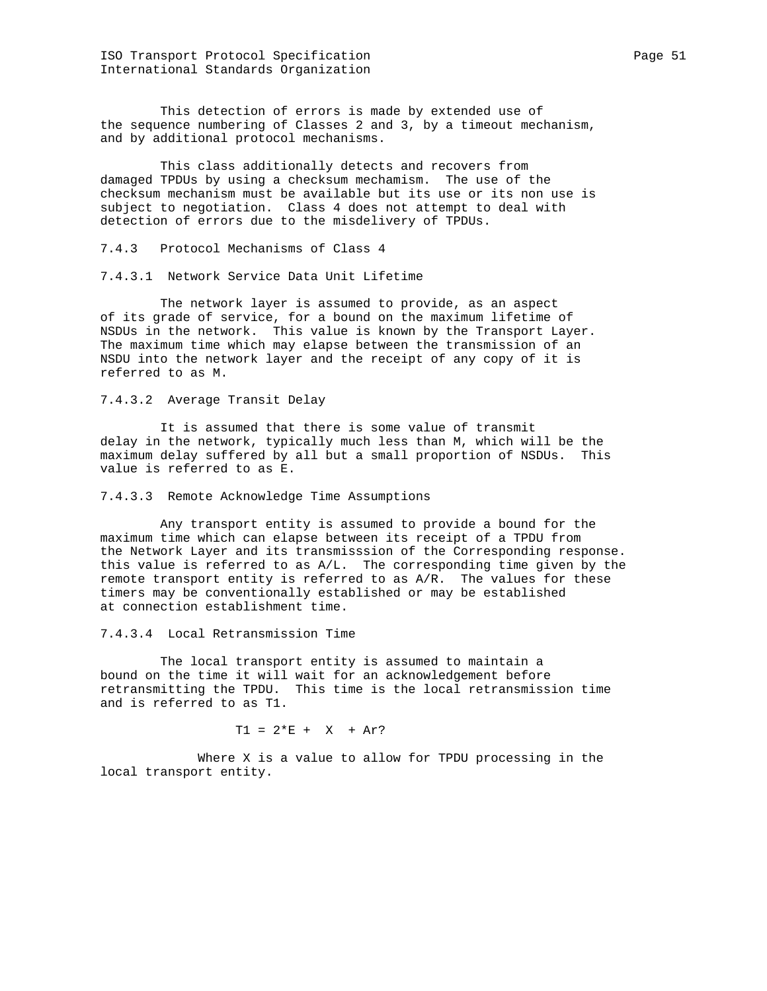ISO Transport Protocol Specification extends the Page 51 Page 51 International Standards Organization

 This detection of errors is made by extended use of the sequence numbering of Classes 2 and 3, by a timeout mechanism, and by additional protocol mechanisms.

 This class additionally detects and recovers from damaged TPDUs by using a checksum mechamism. The use of the checksum mechanism must be available but its use or its non use is subject to negotiation. Class 4 does not attempt to deal with detection of errors due to the misdelivery of TPDUs.

7.4.3 Protocol Mechanisms of Class 4

7.4.3.1 Network Service Data Unit Lifetime

 The network layer is assumed to provide, as an aspect of its grade of service, for a bound on the maximum lifetime of NSDUs in the network. This value is known by the Transport Layer. The maximum time which may elapse between the transmission of an NSDU into the network layer and the receipt of any copy of it is referred to as M.

7.4.3.2 Average Transit Delay

 It is assumed that there is some value of transmit delay in the network, typically much less than M, which will be the maximum delay suffered by all but a small proportion of NSDUs. This value is referred to as E.

7.4.3.3 Remote Acknowledge Time Assumptions

 Any transport entity is assumed to provide a bound for the maximum time which can elapse between its receipt of a TPDU from the Network Layer and its transmisssion of the Corresponding response. this value is referred to as A/L. The corresponding time given by the remote transport entity is referred to as A/R. The values for these timers may be conventionally established or may be established at connection establishment time.

7.4.3.4 Local Retransmission Time

 The local transport entity is assumed to maintain a bound on the time it will wait for an acknowledgement before retransmitting the TPDU. This time is the local retransmission time and is referred to as T1.

 $T1 = 2*E + X + Ar?$ 

 Where X is a value to allow for TPDU processing in the local transport entity.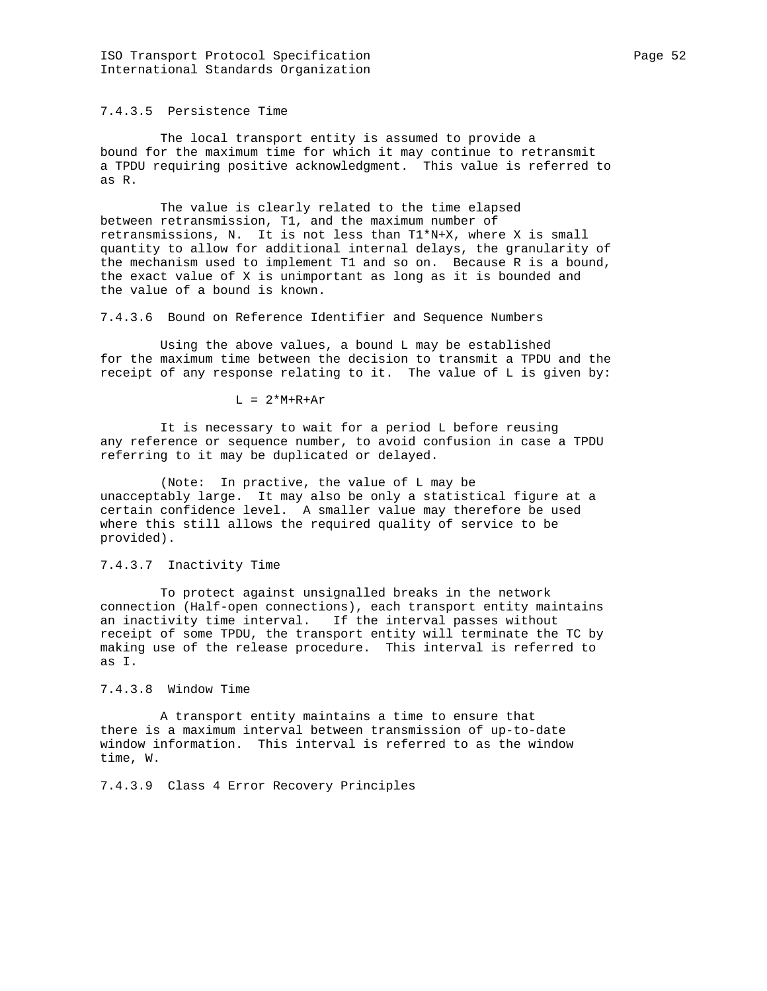7.4.3.5 Persistence Time

 The local transport entity is assumed to provide a bound for the maximum time for which it may continue to retransmit a TPDU requiring positive acknowledgment. This value is referred to as R.

 The value is clearly related to the time elapsed between retransmission, T1, and the maximum number of retransmissions, N. It is not less than T1\*N+X, where X is small quantity to allow for additional internal delays, the granularity of the mechanism used to implement T1 and so on. Because R is a bound, the exact value of X is unimportant as long as it is bounded and the value of a bound is known.

7.4.3.6 Bound on Reference Identifier and Sequence Numbers

 Using the above values, a bound L may be established for the maximum time between the decision to transmit a TPDU and the receipt of any response relating to it. The value of L is given by:

 $L = 2*M+R+Ar$ 

 It is necessary to wait for a period L before reusing any reference or sequence number, to avoid confusion in case a TPDU referring to it may be duplicated or delayed.

 (Note: In practive, the value of L may be unacceptably large. It may also be only a statistical figure at a certain confidence level. A smaller value may therefore be used where this still allows the required quality of service to be provided).

### 7.4.3.7 Inactivity Time

 To protect against unsignalled breaks in the network connection (Half-open connections), each transport entity maintains an inactivity time interval. If the interval passes without receipt of some TPDU, the transport entity will terminate the TC by making use of the release procedure. This interval is referred to as I.

7.4.3.8 Window Time

 A transport entity maintains a time to ensure that there is a maximum interval between transmission of up-to-date window information. This interval is referred to as the window time, W.

7.4.3.9 Class 4 Error Recovery Principles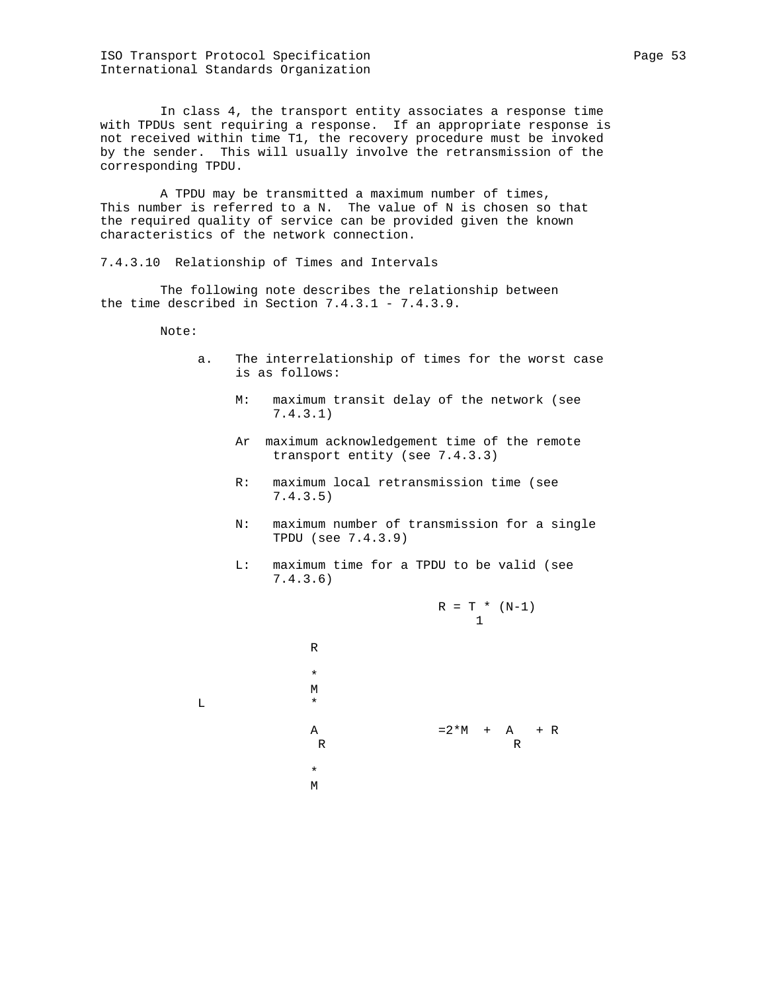ISO Transport Protocol Specification extends the page 53 International Standards Organization

 In class 4, the transport entity associates a response time with TPDUs sent requiring a response. If an appropriate response is not received within time T1, the recovery procedure must be invoked by the sender. This will usually involve the retransmission of the corresponding TPDU.

 A TPDU may be transmitted a maximum number of times, This number is referred to a N. The value of N is chosen so that the required quality of service can be provided given the known characteristics of the network connection.

7.4.3.10 Relationship of Times and Intervals

 The following note describes the relationship between the time described in Section 7.4.3.1 - 7.4.3.9.

Note:

- a. The interrelationship of times for the worst case is as follows:
	- M: maximum transit delay of the network (see 7.4.3.1)
	- Ar maximum acknowledgement time of the remote transport entity (see 7.4.3.3)
	- R: maximum local retransmission time (see 7.4.3.5)
	- N: maximum number of transmission for a single TPDU (see 7.4.3.9)
	- L: maximum time for a TPDU to be valid (see 7.4.3.6)

$$
R = T * (N-1)
$$
\n

| $R$ | $= T * (N-1)$     |
|-----|-------------------|
| $R$ | $= 2 * M + A + R$ |
| $R$ | $= 2 * M + A + R$ |
| $*$ | $M$               |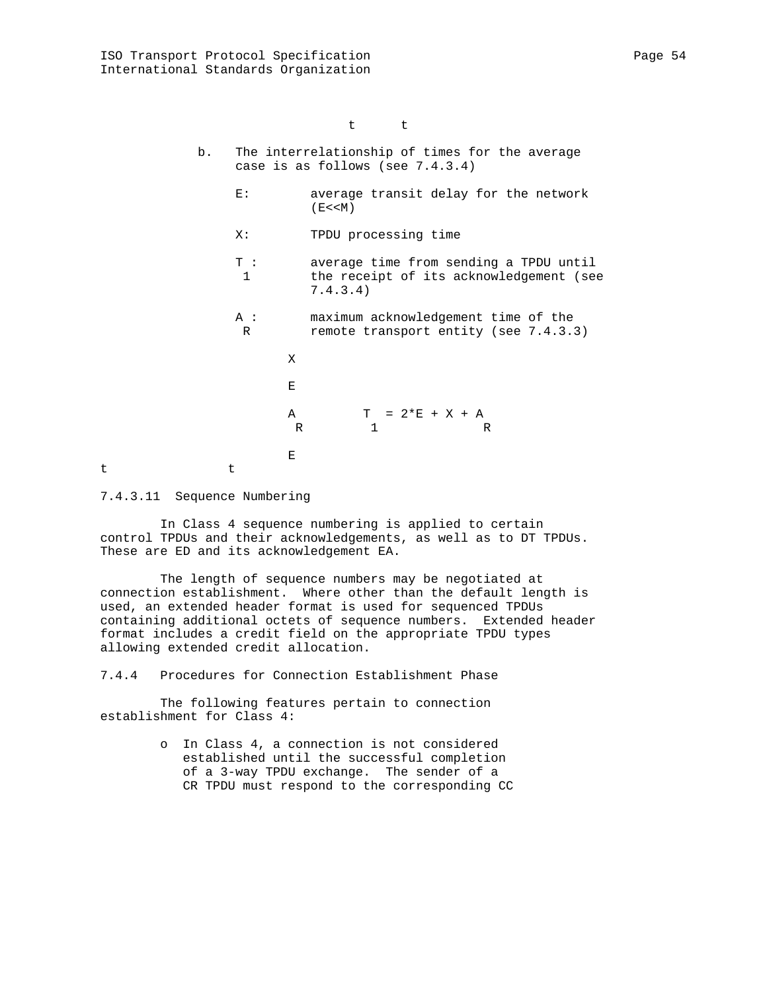- b. The interrelationship of times for the average case is as follows (see 7.4.3.4)
	- E: average transit delay for the network  $(E << M)$
	- X: TPDU processing time
	- T : average time from sending a TPDU until 1 the receipt of its acknowledgement (see 7.4.3.4)
	- A : maximum acknowledgement time of the R remote transport entity (see 7.4.3.3)
- X Experimental control of the control of the Experimental Experimental Control of the Experimental Experimental A  $T = 2*E + X + A$ R 1 R Experimental control of the control of the Experimental Experimental Control of the Control of the Control of

t t

7.4.3.11 Sequence Numbering

 In Class 4 sequence numbering is applied to certain control TPDUs and their acknowledgements, as well as to DT TPDUs. These are ED and its acknowledgement EA.

 The length of sequence numbers may be negotiated at connection establishment. Where other than the default length is used, an extended header format is used for sequenced TPDUs containing additional octets of sequence numbers. Extended header format includes a credit field on the appropriate TPDU types allowing extended credit allocation.

7.4.4 Procedures for Connection Establishment Phase

 The following features pertain to connection establishment for Class 4:

> o In Class 4, a connection is not considered established until the successful completion of a 3-way TPDU exchange. The sender of a CR TPDU must respond to the corresponding CC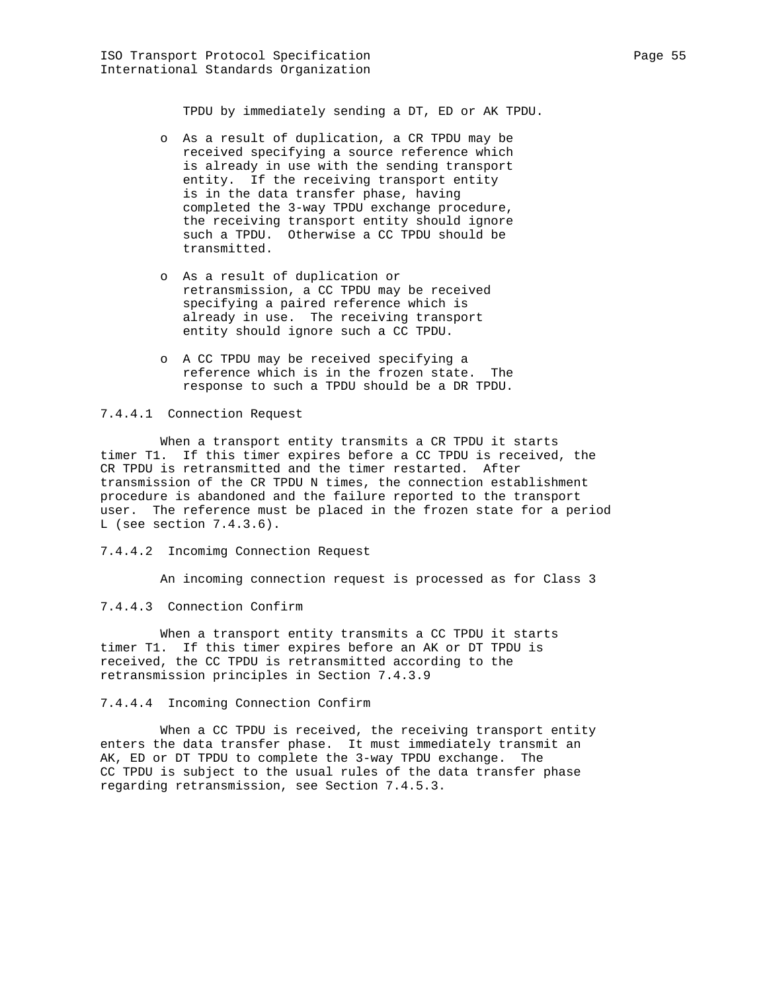TPDU by immediately sending a DT, ED or AK TPDU.

- o As a result of duplication, a CR TPDU may be received specifying a source reference which is already in use with the sending transport entity. If the receiving transport entity is in the data transfer phase, having completed the 3-way TPDU exchange procedure, the receiving transport entity should ignore such a TPDU. Otherwise a CC TPDU should be transmitted.
- o As a result of duplication or retransmission, a CC TPDU may be received specifying a paired reference which is already in use. The receiving transport entity should ignore such a CC TPDU.
- o A CC TPDU may be received specifying a reference which is in the frozen state. The response to such a TPDU should be a DR TPDU.

7.4.4.1 Connection Request

 When a transport entity transmits a CR TPDU it starts timer T1. If this timer expires before a CC TPDU is received, the CR TPDU is retransmitted and the timer restarted. After transmission of the CR TPDU N times, the connection establishment procedure is abandoned and the failure reported to the transport user. The reference must be placed in the frozen state for a period L (see section 7.4.3.6).

7.4.4.2 Incomimg Connection Request

An incoming connection request is processed as for Class 3

7.4.4.3 Connection Confirm

 When a transport entity transmits a CC TPDU it starts timer T1. If this timer expires before an AK or DT TPDU is received, the CC TPDU is retransmitted according to the retransmission principles in Section 7.4.3.9

7.4.4.4 Incoming Connection Confirm

When a CC TPDU is received, the receiving transport entity enters the data transfer phase. It must immediately transmit an AK, ED or DT TPDU to complete the 3-way TPDU exchange. The CC TPDU is subject to the usual rules of the data transfer phase regarding retransmission, see Section 7.4.5.3.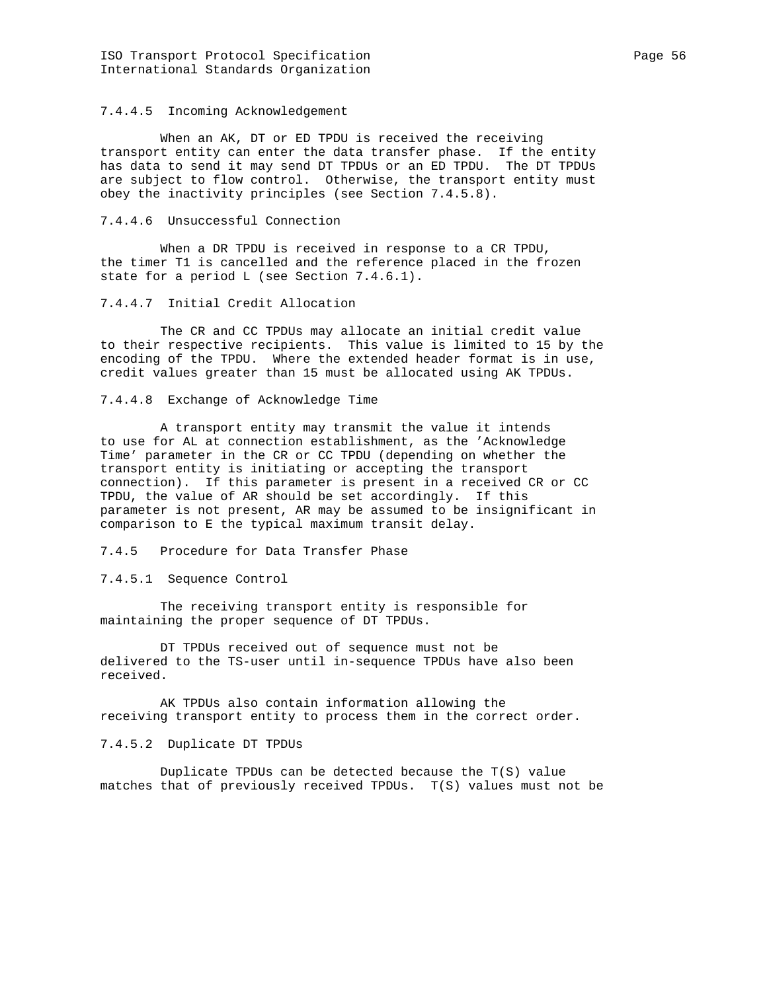### 7.4.4.5 Incoming Acknowledgement

 When an AK, DT or ED TPDU is received the receiving transport entity can enter the data transfer phase. If the entity has data to send it may send DT TPDUs or an ED TPDU. The DT TPDUs are subject to flow control. Otherwise, the transport entity must obey the inactivity principles (see Section 7.4.5.8).

#### 7.4.4.6 Unsuccessful Connection

 When a DR TPDU is received in response to a CR TPDU, the timer T1 is cancelled and the reference placed in the frozen state for a period L (see Section 7.4.6.1).

#### 7.4.4.7 Initial Credit Allocation

 The CR and CC TPDUs may allocate an initial credit value to their respective recipients. This value is limited to 15 by the encoding of the TPDU. Where the extended header format is in use, credit values greater than 15 must be allocated using AK TPDUs.

### 7.4.4.8 Exchange of Acknowledge Time

 A transport entity may transmit the value it intends to use for AL at connection establishment, as the 'Acknowledge Time' parameter in the CR or CC TPDU (depending on whether the transport entity is initiating or accepting the transport connection). If this parameter is present in a received CR or CC TPDU, the value of AR should be set accordingly. If this parameter is not present, AR may be assumed to be insignificant in comparison to E the typical maximum transit delay.

# 7.4.5 Procedure for Data Transfer Phase

7.4.5.1 Sequence Control

 The receiving transport entity is responsible for maintaining the proper sequence of DT TPDUs.

 DT TPDUs received out of sequence must not be delivered to the TS-user until in-sequence TPDUs have also been received.

 AK TPDUs also contain information allowing the receiving transport entity to process them in the correct order.

#### 7.4.5.2 Duplicate DT TPDUs

 Duplicate TPDUs can be detected because the T(S) value matches that of previously received TPDUs. T(S) values must not be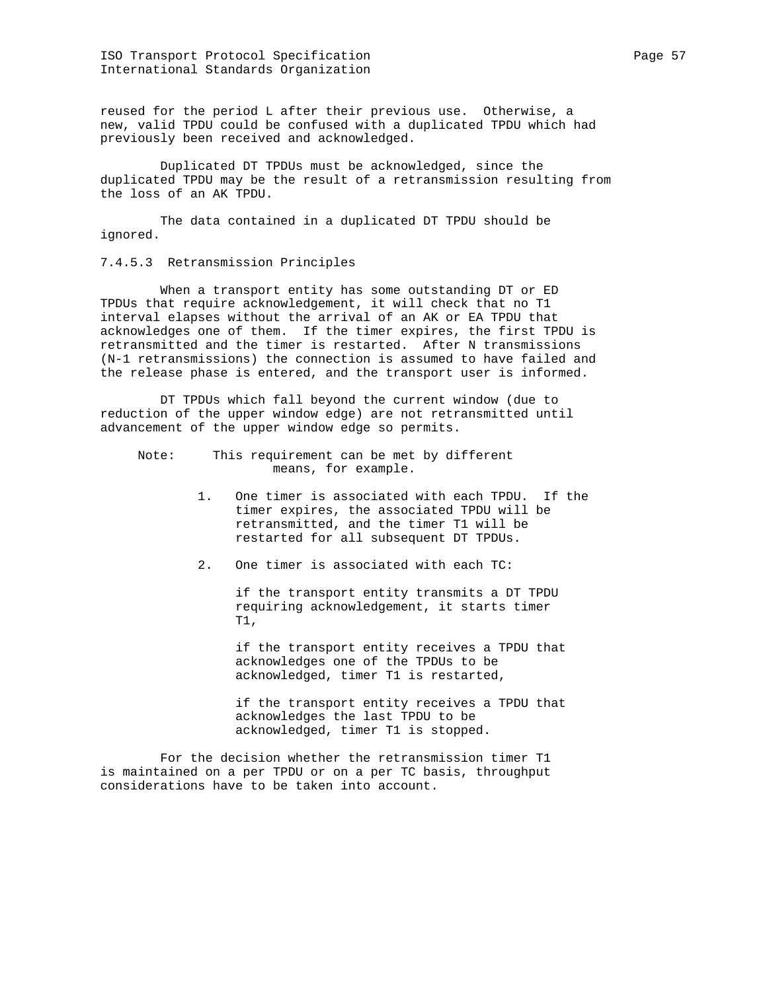ISO Transport Protocol Specification extends the Page 57 Page 57 International Standards Organization

reused for the period L after their previous use. Otherwise, a new, valid TPDU could be confused with a duplicated TPDU which had previously been received and acknowledged.

 Duplicated DT TPDUs must be acknowledged, since the duplicated TPDU may be the result of a retransmission resulting from the loss of an AK TPDU.

 The data contained in a duplicated DT TPDU should be ignored.

7.4.5.3 Retransmission Principles

 When a transport entity has some outstanding DT or ED TPDUs that require acknowledgement, it will check that no T1 interval elapses without the arrival of an AK or EA TPDU that acknowledges one of them. If the timer expires, the first TPDU is retransmitted and the timer is restarted. After N transmissions (N-1 retransmissions) the connection is assumed to have failed and the release phase is entered, and the transport user is informed.

 DT TPDUs which fall beyond the current window (due to reduction of the upper window edge) are not retransmitted until advancement of the upper window edge so permits.

 Note: This requirement can be met by different means, for example.

- 1. One timer is associated with each TPDU. If the timer expires, the associated TPDU will be retransmitted, and the timer T1 will be restarted for all subsequent DT TPDUs.
- 2. One timer is associated with each TC:

 if the transport entity transmits a DT TPDU requiring acknowledgement, it starts timer T1,

 if the transport entity receives a TPDU that acknowledges one of the TPDUs to be acknowledged, timer T1 is restarted,

 if the transport entity receives a TPDU that acknowledges the last TPDU to be acknowledged, timer T1 is stopped.

 For the decision whether the retransmission timer T1 is maintained on a per TPDU or on a per TC basis, throughput considerations have to be taken into account.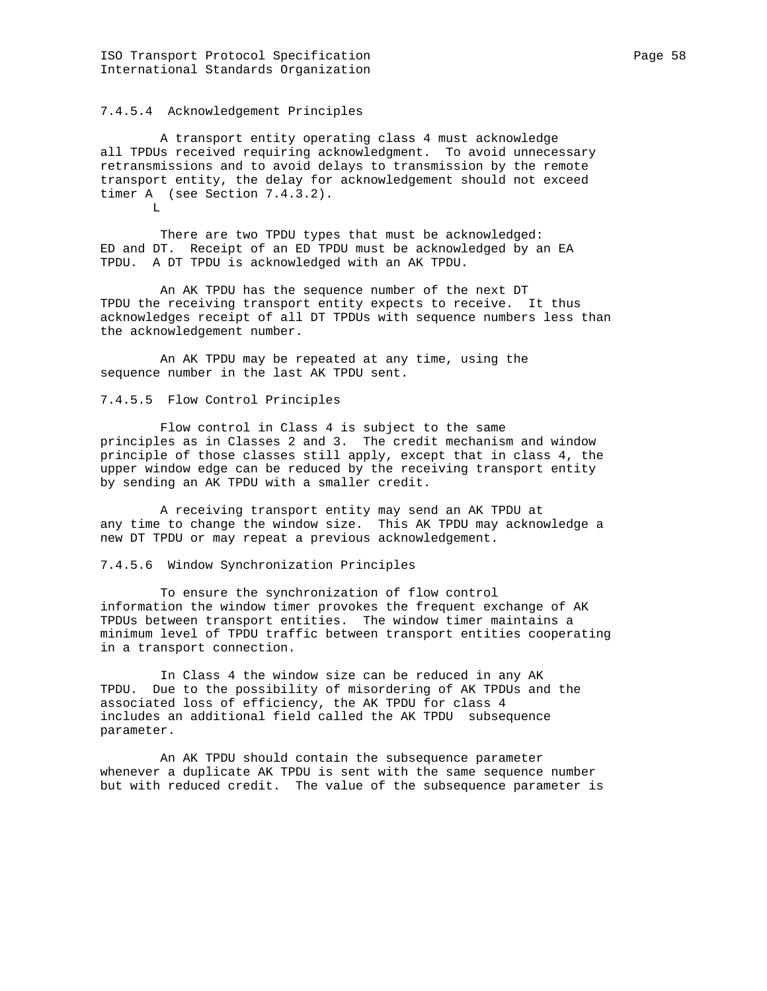### 7.4.5.4 Acknowledgement Principles

 A transport entity operating class 4 must acknowledge all TPDUs received requiring acknowledgment. To avoid unnecessary retransmissions and to avoid delays to transmission by the remote transport entity, the delay for acknowledgement should not exceed timer A (see Section 7.4.3.2).  $T$ .

 There are two TPDU types that must be acknowledged: ED and DT. Receipt of an ED TPDU must be acknowledged by an EA TPDU. A DT TPDU is acknowledged with an AK TPDU.

 An AK TPDU has the sequence number of the next DT TPDU the receiving transport entity expects to receive. It thus acknowledges receipt of all DT TPDUs with sequence numbers less than the acknowledgement number.

 An AK TPDU may be repeated at any time, using the sequence number in the last AK TPDU sent.

### 7.4.5.5 Flow Control Principles

 Flow control in Class 4 is subject to the same principles as in Classes 2 and 3. The credit mechanism and window principle of those classes still apply, except that in class 4, the upper window edge can be reduced by the receiving transport entity by sending an AK TPDU with a smaller credit.

 A receiving transport entity may send an AK TPDU at any time to change the window size. This AK TPDU may acknowledge a new DT TPDU or may repeat a previous acknowledgement.

### 7.4.5.6 Window Synchronization Principles

 To ensure the synchronization of flow control information the window timer provokes the frequent exchange of AK TPDUs between transport entities. The window timer maintains a minimum level of TPDU traffic between transport entities cooperating in a transport connection.

 In Class 4 the window size can be reduced in any AK TPDU. Due to the possibility of misordering of AK TPDUs and the associated loss of efficiency, the AK TPDU for class 4 includes an additional field called the AK TPDU subsequence parameter.

 An AK TPDU should contain the subsequence parameter whenever a duplicate AK TPDU is sent with the same sequence number but with reduced credit. The value of the subsequence parameter is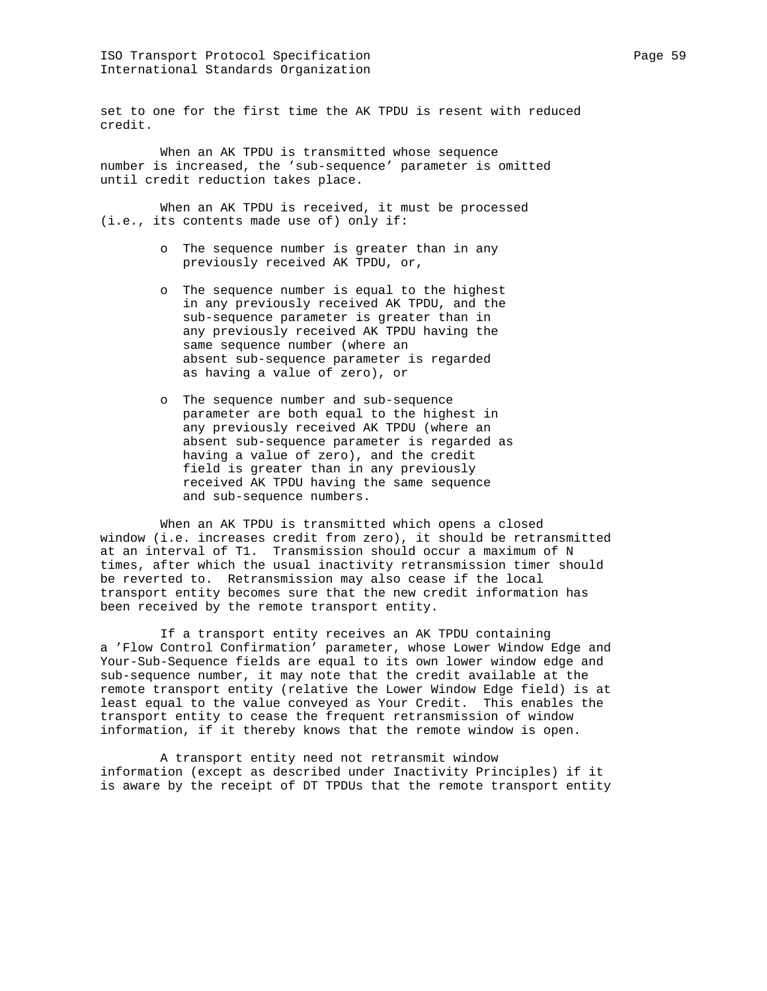set to one for the first time the AK TPDU is resent with reduced credit.

 When an AK TPDU is transmitted whose sequence number is increased, the 'sub-sequence' parameter is omitted until credit reduction takes place.

 When an AK TPDU is received, it must be processed (i.e., its contents made use of) only if:

- o The sequence number is greater than in any previously received AK TPDU, or,
- o The sequence number is equal to the highest in any previously received AK TPDU, and the sub-sequence parameter is greater than in any previously received AK TPDU having the same sequence number (where an absent sub-sequence parameter is regarded as having a value of zero), or
- o The sequence number and sub-sequence parameter are both equal to the highest in any previously received AK TPDU (where an absent sub-sequence parameter is regarded as having a value of zero), and the credit field is greater than in any previously received AK TPDU having the same sequence and sub-sequence numbers.

 When an AK TPDU is transmitted which opens a closed window (i.e. increases credit from zero), it should be retransmitted at an interval of T1. Transmission should occur a maximum of N times, after which the usual inactivity retransmission timer should be reverted to. Retransmission may also cease if the local transport entity becomes sure that the new credit information has been received by the remote transport entity.

 If a transport entity receives an AK TPDU containing a 'Flow Control Confirmation' parameter, whose Lower Window Edge and Your-Sub-Sequence fields are equal to its own lower window edge and sub-sequence number, it may note that the credit available at the remote transport entity (relative the Lower Window Edge field) is at least equal to the value conveyed as Your Credit. This enables the transport entity to cease the frequent retransmission of window information, if it thereby knows that the remote window is open.

 A transport entity need not retransmit window information (except as described under Inactivity Principles) if it is aware by the receipt of DT TPDUs that the remote transport entity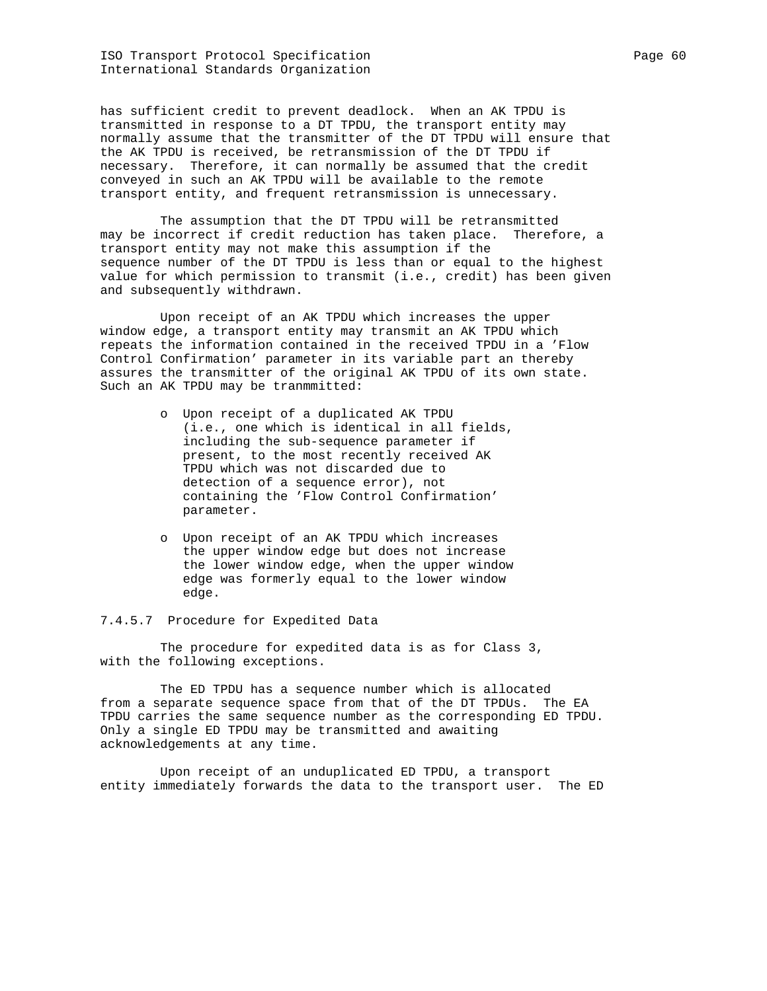ISO Transport Protocol Specification extends the Page 60 International Standards Organization

has sufficient credit to prevent deadlock. When an AK TPDU is transmitted in response to a DT TPDU, the transport entity may normally assume that the transmitter of the DT TPDU will ensure that the AK TPDU is received, be retransmission of the DT TPDU if necessary. Therefore, it can normally be assumed that the credit conveyed in such an AK TPDU will be available to the remote transport entity, and frequent retransmission is unnecessary.

 The assumption that the DT TPDU will be retransmitted may be incorrect if credit reduction has taken place. Therefore, a transport entity may not make this assumption if the sequence number of the DT TPDU is less than or equal to the highest value for which permission to transmit (i.e., credit) has been given and subsequently withdrawn.

 Upon receipt of an AK TPDU which increases the upper window edge, a transport entity may transmit an AK TPDU which repeats the information contained in the received TPDU in a 'Flow Control Confirmation' parameter in its variable part an thereby assures the transmitter of the original AK TPDU of its own state. Such an AK TPDU may be tranmmitted:

- o Upon receipt of a duplicated AK TPDU (i.e., one which is identical in all fields, including the sub-sequence parameter if present, to the most recently received AK TPDU which was not discarded due to detection of a sequence error), not containing the 'Flow Control Confirmation' parameter.
- o Upon receipt of an AK TPDU which increases the upper window edge but does not increase the lower window edge, when the upper window edge was formerly equal to the lower window edge.

7.4.5.7 Procedure for Expedited Data

 The procedure for expedited data is as for Class 3, with the following exceptions.

 The ED TPDU has a sequence number which is allocated from a separate sequence space from that of the DT TPDUs. The EA TPDU carries the same sequence number as the corresponding ED TPDU. Only a single ED TPDU may be transmitted and awaiting acknowledgements at any time.

 Upon receipt of an unduplicated ED TPDU, a transport entity immediately forwards the data to the transport user. The ED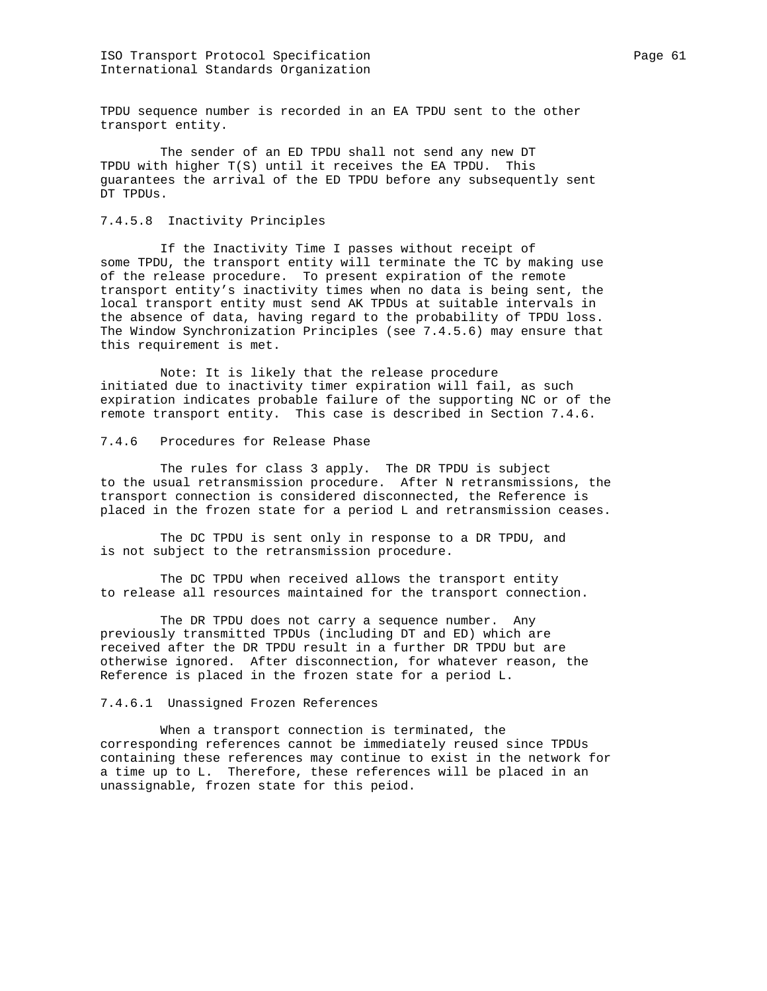TPDU sequence number is recorded in an EA TPDU sent to the other transport entity.

 The sender of an ED TPDU shall not send any new DT TPDU with higher T(S) until it receives the EA TPDU. This guarantees the arrival of the ED TPDU before any subsequently sent DT TPDUs.

### 7.4.5.8 Inactivity Principles

 If the Inactivity Time I passes without receipt of some TPDU, the transport entity will terminate the TC by making use of the release procedure. To present expiration of the remote transport entity's inactivity times when no data is being sent, the local transport entity must send AK TPDUs at suitable intervals in the absence of data, having regard to the probability of TPDU loss. The Window Synchronization Principles (see 7.4.5.6) may ensure that this requirement is met.

 Note: It is likely that the release procedure initiated due to inactivity timer expiration will fail, as such expiration indicates probable failure of the supporting NC or of the remote transport entity. This case is described in Section 7.4.6.

### 7.4.6 Procedures for Release Phase

 The rules for class 3 apply. The DR TPDU is subject to the usual retransmission procedure. After N retransmissions, the transport connection is considered disconnected, the Reference is placed in the frozen state for a period L and retransmission ceases.

 The DC TPDU is sent only in response to a DR TPDU, and is not subject to the retransmission procedure.

 The DC TPDU when received allows the transport entity to release all resources maintained for the transport connection.

 The DR TPDU does not carry a sequence number. Any previously transmitted TPDUs (including DT and ED) which are received after the DR TPDU result in a further DR TPDU but are otherwise ignored. After disconnection, for whatever reason, the Reference is placed in the frozen state for a period L.

### 7.4.6.1 Unassigned Frozen References

 When a transport connection is terminated, the corresponding references cannot be immediately reused since TPDUs containing these references may continue to exist in the network for a time up to L. Therefore, these references will be placed in an unassignable, frozen state for this peiod.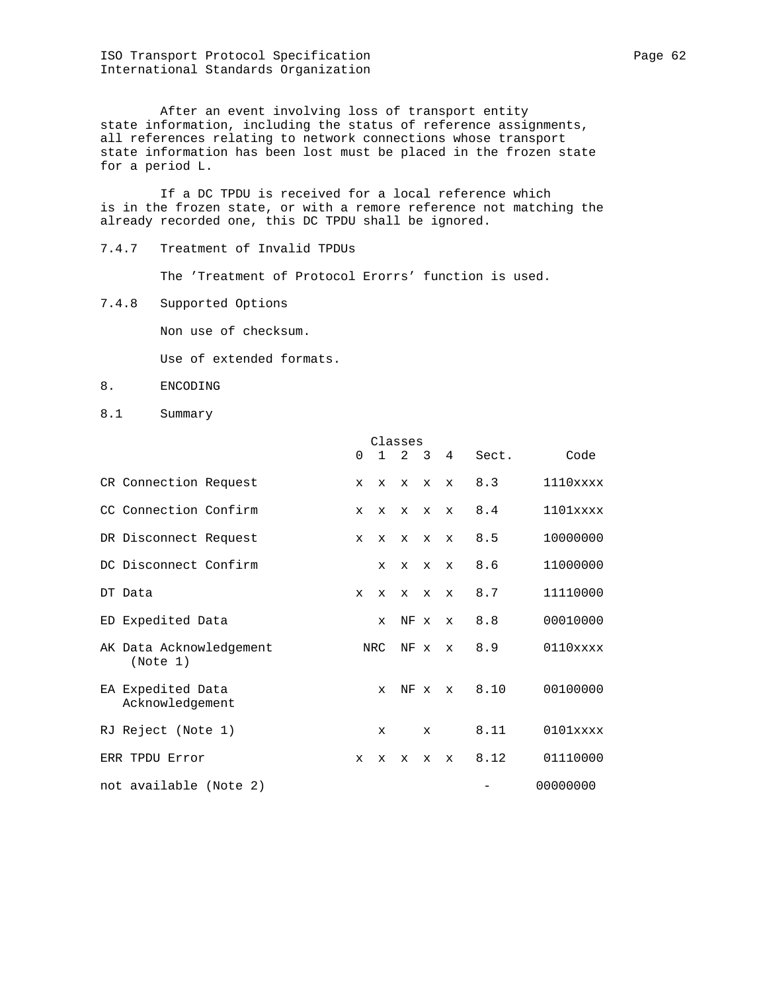ISO Transport Protocol Specification **Page 62** Page 62 International Standards Organization

 After an event involving loss of transport entity state information, including the status of reference assignments, all references relating to network connections whose transport state information has been lost must be placed in the frozen state for a period L.

 If a DC TPDU is received for a local reference which is in the frozen state, or with a remore reference not matching the already recorded one, this DC TPDU shall be ignored.

7.4.7 Treatment of Invalid TPDUs

The 'Treatment of Protocol Erorrs' function is used.

7.4.8 Supported Options

Non use of checksum.

Use of extended formats.

- 8. ENCODING
- 8.1 Summary

|                                      |              |              | Classes      |                           |                |       |             |
|--------------------------------------|--------------|--------------|--------------|---------------------------|----------------|-------|-------------|
|                                      | 0            | $1\quad 2$   |              | $\overline{\phantom{a}3}$ | $\overline{4}$ | Sect. | Code        |
| CR Connection Request                | $\mathbf{x}$ | $\mathbf{x}$ | $\mathbf x$  | $\mathbf{x}$              | $\mathbf{x}$   | 8.3   | $1110$ xxxx |
| CC Connection Confirm                | $\mathbf{x}$ | $\mathbf{x}$ | $\mathbf{x}$ | $\mathbf{x}$              | $\mathbf{x}$   | 8.4   | $1101$ xxxx |
| DR Disconnect Request                | $\mathbf{x}$ | $\mathbf{x}$ | $\mathbf{x}$ | $\mathbf x$               | $\mathbf{x}$   | 8.5   | 10000000    |
| DC Disconnect Confirm                |              | $\mathbf{x}$ | $\mathbf{x}$ | $\mathbf{x}$              | $\mathbf{x}$   | 8.6   | 11000000    |
| DT Data                              | $\mathbf{x}$ | $\mathbf{x}$ | $\mathbf{x}$ | $\mathbf{x}$              | $\mathbf{x}$   | 8.7   | 11110000    |
| ED Expedited Data                    |              | $\mathbf{x}$ | NF x         |                           | $\mathbf{x}$   | 8.8   | 00010000    |
| AK Data Acknowledgement<br>(Note 1)  |              | NRC          | NF x         |                           | $\mathbf{x}$   | 8.9   | $0110$ xxxx |
| EA Expedited Data<br>Acknowledgement |              | $\mathbf{x}$ | NF x         |                           | $\mathbf{x}$   | 8.10  | 00100000    |
| RJ Reject (Note 1)                   |              | $\mathbf{x}$ |              | $\mathbf{x}$              |                | 8.11  | $0101$ xxxx |
| ERR TPDU Error                       | $\mathbf{x}$ | $\mathbf{x}$ | $\mathbf{x}$ | $\mathbf{x}$              | $\mathbf{x}$   | 8.12  | 01110000    |
| not available (Note 2)               |              |              |              |                           |                |       | 00000000    |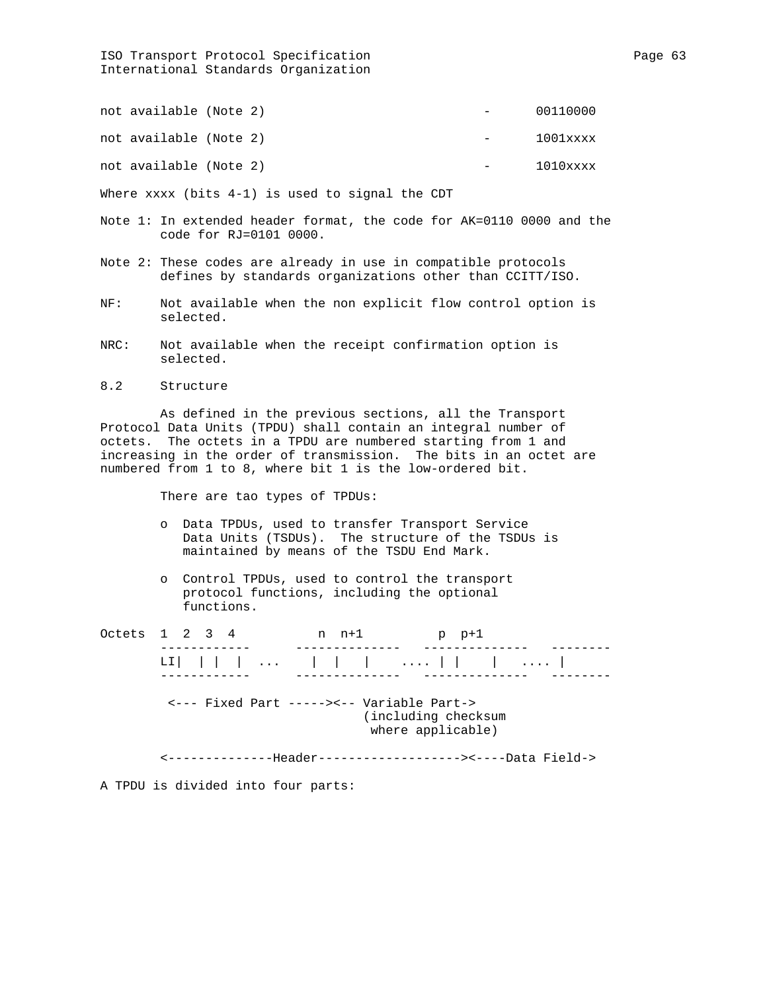# ISO Transport Protocol Specification and Page 63 International Standards Organization

| not available (Note 2) |  | $\sim$ 100 $\mu$ | 00110000    |
|------------------------|--|------------------|-------------|
| not available (Note 2) |  | $\sim$           | $1001$ xxxx |
| not available (Note 2) |  |                  | 1010xxxx    |

Where xxxx (bits 4-1) is used to signal the CDT

- Note 1: In extended header format, the code for AK=0110 0000 and the code for RJ=0101 0000.
- Note 2: These codes are already in use in compatible protocols defines by standards organizations other than CCITT/ISO.
- NF: Not available when the non explicit flow control option is selected.
- NRC: Not available when the receipt confirmation option is selected.
- 8.2 Structure

 As defined in the previous sections, all the Transport Protocol Data Units (TPDU) shall contain an integral number of octets. The octets in a TPDU are numbered starting from 1 and increasing in the order of transmission. The bits in an octet are numbered from 1 to 8, where bit 1 is the low-ordered bit.

There are tao types of TPDUs:

- o Data TPDUs, used to transfer Transport Service Data Units (TSDUs). The structure of the TSDUs is maintained by means of the TSDU End Mark.
- o Control TPDUs, used to control the transport protocol functions, including the optional functions.

Octets 1 2 3 4 n n+1 p p+1 ------------ -------------- -------------- --------  $\mathbf{L}[\begin{array}{c} | \end{array}][\begin{array}{ccc} | \end{array}][\begin{array}{ccc} 1, & | \end{array}][\begin{array}{ccc} | \end{array}][\begin{array}{ccc} | \end{array}][\begin{array}{ccc} | \end{array}][\begin{array}{ccc} | \end{array}][\begin{array}{ccc} | \end{array}][\begin{array}{ccc} | \end{array}][\begin{array}{ccc} | \end{array}][\begin{array}{ccc} | \end{array}][\begin{array} | \end{array}][\begin{array} | \end{array}][\begin{array} | \end{array}][\begin{array} | \end{array}][\begin{array} | \end$  ------------ -------------- -------------- -------- <--- Fixed Part -----><-- Variable Part-> (including checksum where applicable) <--------------Header-------------------><----Data Field->

A TPDU is divided into four parts: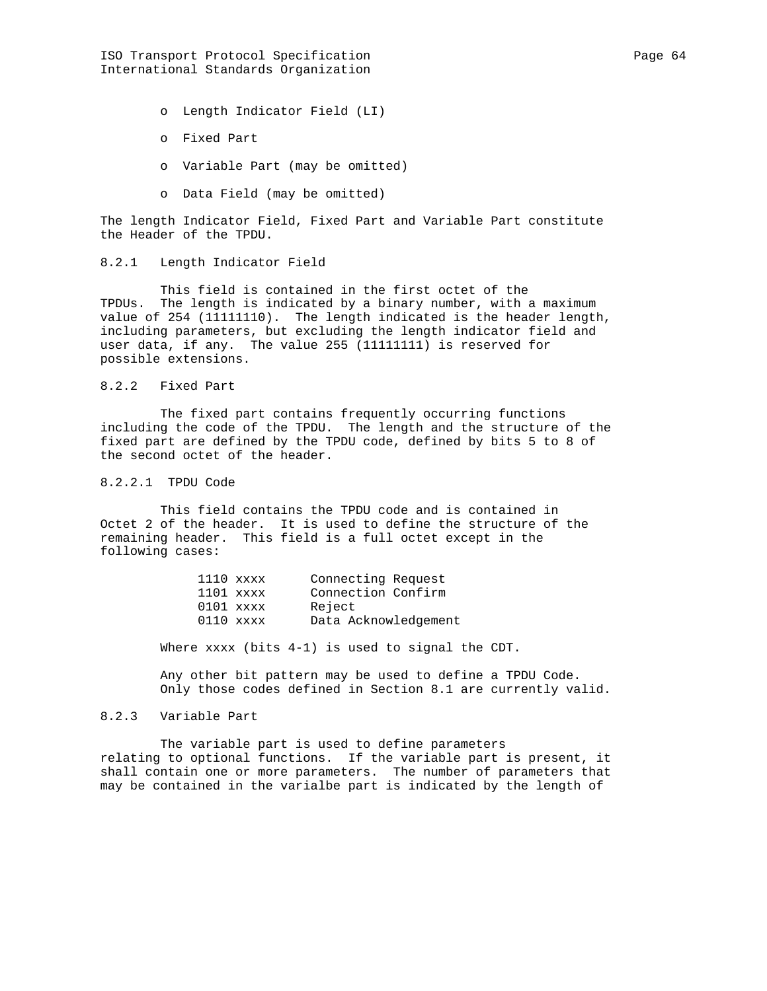ISO Transport Protocol Specification extends the Page 64 International Standards Organization

o Length Indicator Field (LI)

- o Fixed Part
- o Variable Part (may be omitted)
- o Data Field (may be omitted)

The length Indicator Field, Fixed Part and Variable Part constitute the Header of the TPDU.

8.2.1 Length Indicator Field

 This field is contained in the first octet of the TPDUs. The length is indicated by a binary number, with a maximum value of 254 (11111110). The length indicated is the header length, including parameters, but excluding the length indicator field and user data, if any. The value 255 (11111111) is reserved for possible extensions.

### 8.2.2 Fixed Part

 The fixed part contains frequently occurring functions including the code of the TPDU. The length and the structure of the fixed part are defined by the TPDU code, defined by bits 5 to 8 of the second octet of the header.

## 8.2.2.1 TPDU Code

 This field contains the TPDU code and is contained in Octet 2 of the header. It is used to define the structure of the remaining header. This field is a full octet except in the following cases:

| $1110$ xxxx | Connecting Request   |
|-------------|----------------------|
| $1101$ xxxx | Connection Confirm   |
| $0101$ xxxx | Reject               |
| $0110$ xxxx | Data Acknowledgement |

Where xxxx (bits 4-1) is used to signal the CDT.

 Any other bit pattern may be used to define a TPDU Code. Only those codes defined in Section 8.1 are currently valid.

### 8.2.3 Variable Part

 The variable part is used to define parameters relating to optional functions. If the variable part is present, it shall contain one or more parameters. The number of parameters that may be contained in the varialbe part is indicated by the length of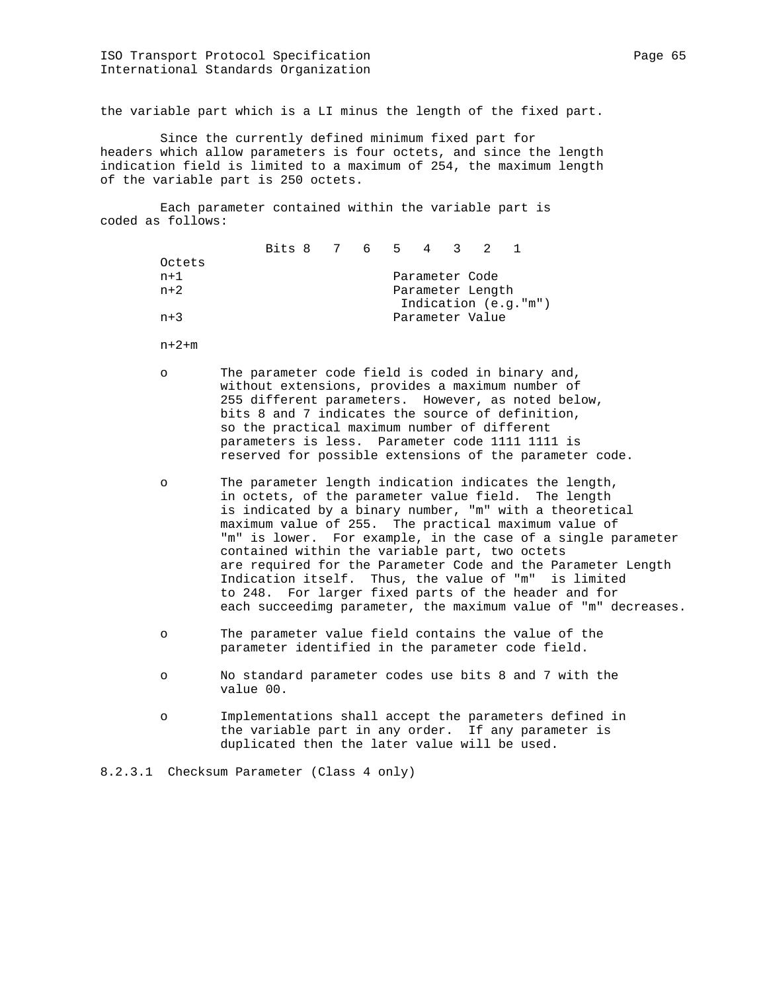the variable part which is a LI minus the length of the fixed part.

 Since the currently defined minimum fixed part for headers which allow parameters is four octets, and since the length indication field is limited to a maximum of 254, the maximum length of the variable part is 250 octets.

 Each parameter contained within the variable part is coded as follows:

|        | Bits 8 7 6 5 4 3 2 |  |                |                  |                      |  |
|--------|--------------------|--|----------------|------------------|----------------------|--|
| Octets |                    |  |                |                  |                      |  |
| n+1    |                    |  | Parameter Code |                  |                      |  |
| $n+2$  |                    |  |                | Parameter Length |                      |  |
|        |                    |  |                |                  | Indication (e.g."m") |  |
| $n+3$  |                    |  |                | Parameter Value  |                      |  |
|        |                    |  |                |                  |                      |  |

n+2+m

- o The parameter code field is coded in binary and, without extensions, provides a maximum number of 255 different parameters. However, as noted below, bits 8 and 7 indicates the source of definition, so the practical maximum number of different parameters is less. Parameter code 1111 1111 is reserved for possible extensions of the parameter code.
- o The parameter length indication indicates the length, in octets, of the parameter value field. The length is indicated by a binary number, "m" with a theoretical maximum value of 255. The practical maximum value of "m" is lower. For example, in the case of a single parameter contained within the variable part, two octets are required for the Parameter Code and the Parameter Length Indication itself. Thus, the value of "m" is limited to 248. For larger fixed parts of the header and for each succeedimg parameter, the maximum value of "m" decreases.
- o The parameter value field contains the value of the parameter identified in the parameter code field.
- o No standard parameter codes use bits 8 and 7 with the value 00.
- o Implementations shall accept the parameters defined in the variable part in any order. If any parameter is duplicated then the later value will be used.

8.2.3.1 Checksum Parameter (Class 4 only)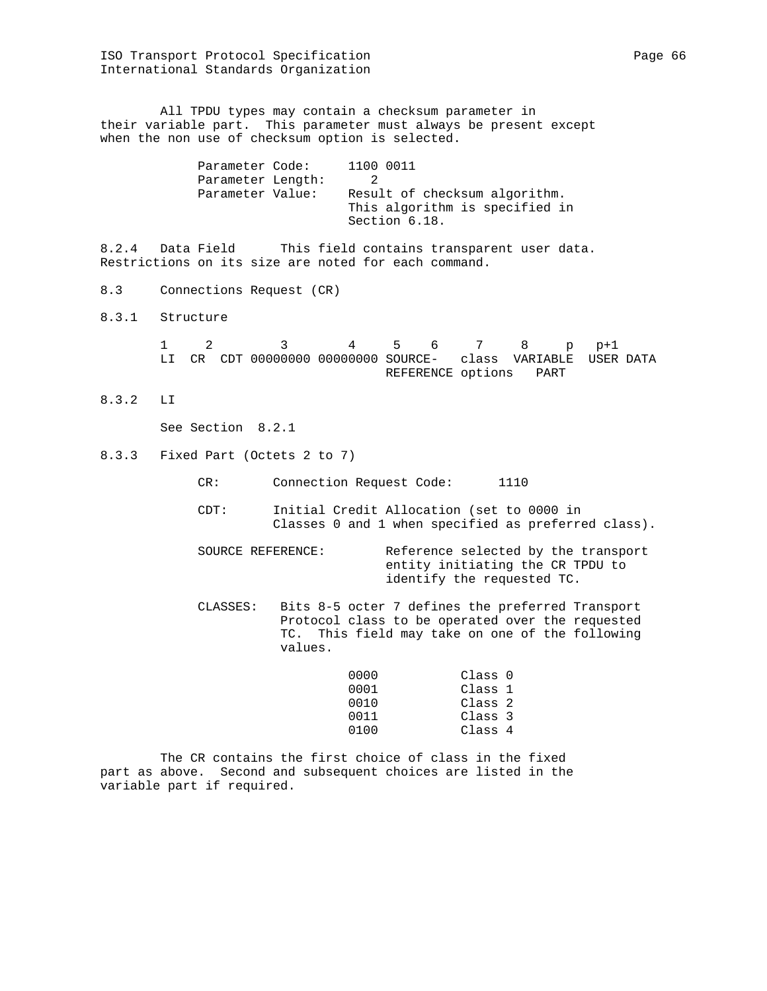All TPDU types may contain a checksum parameter in their variable part. This parameter must always be present except when the non use of checksum option is selected.

| Parameter Code:   | 1100 0011                                                                        |
|-------------------|----------------------------------------------------------------------------------|
| Parameter Length: |                                                                                  |
| Parameter Value:  | Result of checksum algorithm.<br>This algorithm is specified in<br>Section 6.18. |

8.2.4 Data Field This field contains transparent user data. Restrictions on its size are noted for each command.

- 8.3 Connections Request (CR)
- 8.3.1 Structure

|  |  | $1 \t2 \t3 \t4 \t5 \t6 \t7 \t8 \t p+1$                       |  |                        |  |  |
|--|--|--------------------------------------------------------------|--|------------------------|--|--|
|  |  | LI CR CDT 00000000 00000000 SOURCE- class VARIABLE USER DATA |  |                        |  |  |
|  |  |                                                              |  | REFERENCE options PART |  |  |

8.3.2 LI

See Section 8.2.1

- 8.3.3 Fixed Part (Octets 2 to 7)
	- CR: Connection Request Code: 1110
	- CDT: Initial Credit Allocation (set to 0000 in Classes 0 and 1 when specified as preferred class).
	- SOURCE REFERENCE: Reference selected by the transport entity initiating the CR TPDU to identify the requested TC.
	- CLASSES: Bits 8-5 octer 7 defines the preferred Transport Protocol class to be operated over the requested TC. This field may take on one of the following values.

| 0000 | Class 0 |
|------|---------|
| 0001 | Class 1 |
| 0010 | Class 2 |
| 0011 | Class 3 |
| 0100 | Class 4 |

 The CR contains the first choice of class in the fixed part as above. Second and subsequent choices are listed in the variable part if required.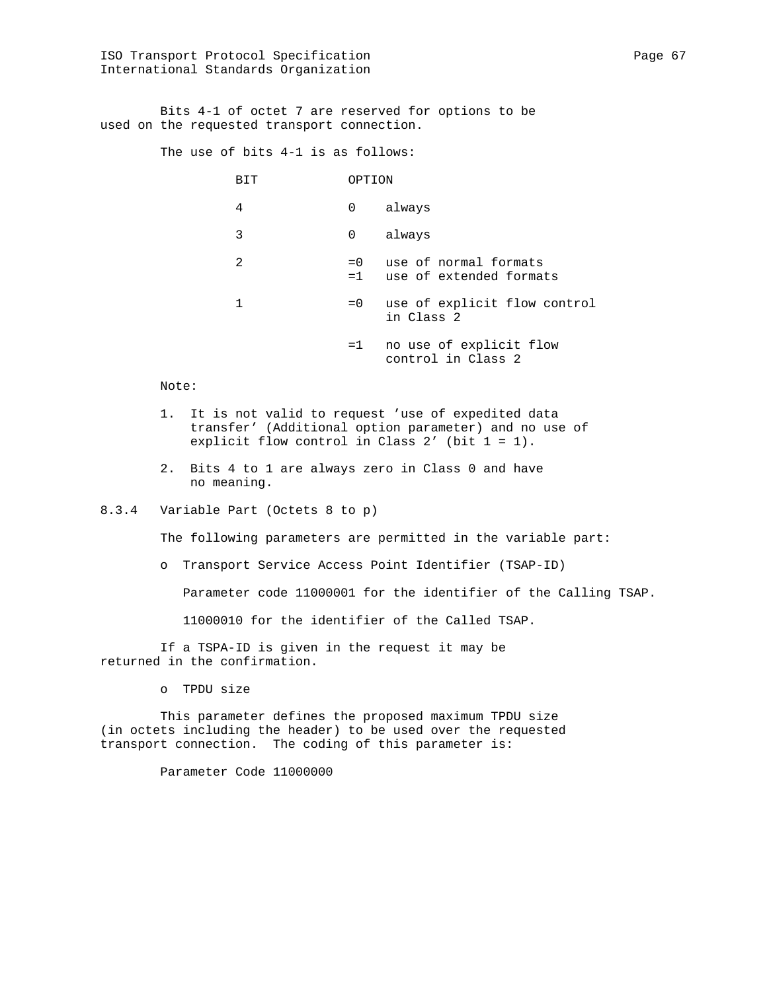Bits 4-1 of octet 7 are reserved for options to be used on the requested transport connection.

The use of bits 4-1 is as follows:

| BIT | OPTION        |                                                  |
|-----|---------------|--------------------------------------------------|
| 4   | 0             | always                                           |
| 3   | 0             | always                                           |
| 2   | $= 0$<br>$=1$ | use of normal formats<br>use of extended formats |
| 1   | $= 0$         | use of explicit flow control<br>in Class 2       |
|     | $=1$          | no use of explicit flow<br>control in Class 2    |

Note:

- 1. It is not valid to request 'use of expedited data transfer' (Additional option parameter) and no use of explicit flow control in Class 2' (bit 1 = 1).
- 2. Bits 4 to 1 are always zero in Class 0 and have no meaning.

### 8.3.4 Variable Part (Octets 8 to p)

The following parameters are permitted in the variable part:

o Transport Service Access Point Identifier (TSAP-ID)

Parameter code 11000001 for the identifier of the Calling TSAP.

11000010 for the identifier of the Called TSAP.

 If a TSPA-ID is given in the request it may be returned in the confirmation.

o TPDU size

 This parameter defines the proposed maximum TPDU size (in octets including the header) to be used over the requested transport connection. The coding of this parameter is:

Parameter Code 11000000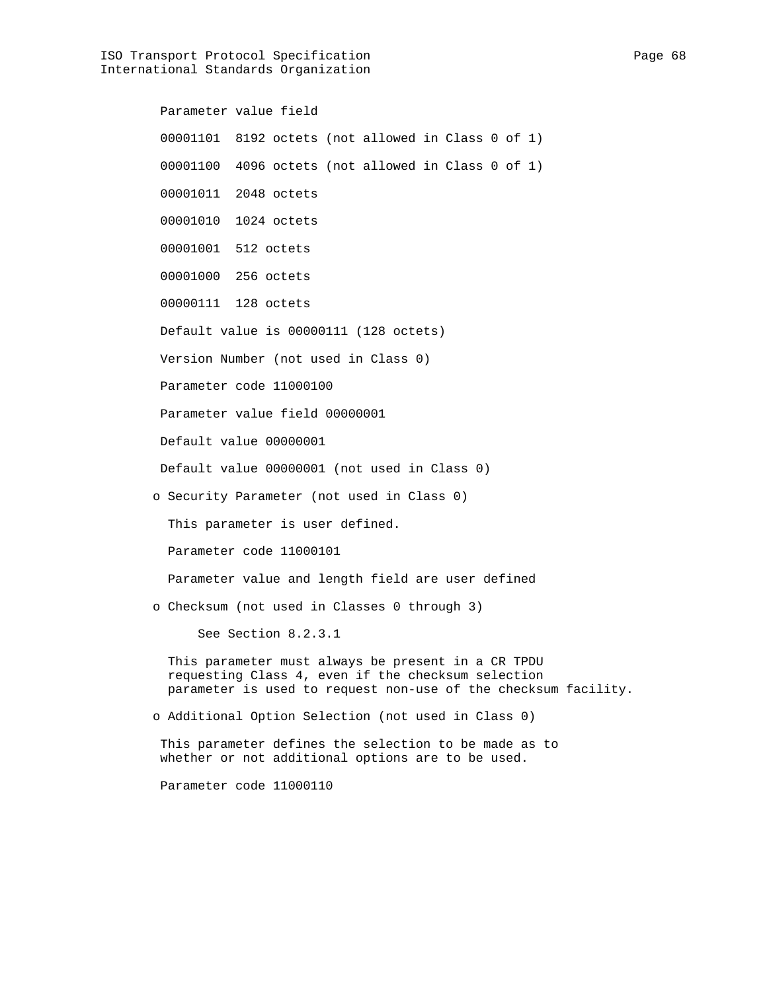ISO Transport Protocol Specification extends the Page 68 International Standards Organization

 Parameter value field 00001101 8192 octets (not allowed in Class 0 of 1) 00001100 4096 octets (not allowed in Class 0 of 1) 00001011 2048 octets 00001010 1024 octets 00001001 512 octets 00001000 256 octets 00000111 128 octets Default value is 00000111 (128 octets) Version Number (not used in Class 0) Parameter code 11000100 Parameter value field 00000001 Default value 00000001 Default value 00000001 (not used in Class 0) o Security Parameter (not used in Class 0) This parameter is user defined. Parameter code 11000101 Parameter value and length field are user defined o Checksum (not used in Classes 0 through 3) See Section 8.2.3.1 This parameter must always be present in a CR TPDU requesting Class 4, even if the checksum selection parameter is used to request non-use of the checksum facility. o Additional Option Selection (not used in Class 0) This parameter defines the selection to be made as to whether or not additional options are to be used. Parameter code 11000110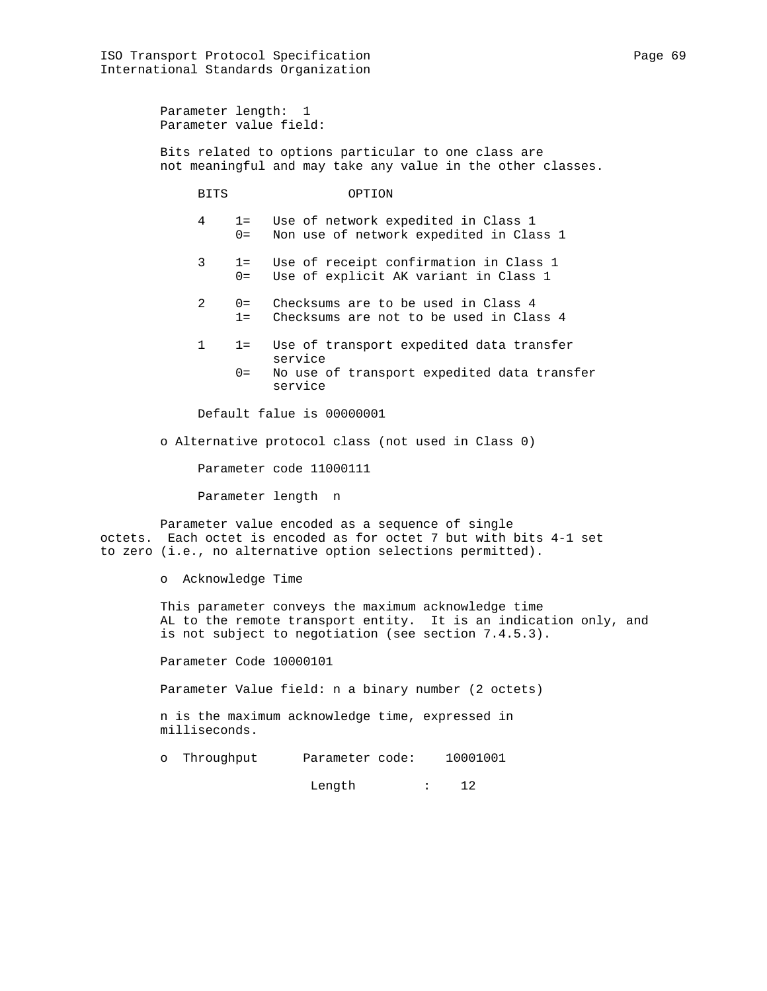Parameter length: 1 Parameter value field:

 Bits related to options particular to one class are not meaningful and may take any value in the other classes.

BITS OPTION

 4 1= Use of network expedited in Class 1 0= Non use of network expedited in Class 1

- 3 1= Use of receipt confirmation in Class 1 0= Use of explicit AK variant in Class 1
- 2 0= Checksums are to be used in Class 4 1= Checksums are not to be used in Class 4
- 1 1= Use of transport expedited data transfer service
	- 0= No use of transport expedited data transfer service

Default falue is 00000001

o Alternative protocol class (not used in Class 0)

Parameter code 11000111

Parameter length n

 Parameter value encoded as a sequence of single octets. Each octet is encoded as for octet 7 but with bits 4-1 set to zero (i.e., no alternative option selections permitted).

o Acknowledge Time

 This parameter conveys the maximum acknowledge time AL to the remote transport entity. It is an indication only, and is not subject to negotiation (see section 7.4.5.3).

Parameter Code 10000101

Parameter Value field: n a binary number (2 octets)

 n is the maximum acknowledge time, expressed in milliseconds.

o Throughput Parameter code: 10001001

Length : 12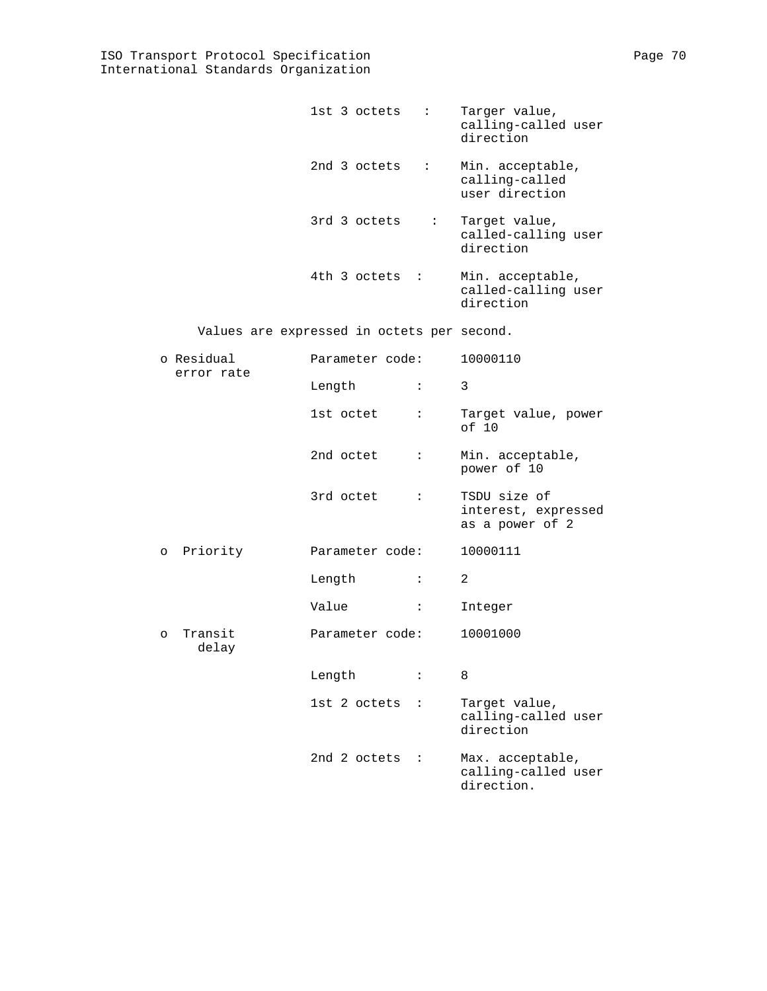|  | $1st$ 3 octets : |           | Targer value,<br>calling-called user<br>direction    |
|--|------------------|-----------|------------------------------------------------------|
|  | 2nd 3 octets     | $\sim 10$ | Min. acceptable,<br>calling-called<br>user direction |
|  | 3rd 3 octets     |           | : Target value,<br>called-calling user<br>direction  |
|  | 4th 3 octets :   |           | Min. acceptable,<br>called-calling user<br>direction |

Values are expressed in octets per second.

|          | o Residual<br>error rate | Parameter code: |                      | 10000110                                               |  |
|----------|--------------------------|-----------------|----------------------|--------------------------------------------------------|--|
|          |                          | Length          | $\ddot{\phantom{a}}$ | 3                                                      |  |
|          |                          | 1st octet       | $\mathbf{L}$         | Target value, power<br>of 10                           |  |
|          |                          | 2nd octet       | $\ddot{\phantom{a}}$ | Min. acceptable,<br>power of 10                        |  |
|          |                          | 3rd octet       | $\mathbf{L}$         | TSDU size of<br>interest, expressed<br>as a power of 2 |  |
|          | o Priority               | Parameter code: |                      | 10000111                                               |  |
|          |                          | Length          | $\ddot{\phantom{a}}$ | 2                                                      |  |
|          |                          | Value           | $\ddot{\phantom{a}}$ | Integer                                                |  |
| $\Omega$ | Transit<br>delay         | Parameter code: |                      | 10001000                                               |  |
|          |                          | Length          | $\ddot{\cdot}$       | 8                                                      |  |
|          |                          | 1st 2 octets :  |                      | Target value,<br>calling-called user<br>direction      |  |
|          |                          | 2nd 2 octets :  |                      | Max. acceptable,<br>calling-called user<br>direction.  |  |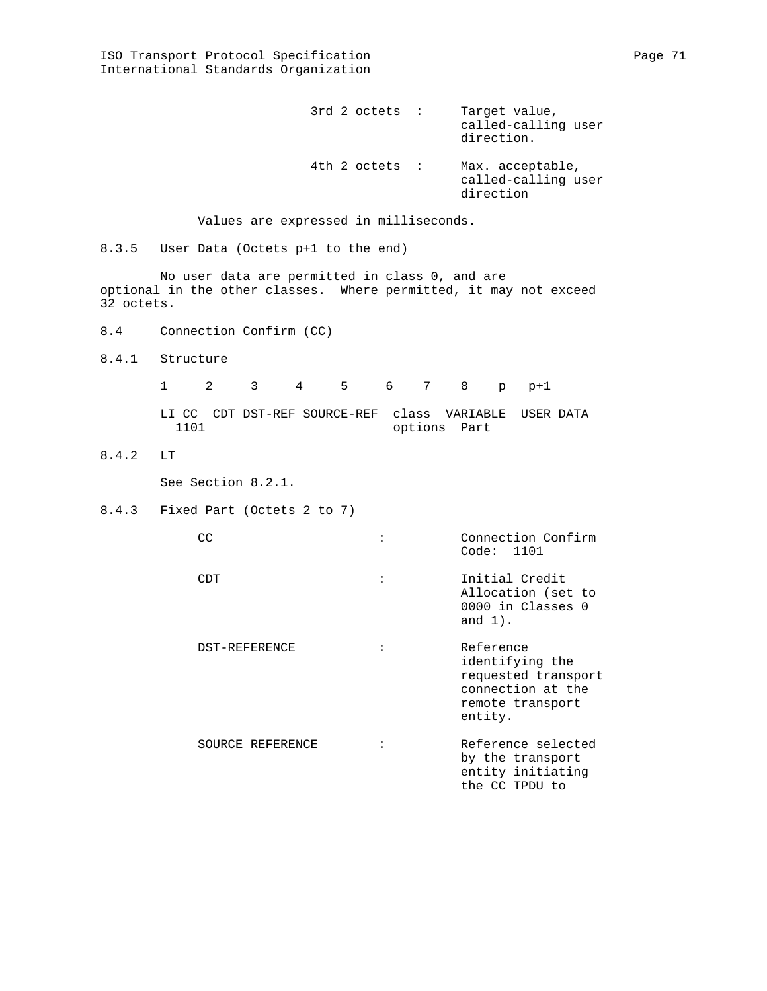|  | $3rd$ 2 octets : | Target value,<br>called-calling user<br>direction.   |
|--|------------------|------------------------------------------------------|
|  | $4th$ 2 octets : | Max. acceptable,<br>called-calling user<br>direction |

Values are expressed in milliseconds.

8.3.5 User Data (Octets p+1 to the end)

 No user data are permitted in class 0, and are optional in the other classes. Where permitted, it may not exceed 32 octets.

- 8.4 Connection Confirm (CC)
- 8.4.1 Structure

 1 2 3 4 5 6 7 8 p p+1 LI CC CDT DST-REF SOURCE-REF class VARIABLE USER DATA options Part

8.4.2 LT

See Section 8.2.1.

8.4.3 Fixed Part (Octets 2 to 7)

| CC               | Connection Confirm<br>Code: 1101                                                                        |
|------------------|---------------------------------------------------------------------------------------------------------|
| CDT              | Initial Credit<br>Allocation (set to<br>0000 in Classes 0<br>and $1)$ .                                 |
| DST-REFERENCE    | Reference<br>identifying the<br>requested transport<br>connection at the<br>remote transport<br>entity. |
| SOURCE REFERENCE | Reference selected<br>by the transport<br>entity initiating<br>the CC TPDU to                           |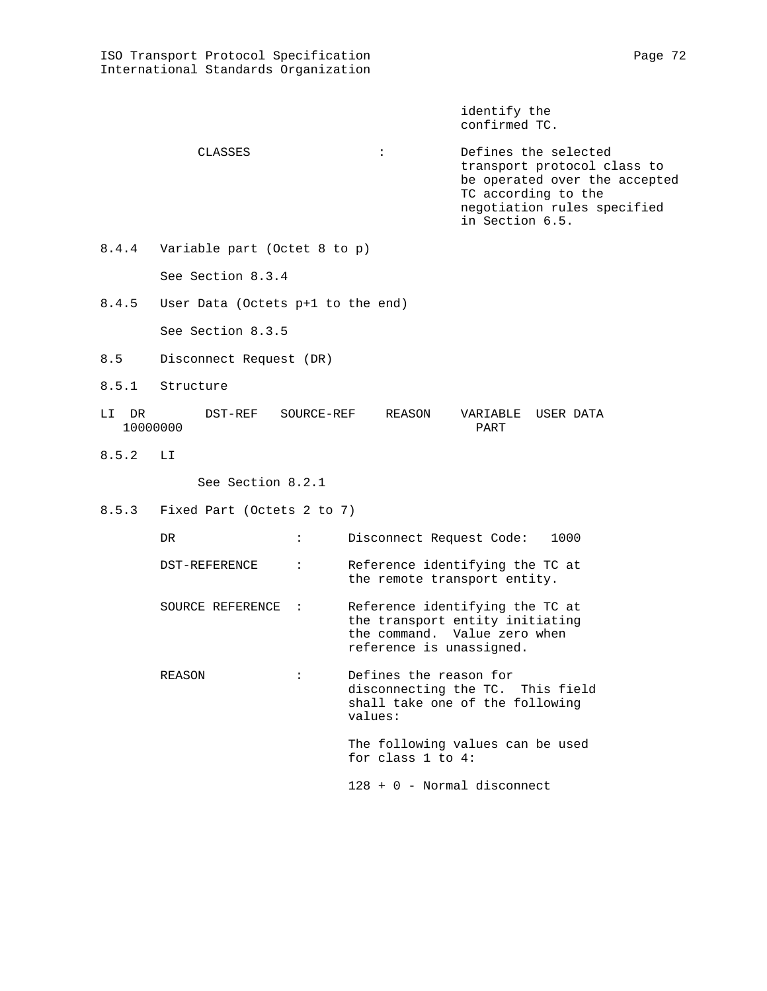identify the confirmed TC.

- CLASSES : Defines the selected transport protocol class to be operated over the accepted TC according to the negotiation rules specified in Section 6.5.
- 8.4.4 Variable part (Octet 8 to p) See Section 8.3.4
- 8.4.5 User Data (Octets p+1 to the end)

See Section 8.3.5

- 8.5 Disconnect Request (DR)
- 8.5.1 Structure
- LI DR DST-REF SOURCE-REF REASON VARIABLE USER DATA 10000000
- 8.5.2 LI

See Section 8.2.1

8.5.3 Fixed Part (Octets 2 to 7)

| DR.                |                | 1000<br>Disconnect Request Code:                                                                                               |
|--------------------|----------------|--------------------------------------------------------------------------------------------------------------------------------|
| DST-REFERENCE      | $\ddot{\cdot}$ | Reference identifying the TC at<br>the remote transport entity.                                                                |
| SOURCE REFERENCE : |                | Reference identifying the TC at<br>the transport entity initiating<br>the command. Value zero when<br>reference is unassigned. |
| REASON             |                | Defines the reason for<br>disconnecting the TC. This field<br>shall take one of the following<br>values:                       |
|                    |                | The following values can be used<br>for class $1$ to $4$ :                                                                     |
|                    |                | 128 + 0 - Normal disconnect                                                                                                    |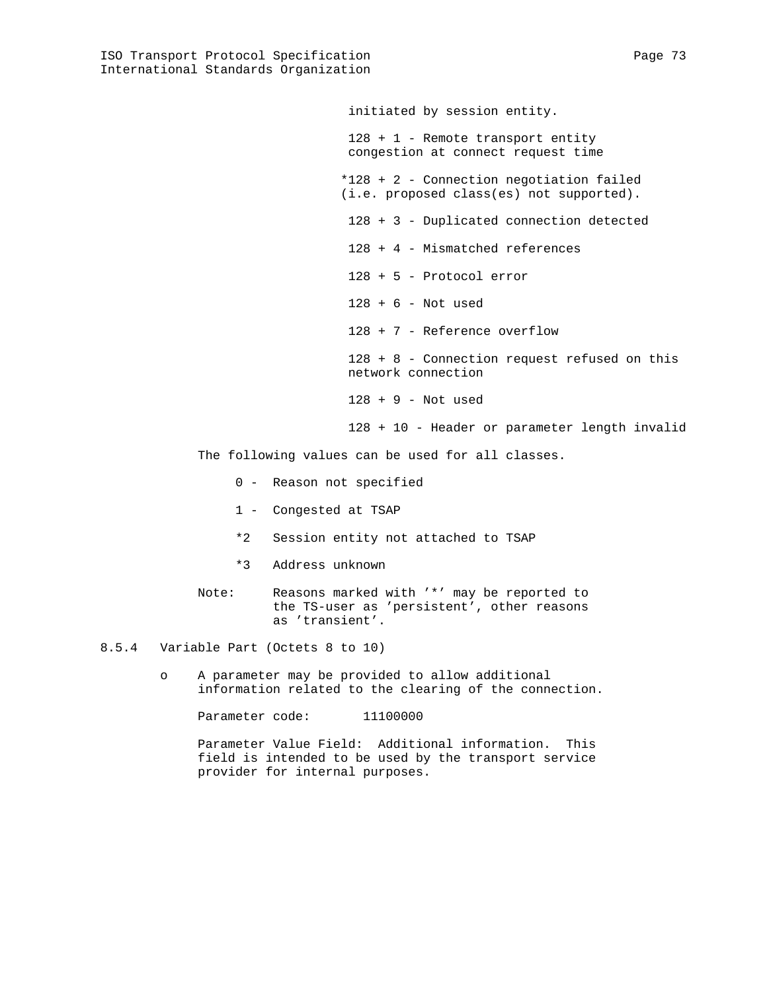initiated by session entity.

 128 + 1 - Remote transport entity congestion at connect request time \*128 + 2 - Connection negotiation failed (i.e. proposed class(es) not supported). 128 + 3 - Duplicated connection detected 128 + 4 - Mismatched references 128 + 5 - Protocol error 128 + 6 - Not used 128 + 7 - Reference overflow 128 + 8 - Connection request refused on this network connection 128 + 9 - Not used 128 + 10 - Header or parameter length invalid

The following values can be used for all classes.

- 0 Reason not specified
- 1 Congested at TSAP
- \*2 Session entity not attached to TSAP
- \*3 Address unknown
- Note: Reasons marked with '\*' may be reported to the TS-user as 'persistent', other reasons as 'transient'.
- 8.5.4 Variable Part (Octets 8 to 10)
	- o A parameter may be provided to allow additional information related to the clearing of the connection.

Parameter code: 11100000

 Parameter Value Field: Additional information. This field is intended to be used by the transport service provider for internal purposes.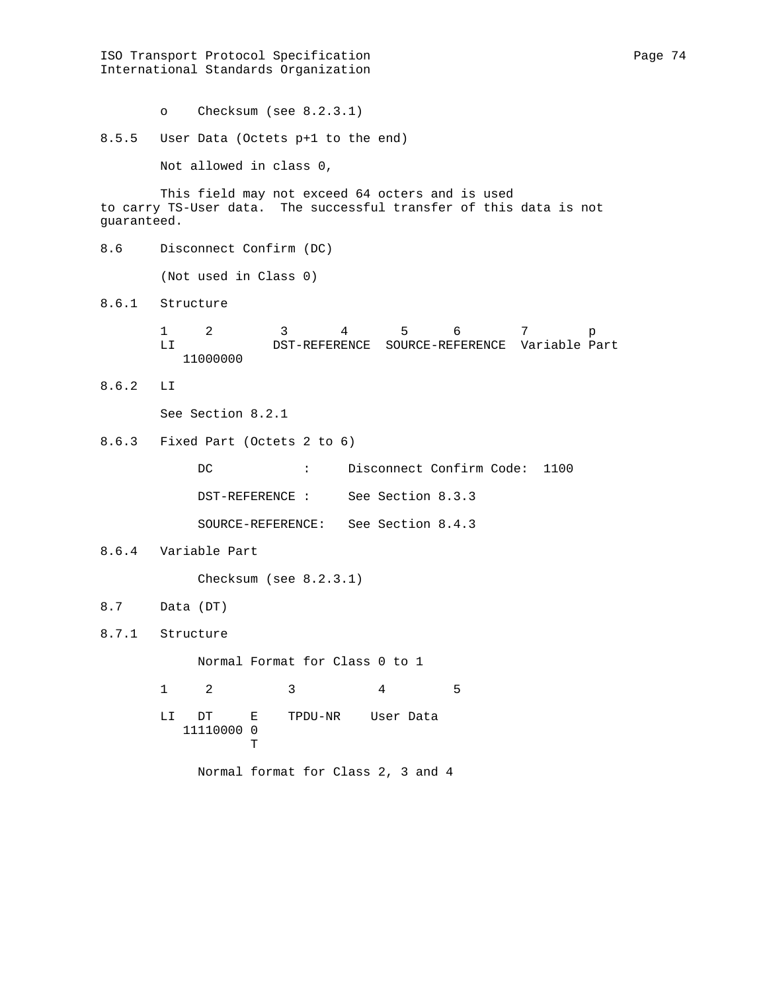ISO Transport Protocol Specification extends the Page 74 International Standards Organization o Checksum (see 8.2.3.1) 8.5.5 User Data (Octets p+1 to the end) Not allowed in class 0, This field may not exceed 64 octers and is used to carry TS-User data. The successful transfer of this data is not guaranteed. 8.6 Disconnect Confirm (DC) (Not used in Class 0) 8.6.1 Structure 1 2 3 4 5 6 7 p<br>LI DST-REFERENCE SOURCE-REFERENCE Variable Pa LI DST-REFERENCE SOURCE-REFERENCE Variable Part 11000000 8.6.2 LI See Section 8.2.1 8.6.3 Fixed Part (Octets 2 to 6) DC : Disconnect Confirm Code: 1100 DST-REFERENCE : See Section 8.3.3 SOURCE-REFERENCE: See Section 8.4.3 8.6.4 Variable Part Checksum (see 8.2.3.1) 8.7 Data (DT) 8.7.1 Structure Normal Format for Class 0 to 1 1 2 3 4 5 LI DT E TPDU-NR User Data 11110000 0<br>T **The Community of the Community of the Community** Normal format for Class 2, 3 and 4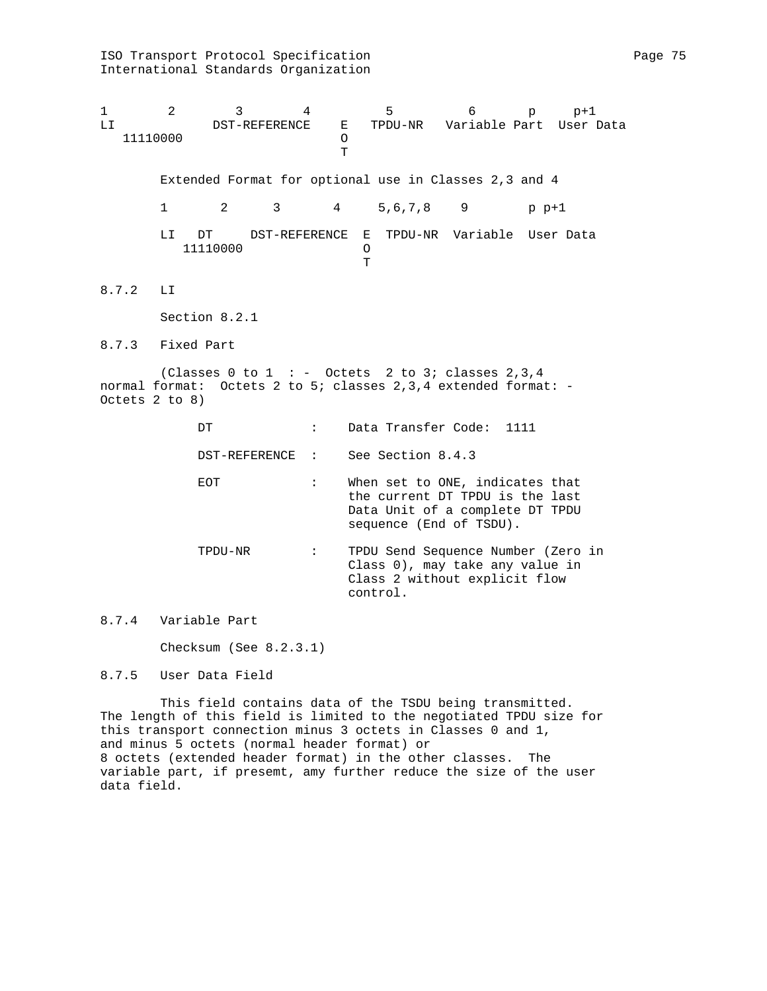International Standards Organization 1 2 3 4 5 6 p p+1<br>LI DST-REFERENCE E TPDU-NR Variable Part User 1 LI DST-REFERENCE E TPDU-NR Variable Part User Data 11110000 O **TECHNOLOGY**  Extended Format for optional use in Classes 2,3 and 4 1 2 3 4 5,6,7,8 9 p p+1 LI DT DST-REFERENCE E TPDU-NR Variable User Data 11110000 O O T **T** 8.7.2 LI Section 8.2.1 8.7.3 Fixed Part (Classes 0 to 1 : - Octets 2 to 3; classes  $2,3,4$ normal format: Octets 2 to 5; classes 2,3,4 extended format: - Octets 2 to 8) DT : Data Transfer Code: 1111 DST-REFERENCE : See Section 8.4.3 EOT : When set to ONE, indicates that the current DT TPDU is the last Data Unit of a complete DT TPDU sequence (End of TSDU). TPDU-NR : TPDU Send Sequence Number (Zero in Class 0), may take any value in Class 2 without explicit flow control. 8.7.4 Variable Part Checksum (See 8.2.3.1) 8.7.5 User Data Field

 This field contains data of the TSDU being transmitted. The length of this field is limited to the negotiated TPDU size for this transport connection minus 3 octets in Classes 0 and 1, and minus 5 octets (normal header format) or 8 octets (extended header format) in the other classes. The variable part, if presemt, amy further reduce the size of the user data field.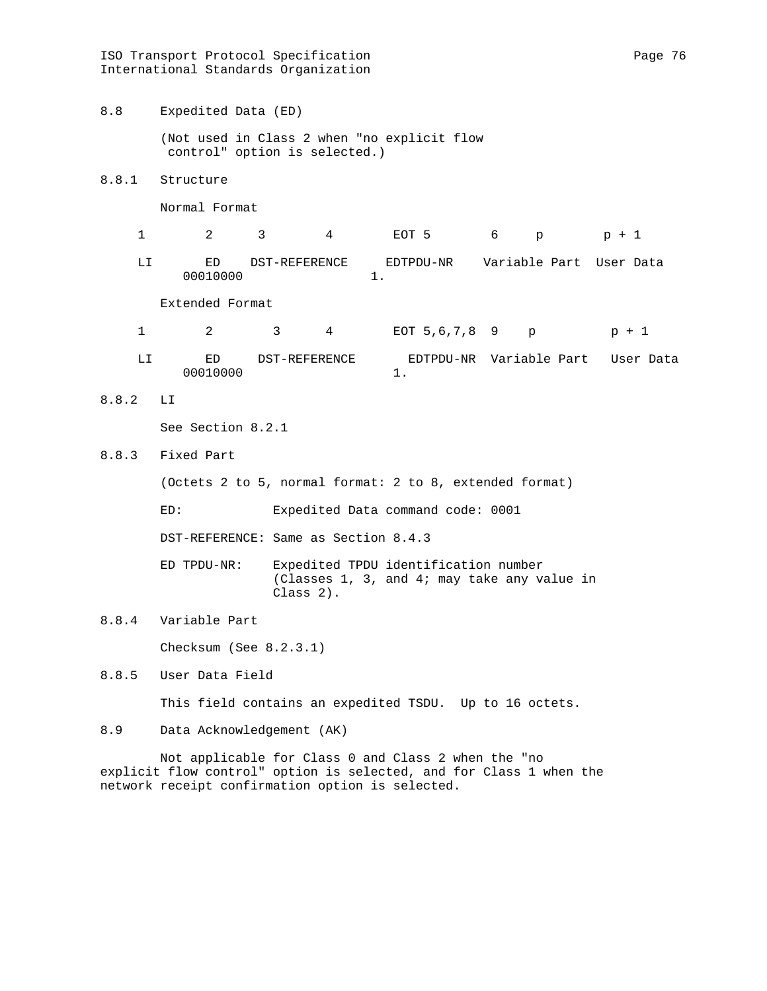ISO Transport Protocol Specification extends the Page 76 Page 76 International Standards Organization

8.8 Expedited Data (ED)

 (Not used in Class 2 when "no explicit flow control" option is selected.)

8.8.1 Structure

Normal Format

 1 2 3 4 EOT 5 6 p p + 1 LI ED DST-REFERENCE EDTPDU-NR Variable Part User Data

Extended Format

- 1 2 3 4 EOT 5,6,7,8 9 p p + 1
- LI ED DST-REFERENCE EDTPDU-NR Variable Part User Data 00010000 1.
- 8.8.2 LI

See Section 8.2.1

8.8.3 Fixed Part

(Octets 2 to 5, normal format: 2 to 8, extended format)

ED: Expedited Data command code: 0001

DST-REFERENCE: Same as Section 8.4.3

00010000 1.

 ED TPDU-NR: Expedited TPDU identification number (Classes 1, 3, and 4; may take any value in Class 2).

8.8.4 Variable Part

Checksum (See 8.2.3.1)

8.8.5 User Data Field

This field contains an expedited TSDU. Up to 16 octets.

8.9 Data Acknowledgement (AK)

 Not applicable for Class 0 and Class 2 when the "no explicit flow control" option is selected, and for Class 1 when the network receipt confirmation option is selected.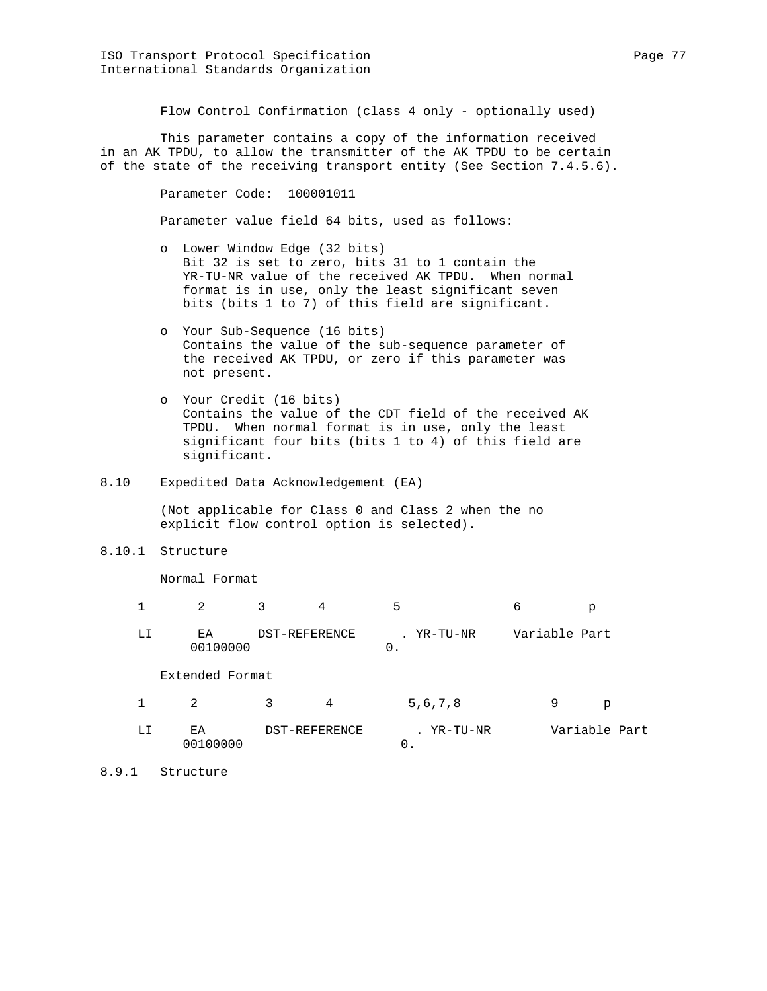Flow Control Confirmation (class 4 only - optionally used)

 This parameter contains a copy of the information received in an AK TPDU, to allow the transmitter of the AK TPDU to be certain of the state of the receiving transport entity (See Section 7.4.5.6).

> Parameter Code: 100001011 Parameter value field 64 bits, used as follows:

- o Lower Window Edge (32 bits) Bit 32 is set to zero, bits 31 to 1 contain the YR-TU-NR value of the received AK TPDU. When normal format is in use, only the least significant seven bits (bits 1 to 7) of this field are significant.
- o Your Sub-Sequence (16 bits) Contains the value of the sub-sequence parameter of the received AK TPDU, or zero if this parameter was not present.
- o Your Credit (16 bits) Contains the value of the CDT field of the received AK TPDU. When normal format is in use, only the least significant four bits (bits 1 to 4) of this field are significant.
- 8.10 Expedited Data Acknowledgement (EA)

00100000 0.

 (Not applicable for Class 0 and Class 2 when the no explicit flow control option is selected).

8.10.1 Structure

Normal Format

|                 |               | 5 |            |               |
|-----------------|---------------|---|------------|---------------|
| F.A<br>00100000 | DST-REFERENCE |   | . YR-TU-NR | Variable Part |

Extended Format

|  |     |               |  | 5, 6, 7, 8 |               |  |
|--|-----|---------------|--|------------|---------------|--|
|  | F.A | DST-REFERENCE |  | YR-TU-NR   | Variable Part |  |

8.9.1 Structure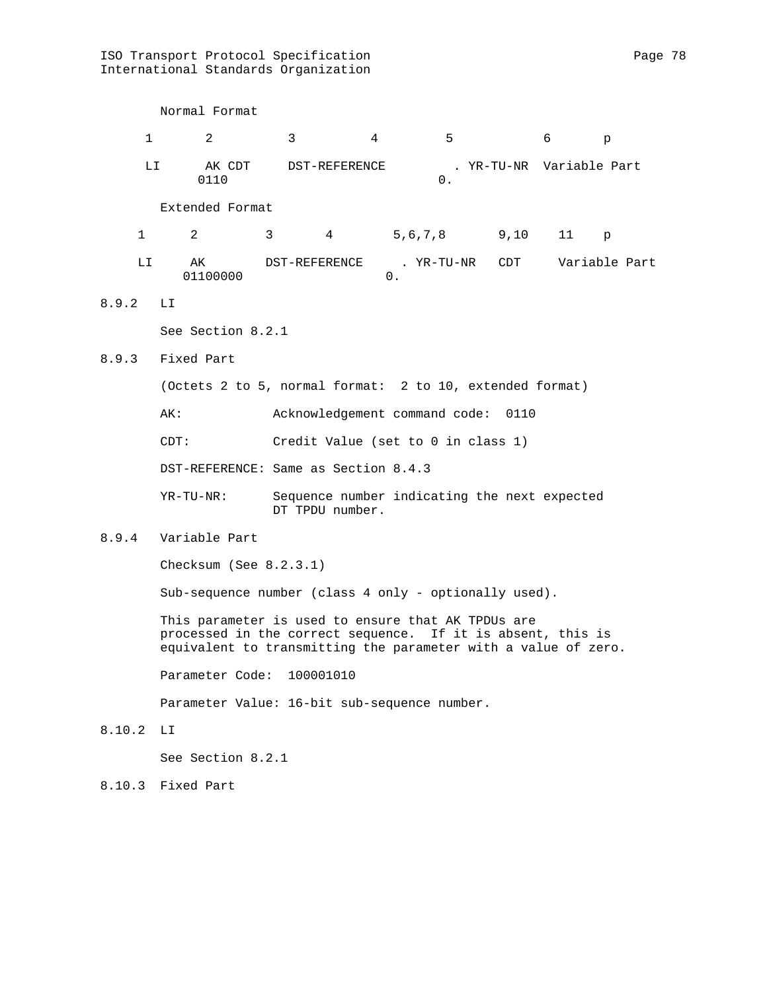ISO Transport Protocol Specification extending the Page 78 International Standards Organization

|              | Normal Format                                            |                                                                 |                |                |  |                          |              |  |  |
|--------------|----------------------------------------------------------|-----------------------------------------------------------------|----------------|----------------|--|--------------------------|--------------|--|--|
| $\mathbf{1}$ | $\overline{2}$                                           | $\mathbf{3}$                                                    | $\overline{4}$ | 5 <sup>7</sup> |  | 6                        | $\mathsf{p}$ |  |  |
| LI           | 0110                                                     | AK CDT DST-REFERENCE                                            |                | 0.             |  | . YR-TU-NR Variable Part |              |  |  |
|              | Extended Format                                          |                                                                 |                |                |  |                          |              |  |  |
| $\mathbf{1}$ | $2^{\circ}$                                              | 3 <sup>7</sup>                                                  | 4 5,6,7,8 9,10 |                |  | $11$ p                   |              |  |  |
| LI           | AK<br>01100000                                           | DST-REFERENCE                                                   | $0$ .          | . YR-TU-NR     |  | CDT Variable Part        |              |  |  |
| 8.9.2        | LI.                                                      |                                                                 |                |                |  |                          |              |  |  |
|              | See Section 8.2.1                                        |                                                                 |                |                |  |                          |              |  |  |
| 8.9.3        | Fixed Part                                               |                                                                 |                |                |  |                          |              |  |  |
|              | (Octets 2 to 5, normal format: 2 to 10, extended format) |                                                                 |                |                |  |                          |              |  |  |
|              | Acknowledgement command code: 0110<br>AK:                |                                                                 |                |                |  |                          |              |  |  |
|              | Credit Value (set to 0 in class 1)<br>CDT:               |                                                                 |                |                |  |                          |              |  |  |
|              | DST-REFERENCE: Same as Section 8.4.3                     |                                                                 |                |                |  |                          |              |  |  |
|              | $YR-TU-NR$ :                                             | Sequence number indicating the next expected<br>DT TPDU number. |                |                |  |                          |              |  |  |
| 8.9.4        | Variable Part                                            |                                                                 |                |                |  |                          |              |  |  |
|              | Checksum (See $8.2.3.1$ )                                |                                                                 |                |                |  |                          |              |  |  |

Sub-sequence number (class 4 only - optionally used).

 This parameter is used to ensure that AK TPDUs are processed in the correct sequence. If it is absent, this is equivalent to transmitting the parameter with a value of zero.

Parameter Code: 100001010

Parameter Value: 16-bit sub-sequence number.

8.10.2 LI

See Section 8.2.1

8.10.3 Fixed Part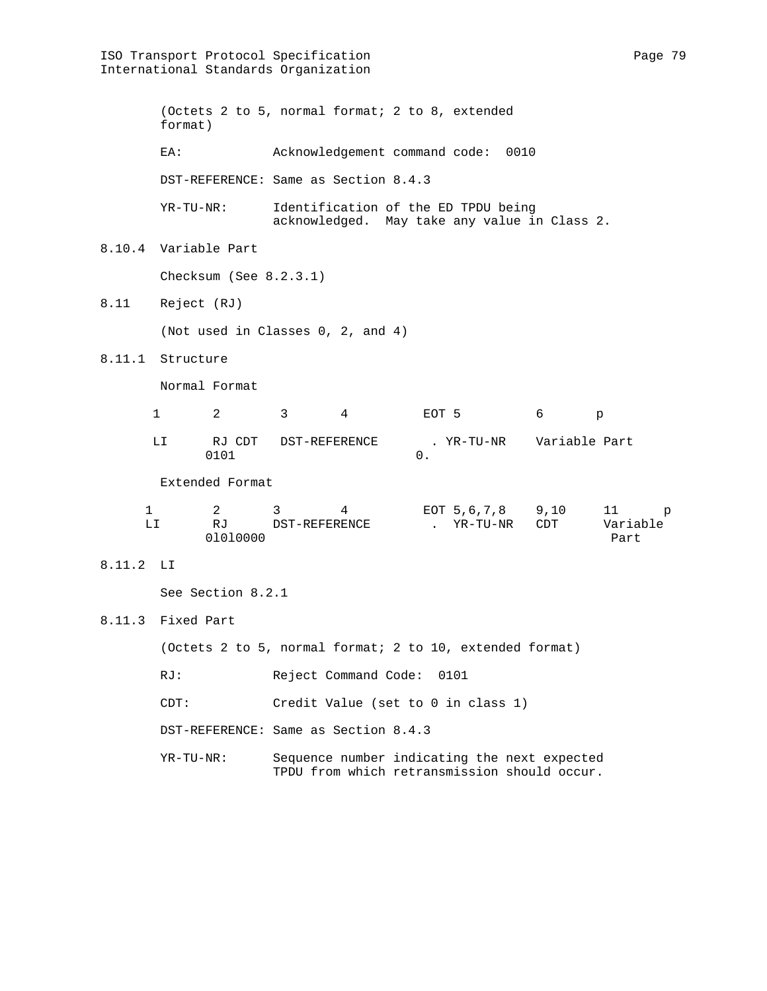ISO Transport Protocol Specification extends the page 79 Page 79 International Standards Organization (Octets 2 to 5, normal format; 2 to 8, extended format) EA: Acknowledgement command code: 0010 DST-REFERENCE: Same as Section 8.4.3 YR-TU-NR: Identification of the ED TPDU being acknowledged. May take any value in Class 2. 8.10.4 Variable Part Checksum (See 8.2.3.1) 8.11 Reject (RJ) (Not used in Classes 0, 2, and 4) 8.11.1 Structure Normal Format 1 2 3 4 EOT 5 6 p LI RJ CDT DST-REFERENCE . YR-TU-NR Variable Part<br>0101 0101 0. Extended Format 1 2 3 4 EOT 5,6,7,8 9,10 11 p LI RJ DST-REFERENCE . YR-TU-NR CDT Variable 01010000 Part 8.11.2 LI See Section 8.2.1 8.11.3 Fixed Part (Octets 2 to 5, normal format; 2 to 10, extended format) RJ: Reject Command Code: 0101 CDT: Credit Value (set to 0 in class 1) DST-REFERENCE: Same as Section 8.4.3

 YR-TU-NR: Sequence number indicating the next expected TPDU from which retransmission should occur.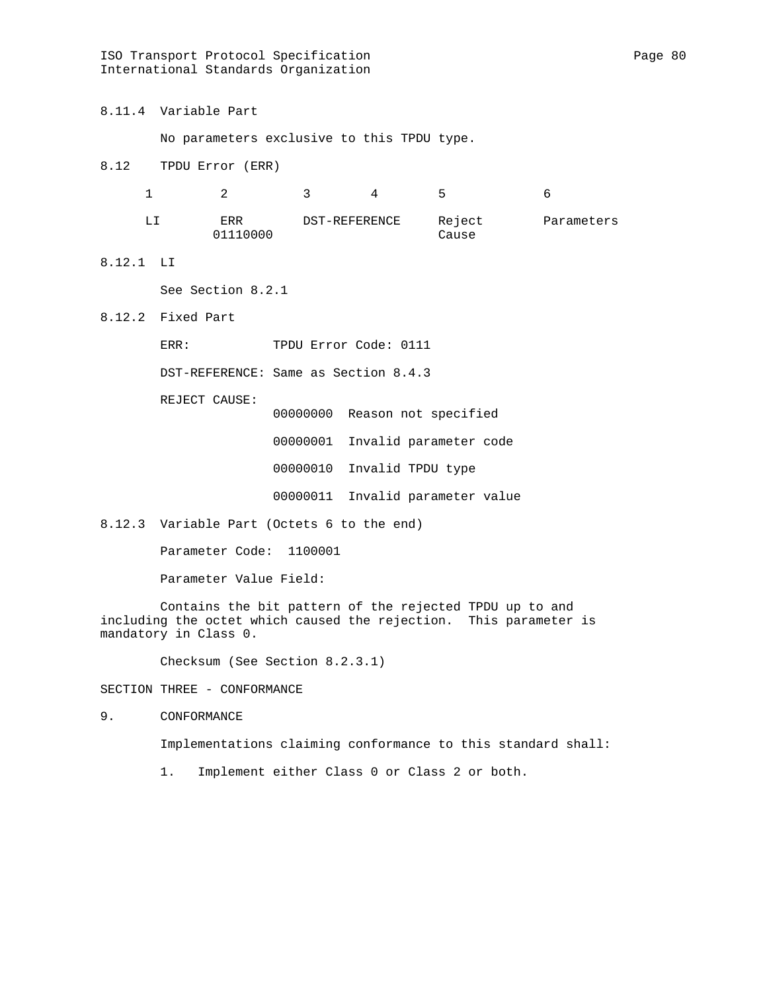ISO Transport Protocol Specification extends the page 80 Page 80 International Standards Organization

8.11.4 Variable Part

No parameters exclusive to this TPDU type.

8.12 TPDU Error (ERR)

|  |                 |               | ∽               |            |
|--|-----------------|---------------|-----------------|------------|
|  | ERR<br>01110000 | DST-REFERENCE | Reject<br>Cause | Parameters |

8.12.1 LI

See Section 8.2.1

8.12.2 Fixed Part

ERR: TPDU Error Code: 0111

DST-REFERENCE: Same as Section 8.4.3

REJECT CAUSE:

 00000000 Reason not specified 00000001 Invalid parameter code 00000010 Invalid TPDU type 00000011 Invalid parameter value

8.12.3 Variable Part (Octets 6 to the end)

Parameter Code: 1100001

Parameter Value Field:

 Contains the bit pattern of the rejected TPDU up to and including the octet which caused the rejection. This parameter is mandatory in Class 0.

Checksum (See Section 8.2.3.1)

SECTION THREE - CONFORMANCE

9. CONFORMANCE

Implementations claiming conformance to this standard shall:

1. Implement either Class 0 or Class 2 or both.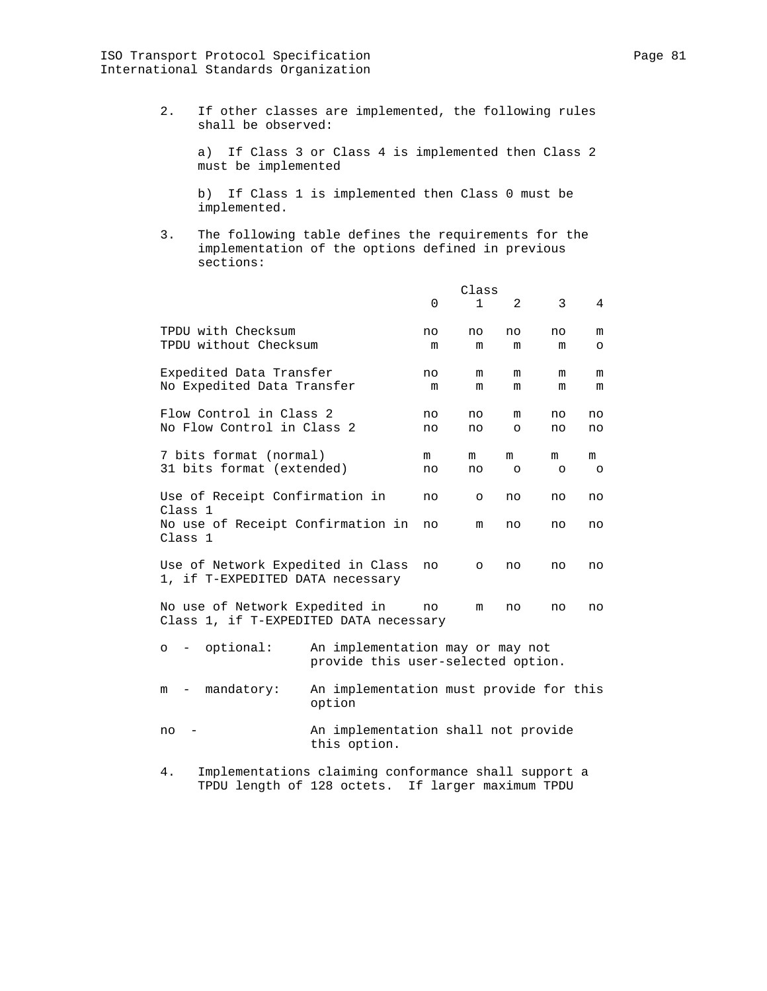2. If other classes are implemented, the following rules shall be observed:

 a) If Class 3 or Class 4 is implemented then Class 2 must be implemented

 b) If Class 1 is implemented then Class 0 must be implemented.

 3. The following table defines the requirements for the implementation of the options defined in previous sections:

|                                                                          |                                                                                                           |             | Class        |                |         |         |  |  |
|--------------------------------------------------------------------------|-----------------------------------------------------------------------------------------------------------|-------------|--------------|----------------|---------|---------|--|--|
|                                                                          |                                                                                                           | $\mathbf 0$ | $\mathbf{1}$ | $\overline{2}$ | 3       | 4       |  |  |
| TPDU with Checksum                                                       |                                                                                                           | no          | no           | no             | no      | m       |  |  |
| TPDU without Checksum                                                    |                                                                                                           | m           | m            | m              | m       | $\circ$ |  |  |
| Expedited Data Transfer                                                  |                                                                                                           | no          | m            | m              | m       | m       |  |  |
| No Expedited Data Transfer                                               |                                                                                                           | m           | m            | m              | m       | m       |  |  |
| Flow Control in Class 2                                                  |                                                                                                           | no          | no           | m              | no      | no      |  |  |
| No Flow Control in Class 2                                               |                                                                                                           | no          | no           | O              | no      | no      |  |  |
| 7 bits format (normal)                                                   |                                                                                                           | m           | m            | m              | m       | m       |  |  |
| 31 bits format (extended)                                                |                                                                                                           | no          | no           | $\circ$        | $\circ$ | $\circ$ |  |  |
| Use of Receipt Confirmation in<br>Class 1                                |                                                                                                           | no          | $\circ$      | no             | no      | no      |  |  |
| No use of Receipt Confirmation in<br>Class 1                             |                                                                                                           | no          | m            | no             | no      | no      |  |  |
| Use of Network Expedited in Class<br>1, if T-EXPEDITED DATA necessary    | no                                                                                                        | $\circ$     | no           | no             | no      |         |  |  |
| No use of Network Expedited in<br>Class 1, if T-EXPEDITED DATA necessary | no                                                                                                        | m           | no           | no             | no      |         |  |  |
| optional:<br>$\circ$<br>$\sim$ $-$                                       | An implementation may or may not<br>provide this user-selected option.                                    |             |              |                |         |         |  |  |
| mandatory:<br>m                                                          | An implementation must provide for this<br>option                                                         |             |              |                |         |         |  |  |
| no                                                                       | An implementation shall not provide<br>this option.                                                       |             |              |                |         |         |  |  |
| 4.                                                                       | Implementations claiming conformance shall support a<br>TPDU length of 128 octets. If larger maximum TPDU |             |              |                |         |         |  |  |